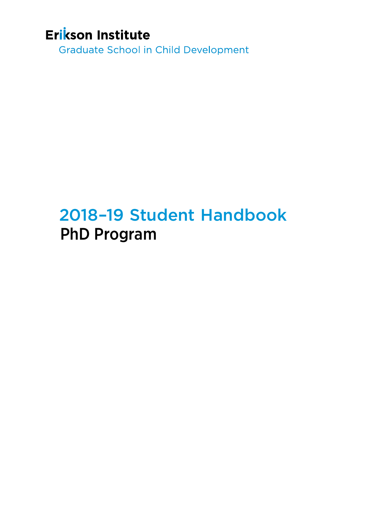# Erikson Institute

**Graduate School in Child Development** 

# 2018–19 Student Handbook PhD Program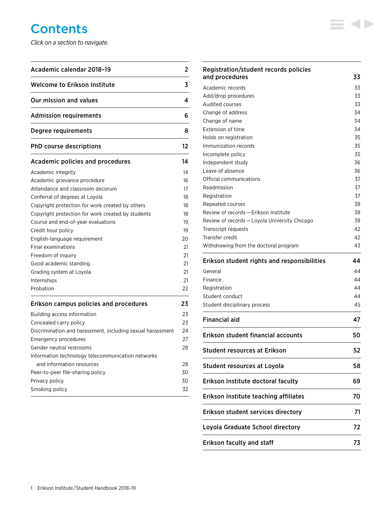# **Contents**

*Click on a section to navigate.*

| Academic calendar 2018-19                                  | 2  |
|------------------------------------------------------------|----|
| <b>Welcome to Erikson Institute</b>                        | 3  |
| Our mission and values                                     | 4  |
| <b>Admission requirements</b>                              | 6  |
| Degree requirements                                        | 8  |
| <b>PhD course descriptions</b>                             | 12 |
| Academic policies and procedures                           | 14 |
| Academic integrity                                         | 14 |
| Academic grievance procedure                               | 16 |
| Attendance and classroom decorum                           | 17 |
| Conferral of degrees at Loyola                             | 18 |
| Copyright protection for work created by others            | 18 |
| Copyright protection for work created by students          | 18 |
| Course and end-of-year evaluations                         | 19 |
| Credit hour policy                                         | 19 |
| English-language requirement                               | 20 |
| Final examinations                                         | 21 |
| Freedom of inquiry                                         | 21 |
| Good academic standing                                     | 21 |
| Grading system at Loyola                                   | 21 |
| Internships                                                | 21 |
| Probation                                                  | 22 |
| Erikson campus policies and procedures                     | 23 |
| Building access information                                | 23 |
| Concealed carry policy                                     | 23 |
| Discrimination and harassment, including sexual harassment | 24 |
| <b>Emergency procedures</b>                                | 27 |
| Gender neutral restrooms                                   | 28 |
| Information technology telecommunication networks          |    |
| and information resources                                  | 28 |
| Peer-to-peer file-sharing policy                           | 30 |
| Privacy policy                                             | 30 |
| Smoking policy                                             | 32 |

| Registration/student records policies         |    |
|-----------------------------------------------|----|
| and procedures                                | 33 |
| Academic records                              | 33 |
| Add/drop procedures                           | 33 |
| <b>Audited courses</b>                        | 33 |
| Change of address                             | 34 |
| Change of name                                | 34 |
| <b>Extension of time</b>                      | 34 |
| Holds on registration                         | 35 |
| Immunization records                          | 35 |
| Incomplete policy                             | 35 |
| Independent study                             | 36 |
| Leave of absence                              | 36 |
| Official communications                       | 37 |
| Readmission                                   | 37 |
| Registration                                  | 37 |
| Repeated courses                              | 38 |
| Review of records - Erikson Institute         | 38 |
| Review of records - Loyola University Chicago | 39 |
| Transcript requests                           | 42 |
| Transfer credit                               | 42 |
| Withdrawing from the doctoral program         | 43 |
|                                               |    |
| Erikson student rights and responsibilities   | 44 |
| General                                       | 44 |
| Finance                                       | 44 |
| Registration                                  | 44 |
| Student conduct                               | 44 |
| Student disciplinary process                  | 45 |
| <b>Financial aid</b>                          | 47 |
| Erikson student financial accounts            | 50 |
| <b>Student resources at Erikson</b>           | 52 |
| Student resources at Loyola                   | 58 |
| Erikson Institute doctoral faculty            | 69 |
| Erikson Institute teaching affiliates         | 70 |
| Erikson student services directory            | 71 |
| Loyola Graduate School directory              | 72 |

 $\equiv$  4>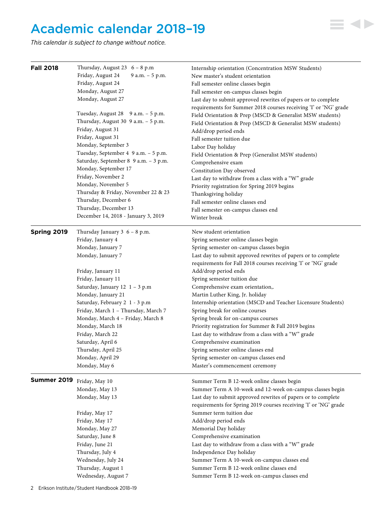# <span id="page-2-0"></span>Academic calendar 2018–19

*This calendar is subject to change without notice.*

| <b>Fall 2018</b>           | Thursday, August 23 $6 - 8$ p.m<br>Friday, August 24<br>9 a.m. - 5 p.m.<br>Friday, August 24<br>Monday, August 27<br>Monday, August 27<br>Tuesday, August 28 9 a.m. - 5 p.m.<br>Thursday, August 30 9 a.m. - 5 p.m.<br>Friday, August 31<br>Friday, August 31<br>Monday, September 3<br>Tuesday, September 4 9 a.m. - 5 p.m.<br>Saturday, September 8 9 a.m. - 3 p.m.<br>Monday, September 17<br>Friday, November 2<br>Monday, November 5<br>Thursday & Friday, November 22 & 23<br>Thursday, December 6<br>Thursday, December 13 | Internship orientation (Concentration MSW Students)<br>New master's student orientation<br>Fall semester online classes begin<br>Fall semester on-campus classes begin<br>Last day to submit approved rewrites of papers or to complete<br>requirements for Summer 2018 courses receiving 'I' or 'NG' grade<br>Field Orientation & Prep (MSCD & Generalist MSW students)<br>Field Orientation & Prep (MSCD & Generalist MSW students)<br>Add/drop period ends<br>Fall semester tuition due<br>Labor Day holiday<br>Field Orientation & Prep (Generalist MSW students)<br>Comprehensive exam<br>Constitution Day observed<br>Last day to withdraw from a class with a "W" grade<br>Priority registration for Spring 2019 begins<br>Thanksgiving holiday<br>Fall semester online classes end<br>Fall semester on-campus classes end |
|----------------------------|-----------------------------------------------------------------------------------------------------------------------------------------------------------------------------------------------------------------------------------------------------------------------------------------------------------------------------------------------------------------------------------------------------------------------------------------------------------------------------------------------------------------------------------|-----------------------------------------------------------------------------------------------------------------------------------------------------------------------------------------------------------------------------------------------------------------------------------------------------------------------------------------------------------------------------------------------------------------------------------------------------------------------------------------------------------------------------------------------------------------------------------------------------------------------------------------------------------------------------------------------------------------------------------------------------------------------------------------------------------------------------------|
| Spring 2019                | December 14, 2018 - January 3, 2019<br>Thursday January $3 \ 6 - 8 \ p.m.$                                                                                                                                                                                                                                                                                                                                                                                                                                                        | Winter break<br>New student orientation                                                                                                                                                                                                                                                                                                                                                                                                                                                                                                                                                                                                                                                                                                                                                                                           |
|                            | Friday, January 4                                                                                                                                                                                                                                                                                                                                                                                                                                                                                                                 | Spring semester online classes begin                                                                                                                                                                                                                                                                                                                                                                                                                                                                                                                                                                                                                                                                                                                                                                                              |
|                            | Monday, January 7                                                                                                                                                                                                                                                                                                                                                                                                                                                                                                                 | Spring semester on-campus classes begin                                                                                                                                                                                                                                                                                                                                                                                                                                                                                                                                                                                                                                                                                                                                                                                           |
|                            | Monday, January 7                                                                                                                                                                                                                                                                                                                                                                                                                                                                                                                 | Last day to submit approved rewrites of papers or to complete<br>requirements for Fall 2018 courses receiving 'I' or 'NG' grade                                                                                                                                                                                                                                                                                                                                                                                                                                                                                                                                                                                                                                                                                                   |
|                            | Friday, January 11                                                                                                                                                                                                                                                                                                                                                                                                                                                                                                                | Add/drop period ends                                                                                                                                                                                                                                                                                                                                                                                                                                                                                                                                                                                                                                                                                                                                                                                                              |
|                            | Friday, January 11                                                                                                                                                                                                                                                                                                                                                                                                                                                                                                                | Spring semester tuition due                                                                                                                                                                                                                                                                                                                                                                                                                                                                                                                                                                                                                                                                                                                                                                                                       |
|                            | Saturday, January 12 1 - 3 p.m                                                                                                                                                                                                                                                                                                                                                                                                                                                                                                    | Comprehensive exam orientation,.                                                                                                                                                                                                                                                                                                                                                                                                                                                                                                                                                                                                                                                                                                                                                                                                  |
|                            | Monday, January 21                                                                                                                                                                                                                                                                                                                                                                                                                                                                                                                | Martin Luther King, Jr. holiday                                                                                                                                                                                                                                                                                                                                                                                                                                                                                                                                                                                                                                                                                                                                                                                                   |
|                            | Saturday, February 2 1 - 3 p.m                                                                                                                                                                                                                                                                                                                                                                                                                                                                                                    | Internship orientation (MSCD and Teacher Licensure Students)                                                                                                                                                                                                                                                                                                                                                                                                                                                                                                                                                                                                                                                                                                                                                                      |
|                            | Friday, March 1 - Thursday, March 7                                                                                                                                                                                                                                                                                                                                                                                                                                                                                               | Spring break for online courses                                                                                                                                                                                                                                                                                                                                                                                                                                                                                                                                                                                                                                                                                                                                                                                                   |
|                            | Monday, March 4 - Friday, March 8                                                                                                                                                                                                                                                                                                                                                                                                                                                                                                 | Spring break for on-campus courses                                                                                                                                                                                                                                                                                                                                                                                                                                                                                                                                                                                                                                                                                                                                                                                                |
|                            | Monday, March 18                                                                                                                                                                                                                                                                                                                                                                                                                                                                                                                  | Priority registration for Summer & Fall 2019 begins                                                                                                                                                                                                                                                                                                                                                                                                                                                                                                                                                                                                                                                                                                                                                                               |
|                            | Friday, March 22                                                                                                                                                                                                                                                                                                                                                                                                                                                                                                                  | Last day to withdraw from a class with a "W" grade                                                                                                                                                                                                                                                                                                                                                                                                                                                                                                                                                                                                                                                                                                                                                                                |
|                            | Saturday, April 6                                                                                                                                                                                                                                                                                                                                                                                                                                                                                                                 | Comprehensive examination                                                                                                                                                                                                                                                                                                                                                                                                                                                                                                                                                                                                                                                                                                                                                                                                         |
|                            | Thursday, April 25                                                                                                                                                                                                                                                                                                                                                                                                                                                                                                                | Spring semester online classes end                                                                                                                                                                                                                                                                                                                                                                                                                                                                                                                                                                                                                                                                                                                                                                                                |
|                            | Monday, April 29                                                                                                                                                                                                                                                                                                                                                                                                                                                                                                                  | Spring semester on-campus classes end                                                                                                                                                                                                                                                                                                                                                                                                                                                                                                                                                                                                                                                                                                                                                                                             |
|                            | Monday, May 6                                                                                                                                                                                                                                                                                                                                                                                                                                                                                                                     | Master's commencement ceremony                                                                                                                                                                                                                                                                                                                                                                                                                                                                                                                                                                                                                                                                                                                                                                                                    |
|                            |                                                                                                                                                                                                                                                                                                                                                                                                                                                                                                                                   |                                                                                                                                                                                                                                                                                                                                                                                                                                                                                                                                                                                                                                                                                                                                                                                                                                   |
| Summer 2019 Friday, May 10 |                                                                                                                                                                                                                                                                                                                                                                                                                                                                                                                                   | Summer Term B 12-week online classes begin                                                                                                                                                                                                                                                                                                                                                                                                                                                                                                                                                                                                                                                                                                                                                                                        |
|                            | Monday, May 13                                                                                                                                                                                                                                                                                                                                                                                                                                                                                                                    | Summer Term A 10-week and 12-week on-campus classes begin                                                                                                                                                                                                                                                                                                                                                                                                                                                                                                                                                                                                                                                                                                                                                                         |
|                            | Monday, May 13                                                                                                                                                                                                                                                                                                                                                                                                                                                                                                                    | Last day to submit approved rewrites of papers or to complete                                                                                                                                                                                                                                                                                                                                                                                                                                                                                                                                                                                                                                                                                                                                                                     |
|                            |                                                                                                                                                                                                                                                                                                                                                                                                                                                                                                                                   | requirements for Spring 2019 courses receiving 'I' or 'NG' grade                                                                                                                                                                                                                                                                                                                                                                                                                                                                                                                                                                                                                                                                                                                                                                  |
|                            | Friday, May 17                                                                                                                                                                                                                                                                                                                                                                                                                                                                                                                    | Summer term tuition due                                                                                                                                                                                                                                                                                                                                                                                                                                                                                                                                                                                                                                                                                                                                                                                                           |
|                            | Friday, May 17                                                                                                                                                                                                                                                                                                                                                                                                                                                                                                                    | Add/drop period ends                                                                                                                                                                                                                                                                                                                                                                                                                                                                                                                                                                                                                                                                                                                                                                                                              |
|                            | Monday, May 27                                                                                                                                                                                                                                                                                                                                                                                                                                                                                                                    | Memorial Day holiday                                                                                                                                                                                                                                                                                                                                                                                                                                                                                                                                                                                                                                                                                                                                                                                                              |
|                            | Saturday, June 8                                                                                                                                                                                                                                                                                                                                                                                                                                                                                                                  | Comprehensive examination                                                                                                                                                                                                                                                                                                                                                                                                                                                                                                                                                                                                                                                                                                                                                                                                         |
|                            | Friday, June 21                                                                                                                                                                                                                                                                                                                                                                                                                                                                                                                   | Last day to withdraw from a class with a "W" grade                                                                                                                                                                                                                                                                                                                                                                                                                                                                                                                                                                                                                                                                                                                                                                                |
|                            | Thursday, July 4                                                                                                                                                                                                                                                                                                                                                                                                                                                                                                                  | Independence Day holiday                                                                                                                                                                                                                                                                                                                                                                                                                                                                                                                                                                                                                                                                                                                                                                                                          |
|                            | Wednesday, July 24                                                                                                                                                                                                                                                                                                                                                                                                                                                                                                                | Summer Term A 10-week on-campus classes end                                                                                                                                                                                                                                                                                                                                                                                                                                                                                                                                                                                                                                                                                                                                                                                       |
|                            | Thursday, August 1                                                                                                                                                                                                                                                                                                                                                                                                                                                                                                                | Summer Term B 12-week online classes end                                                                                                                                                                                                                                                                                                                                                                                                                                                                                                                                                                                                                                                                                                                                                                                          |
|                            | Wednesday, August 7                                                                                                                                                                                                                                                                                                                                                                                                                                                                                                               | Summer Term B 12-week on-campus classes end                                                                                                                                                                                                                                                                                                                                                                                                                                                                                                                                                                                                                                                                                                                                                                                       |

 $\equiv$  4>

2 Erikson Institute/Student Handbook 2018-19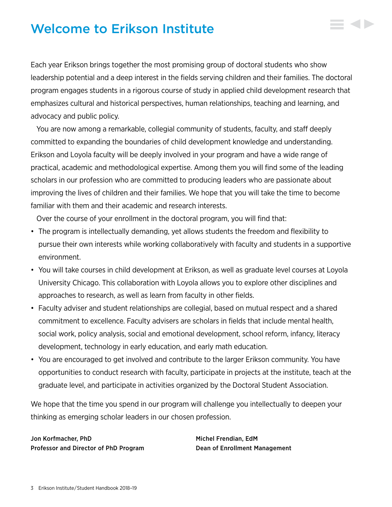# <span id="page-3-0"></span>Welcome to Erikson Institute

Each year Erikson brings together the most promising group of doctoral students who show leadership potential and a deep interest in the fields serving children and their families. The doctoral program engages students in a rigorous course of study in applied child development research that emphasizes cultural and historical perspectives, human relationships, teaching and learning, and advocacy and public policy.

You are now among a remarkable, collegial community of students, faculty, and staff deeply committed to expanding the boundaries of child development knowledge and understanding. Erikson and Loyola faculty will be deeply involved in your program and have a wide range of practical, academic and methodological expertise. Among them you will find some of the leading scholars in our profession who are committed to producing leaders who are passionate about improving the lives of children and their families. We hope that you will take the time to become familiar with them and their academic and research interests.

Over the course of your enrollment in the doctoral program, you will find that:

- The program is intellectually demanding, yet allows students the freedom and flexibility to pursue their own interests while working collaboratively with faculty and students in a supportive environment.
- You will take courses in child development at Erikson, as well as graduate level courses at Loyola University Chicago. This collaboration with Loyola allows you to explore other disciplines and approaches to research, as well as learn from faculty in other fields.
- Faculty adviser and student relationships are collegial, based on mutual respect and a shared commitment to excellence. Faculty advisers are scholars in fields that include mental health, social work, policy analysis, social and emotional development, school reform, infancy, literacy development, technology in early education, and early math education.
- You are encouraged to get involved and contribute to the larger Erikson community. You have opportunities to conduct research with faculty, participate in projects at the institute, teach at the graduate level, and participate in activities organized by the Doctoral Student Association.

We hope that the time you spend in our program will challenge you intellectually to deepen your thinking as emerging scholar leaders in our chosen profession.

Jon Korfmacher, PhD Michel Frendian, EdM Professor and Director of PhD Program Dean of Enrollment Management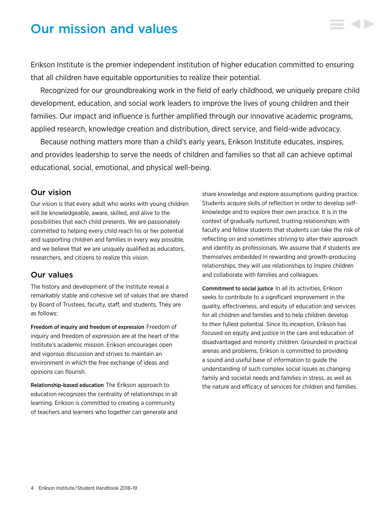# <span id="page-4-0"></span>Our mission and values

Erikson Institute is the premier independent institution of higher education committed to ensuring that all children have equitable opportunities to realize their potential.

Recognized for our groundbreaking work in the field of early childhood, we uniquely prepare child development, education, and social work leaders to improve the lives of young children and their families. Our impact and influence is further amplified through our innovative academic programs, applied research, knowledge creation and distribution, direct service, and field-wide advocacy.

Because nothing matters more than a child's early years, Erikson Institute educates, inspires, and provides leadership to serve the needs of children and families so that all can achieve optimal educational, social, emotional, and physical well-being.

# Our vision

Our vision is that every adult who works with young children will be knowledgeable, aware, skilled, and alive to the possibilities that each child presents. We are passionately committed to helping every child reach his or her potential and supporting children and families in every way possible, and we believe that we are uniquely qualified as educators, researchers, and citizens to realize this vision.

# Our values

The history and development of the Institute reveal a remarkably stable and cohesive set of values that are shared by Board of Trustees, faculty, staff, and students. They are as follows:

Freedom of inquiry and freedom of expression Freedom of inquiry and freedom of expression are at the heart of the Institute's academic mission. Erikson encourages open and vigorous discussion and strives to maintain an environment in which the free exchange of ideas and opinions can flourish.

Relationship-based education The Erikson approach to education recognizes the centrality of relationships in all learning. Erikson is committed to creating a community of teachers and learners who together can generate and

share knowledge and explore assumptions guiding practice. Students acquire skills of reflection in order to develop selfknowledge and to explore their own practice. It is in the context of gradually nurtured, trusting relationships with faculty and fellow students that students can take the risk of reflecting on and sometimes striving to alter their approach and identity as professionals. We assume that if students are themselves embedded in rewarding and growth-producing relationships, they will use relationships to inspire children and collaborate with families and colleagues.

Commitment to social justice In all its activities, Erikson seeks to contribute to a significant improvement in the quality, effectiveness, and equity of education and services for all children and families and to help children develop to their fullest potential. Since its inception, Erikson has focused on equity and justice in the care and education of disadvantaged and minority children. Grounded in practical arenas and problems, Erikson is committed to providing a sound and useful base of information to guide the understanding of such complex social issues as changing family and societal needs and families in stress, as well as the nature and efficacy of services for children and families.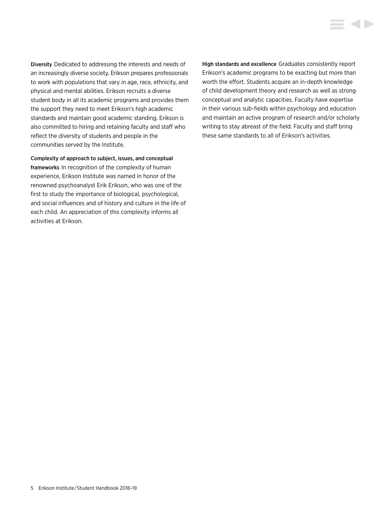Diversity Dedicated to addressing the interests and needs of an increasingly diverse society, Erikson prepares professionals to work with populations that vary in age, race, ethnicity, and physical and mental abilities. Erikson recruits a diverse student body in all its academic programs and provides them the support they need to meet Erikson's high academic standards and maintain good academic standing. Erikson is also committed to hiring and retaining faculty and staff who reflect the diversity of students and people in the communities served by the Institute.

Complexity of approach to subject, issues, and conceptual frameworks In recognition of the complexity of human experience, Erikson Institute was named in honor of the renowned psychoanalyst Erik Erikson, who was one of the first to study the importance of biological, psychological, and social influences and of history and culture in the life of each child. An appreciation of this complexity informs all activities at Erikson.

High standards and excellence Graduates consistently report Erikson's academic programs to be exacting but more than worth the effort. Students acquire an in-depth knowledge of child development theory and research as well as strong conceptual and analytic capacities. Faculty have expertise in their various sub-fields within psychology and education and maintain an active program of research and/or scholarly writing to stay abreast of the field. Faculty and staff bring these same standards to all of Erikson's activities.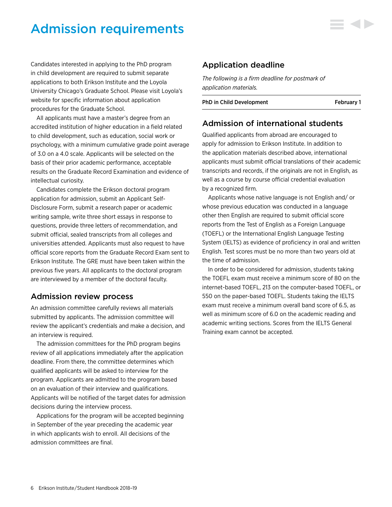# <span id="page-6-0"></span>Admission requirements

Candidates interested in applying to the PhD program in child development are required to submit separate applications to both Erikson Institute and the Loyola University Chicago's Graduate School. Please visit Loyola's website for specific information about application procedures for the Graduate School.

All applicants must have a master's degree from an accredited institution of higher education in a field related to child development, such as education, social work or psychology, with a minimum cumulative grade point average of 3.0 on a 4.0 scale. Applicants will be selected on the basis of their prior academic performance, acceptable results on the Graduate Record Examination and evidence of intellectual curiosity.

Candidates complete the Erikson doctoral program application for admission, submit an Applicant Self-Disclosure Form, submit a research paper or academic writing sample, write three short essays in response to questions, provide three letters of recommendation, and submit official, sealed transcripts from all colleges and universities attended. Applicants must also request to have official score reports from the Graduate Record Exam sent to Erikson Institute. The GRE must have been taken within the previous five years. All applicants to the doctoral program are interviewed by a member of the doctoral faculty.

# Admission review process

An admission committee carefully reviews all materials submitted by applicants. The admission committee will review the applicant's credentials and make a decision, and an interview is required.

The admission committees for the PhD program begins review of all applications immediately after the application deadline. From there, the committee determines which qualified applicants will be asked to interview for the program. Applicants are admitted to the program based on an evaluation of their interview and qualifications. Applicants will be notified of the target dates for admission decisions during the interview process.

Applications for the program will be accepted beginning in September of the year preceding the academic year in which applicants wish to enroll. All decisions of the admission committees are final.

# Application deadline

*The following is a firm deadline for postmark of application materials.*

PhD in Child Development February 1

# Admission of international students

Qualified applicants from abroad are encouraged to apply for admission to Erikson Institute. In addition to the application materials described above, international applicants must submit official translations of their academic transcripts and records, if the originals are not in English, as well as a course by course official credential evaluation by a recognized firm.

Applicants whose native language is not English and/ or whose previous education was conducted in a language other then English are required to submit official score reports from the Test of English as a Foreign Language (TOEFL) or the International English Language Testing System (IELTS) as evidence of proficiency in oral and written English. Test scores must be no more than two years old at the time of admission.

In order to be considered for admission, students taking the TOEFL exam must receive a minimum score of 80 on the internet-based TOEFL, 213 on the computer-based TOEFL, or 550 on the paper-based TOEFL. Students taking the IELTS exam must receive a minimum overall band score of 6.5, as well as minimum score of 6.0 on the academic reading and academic writing sections. Scores from the IELTS General Training exam cannot be accepted.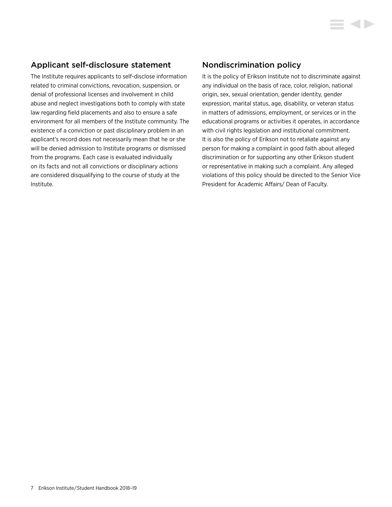# Applicant self-disclosure statement

The Institute requires applicants to self-disclose information related to criminal convictions, revocation, suspension, or denial of professional licenses and involvement in child abuse and neglect investigations both to comply with state law regarding field placements and also to ensure a safe environment for all members of the Institute community. The existence of a conviction or past disciplinary problem in an applicant's record does not necessarily mean that he or she will be denied admission to Institute programs or dismissed from the programs. Each case is evaluated individually on its facts and not all convictions or disciplinary actions are considered disqualifying to the course of study at the Institute.

# Nondiscrimination policy

It is the policy of Erikson Institute not to discriminate against any individual on the basis of race, color, religion, national origin, sex, sexual orientation, gender identity, gender expression, marital status, age, disability, or veteran status in matters of admissions, employment, or services or in the educational programs or activities it operates, in accordance with civil rights legislation and institutional commitment. It is also the policy of Erikson not to retaliate against any person for making a complaint in good faith about alleged discrimination or for supporting any other Erikson student or representative in making such a complaint. Any alleged violations of this policy should be directed to the Senior Vice President for Academic Affairs/ Dean of Faculty.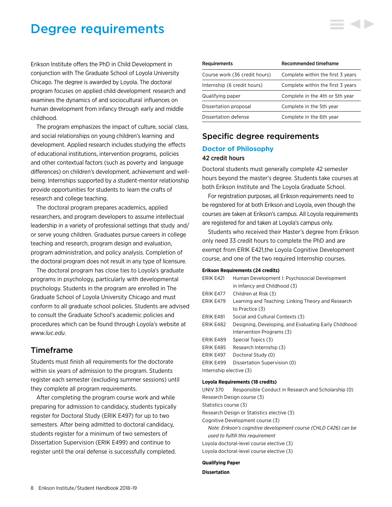# <span id="page-8-0"></span>Degree requirements

Erikson Institute offers the PhD in Child Development in conjunction with The Graduate School of Loyola University Chicago. The degree is awarded by Loyola. The doctoral program focuses on applied child development research and examines the dynamics of and sociocultural influences on human development from infancy through early and middle childhood.

The program emphasizes the impact of culture, social class, and social relationships on young children's learning and development. Applied research includes studying the effects of educational institutions, intervention programs, policies and other contextual factors (such as poverty and language differences) on children's development, achievement and wellbeing. Internships supported by a student-mentor relationship provide opportunities for students to learn the crafts of research and college teaching.

The doctoral program prepares academics, applied researchers, and program developers to assume intellectual leadership in a variety of professional settings that study and/ or serve young children. Graduates pursue careers in college teaching and research, program design and evaluation, program administration, and policy analysis. Completion of the doctoral program does not result in any type of licensure.

The doctoral program has close ties to Loyola's graduate programs in psychology, particularly with developmental psychology. Students in the program are enrolled in The Graduate School of Loyola University Chicago and must conform to all graduate school policies. Students are advised to consult the Graduate School's academic policies and procedures which can be found through Loyola's website at *[www.luc.edu](http://www.luc.edu)*.

# Timeframe

Students must finish all requirements for the doctorate within six years of admission to the program. Students register each semester (excluding summer sessions) until they complete all program requirements.

After completing the program course work and while preparing for admission to candidacy, students typically register for Doctoral Study (ERIK E497) for up to two semesters. After being admitted to doctoral candidacy, students register for a minimum of two semesters of Dissertation Supervision (ERIK E499) and continue to register until the oral defense is successfully completed.

| <b>Requirements</b>           | Recommended timeframe             |
|-------------------------------|-----------------------------------|
| Course work (36 credit hours) | Complete within the first 3 years |
| Internship (6 credit hours)   | Complete within the first 3 years |
| Qualifying paper              | Complete in the 4th or 5th year   |
| Dissertation proposal         | Complete in the 5th year          |
| Dissertation defense          | Complete in the 6th year          |

# Specific degree requirements

# **Doctor of Philosophy**

## 42 credit hours

Doctoral students must generally complete 42 semester hours beyond the master's degree. Students take courses at both Erikson Institute and The Loyola Graduate School.

For registration purposes, all Erikson requirements need to be registered for at both Erikson and Loyola, even though the courses are taken at Erikson's campus. All Loyola requirements are registered for and taken at Loyola's campus only.

Students who received their Master's degree from Erikson only need 33 credit hours to complete the PhD and are exempt from ERIK E421,the Loyola Cognitive Development course, and one of the two required Internship courses.

#### **Erikson Requirements (24 credits)**

| ERIK E421               | Human Development I: Psychosocial Development         |
|-------------------------|-------------------------------------------------------|
|                         | in Infancy and Childhood (3)                          |
| <b>ERIK E477</b>        | Children at Risk (3)                                  |
| ERIK E479               | Learning and Teaching: Linking Theory and Research    |
|                         | to Practice (3)                                       |
| ERIK E481               | Social and Cultural Contexts (3)                      |
| ERIK E482               | Designing, Developing, and Evaluating Early Childhood |
|                         | Intervention Programs (3)                             |
| ERIK E489               | Special Topics (3)                                    |
| ERIK E485               | Research Internship (3)                               |
| ERIK E497               | Doctoral Study (0)                                    |
| ERIK E499               | Dissertation Supervision (0)                          |
| Internship elective (3) |                                                       |

#### **Loyola Requirements (18 credits)**

UNIV 370 Responsible Conduct in Research and Scholarship (0) Research Design course (3) Statistics course (3) Research Design or Statistics elective (3) Cognitive Development course (3) *Note: Erikson's cognitive development course (CHLD C426) can be used to fulfill this requirement* Loyola doctoral-level course elective (3) Loyola doctoral-level course elective (3)

#### **Qualifying Paper**

## **Dissertation**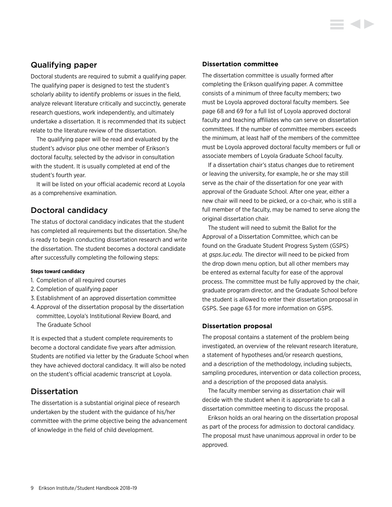# Qualifying paper

Doctoral students are required to submit a qualifying paper. The qualifying paper is designed to test the student's scholarly ability to identify problems or issues in the field, analyze relevant literature critically and succinctly, generate research questions, work independently, and ultimately undertake a dissertation. It is recommended that its subject relate to the literature review of the dissertation.

The qualifying paper will be read and evaluated by the student's advisor plus one other member of Erikson's doctoral faculty, selected by the advisor in consultation with the student. It is usually completed at end of the student's fourth year.

It will be listed on your official academic record at Loyola as a comprehensive examination.

# Doctoral candidacy

The status of doctoral candidacy indicates that the student has completed all requirements but the dissertation. She/he is ready to begin conducting dissertation research and write the dissertation. The student becomes a doctoral candidate after successfully completing the following steps:

# **Steps toward candidacy**

- 1. Completion of all required courses
- 2. Completion of qualifying paper
- 3. Establishment of an approved dissertation committee
- 4.Approval of the dissertation proposal by the dissertation committee, Loyola's Institutional Review Board, and The Graduate School

It is expected that a student complete requirements to become a doctoral candidate five years after admission. Students are notified via letter by the Graduate School when they have achieved doctoral candidacy. It will also be noted on the student's official academic transcript at Loyola.

# **Dissertation**

The dissertation is a substantial original piece of research undertaken by the student with the guidance of his/her committee with the prime objective being the advancement of knowledge in the field of child development.

# **Dissertation committee**

The dissertation committee is usually formed after completing the Erikson qualifying paper. A committee consists of a minimum of three faculty members; two must be Loyola approved doctoral faculty members. [See](#page-69-0)  [page 68 and 69](#page-69-0) for a full list of Loyola approved doctoral faculty and teaching affiliates who can serve on dissertation committees. If the number of committee members exceeds the minimum, at least half of the members of the committee must be Loyola approved doctoral faculty members or full or associate members of Loyola Graduate School faculty.

If a dissertation chair's status changes due to retirement or leaving the university, for example, he or she may still serve as the chair of the dissertation for one year with approval of the Graduate School. After one year, either a new chair will need to be picked, or a co-chair, who is still a full member of the faculty, may be named to serve along the original dissertation chair.

The student will need to submit the Ballot for the Approval of a Dissertation Committee, which can be found on the Graduate Student Progress System (GSPS) at *[gsps.luc.edu.](http://gsps.luc.edu)* The director will need to be picked from the drop down menu option, but all other members may be entered as external faculty for ease of the approval process. The committee must be fully approved by the chair, graduate program director, and the Graduate School before the student is allowed to enter their dissertation proposal in GSPS. [See page 63 for more information on GSPS.](#page-63-0)

# **Dissertation proposal**

The proposal contains a statement of the problem being investigated, an overview of the relevant research literature, a statement of hypotheses and/or research questions, and a description of the methodology, including subjects, sampling procedures, intervention or data collection process, and a description of the proposed data analysis.

The faculty member serving as dissertation chair will decide with the student when it is appropriate to call a dissertation committee meeting to discuss the proposal.

Erikson holds an oral hearing on the dissertation proposal as part of the process for admission to doctoral candidacy. The proposal must have unanimous approval in order to be approved.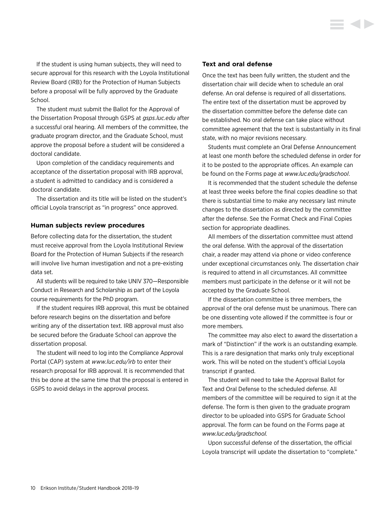If the student is using human subjects, they will need to secure approval for this research with the Loyola Institutional Review Board (IRB) for the Protection of Human Subjects before a proposal will be fully approved by the Graduate School.

The student must submit the Ballot for the Approval of the Dissertation Proposal through GSPS at *[gsps.luc.edu](http://gsps.luc.edu)* after a successful oral hearing. All members of the committee, the graduate program director, and the Graduate School, must approve the proposal before a student will be considered a doctoral candidate.

Upon completion of the candidacy requirements and acceptance of the dissertation proposal with IRB approval, a student is admitted to candidacy and is considered a doctoral candidate.

The dissertation and its title will be listed on the student's official Loyola transcript as "in progress" once approved.

# **Human subjects review procedures**

Before collecting data for the dissertation, the student must receive approval from the Loyola Institutional Review Board for the Protection of Human Subjects if the research will involve live human investigation and not a pre-existing data set.

All students will be required to take UNIV 370—Responsible Conduct in Research and Scholarship as part of the Loyola course requirements for the PhD program.

If the student requires IRB approval, this must be obtained before research begins on the dissertation and before writing any of the dissertation text. IRB approval must also be secured before the Graduate School can approve the dissertation proposal.

The student will need to log into the Compliance Approval Portal (CAP) system at *[www.luc.edu/irb](http://www.luc.edu/irb)* to enter their research proposal for IRB approval. It is recommended that this be done at the same time that the proposal is entered in GSPS to avoid delays in the approval process.

## **Text and oral defense**

Once the text has been fully written, the student and the dissertation chair will decide when to schedule an oral defense. An oral defense is required of all dissertations. The entire text of the dissertation must be approved by the dissertation committee before the defense date can be established. No oral defense can take place without committee agreement that the text is substantially in its final state, with no major revisions necessary.

Students must complete an Oral Defense Announcement at least one month before the scheduled defense in order for it to be posted to the appropriate offices. An example can be found on the Forms page at *[www.luc.edu/gradschool](http://www.luc.edu/gradschool)*.

It is recommended that the student schedule the defense at least three weeks before the final copies deadline so that there is substantial time to make any necessary last minute changes to the dissertation as directed by the committee after the defense. [See the Format Check and Final Copies](#page-11-0)  [section](#page-11-0) for appropriate deadlines.

All members of the dissertation committee must attend the oral defense. With the approval of the dissertation chair, a reader may attend via phone or video conference under exceptional circumstances only. The dissertation chair is required to attend in all circumstances. All committee members must participate in the defense or it will not be accepted by the Graduate School.

If the dissertation committee is three members, the approval of the oral defense must be unanimous. There can be one dissenting vote allowed if the committee is four or more members.

The committee may also elect to award the dissertation a mark of "Distinction" if the work is an outstanding example. This is a rare designation that marks only truly exceptional work. This will be noted on the student's official Loyola transcript if granted.

The student will need to take the Approval Ballot for Text and Oral Defense to the scheduled defense. All members of the committee will be required to sign it at the defense. The form is then given to the graduate program director to be uploaded into GSPS for Graduate School approval. The form can be found on the Forms page at *[www.luc.edu/gradschool.](http://www.luc.edu/gradschool)*

Upon successful defense of the dissertation, the official Loyola transcript will update the dissertation to "complete."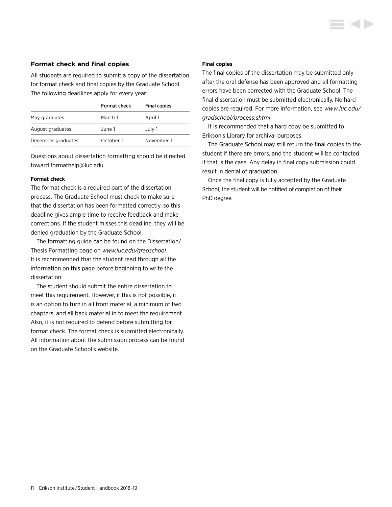## <span id="page-11-0"></span>**Format check and final copies**

All students are required to submit a copy of the dissertation for format check and final copies by the Graduate School. The following deadlines apply for every year:

|                    | Format check | <b>Final copies</b> |
|--------------------|--------------|---------------------|
| May graduates      | March 1      | April 1             |
| August graduates   | June 1       | July 1              |
| December graduates | October 1    | November 1          |

Questions about dissertation formatting should be directed toward [formathelp@luc.edu.](mailto:formathelp%40luc.edu?subject=)

#### **Format check**

The format check is a required part of the dissertation process. The Graduate School must check to make sure that the dissertation has been formatted correctly, so this deadline gives ample time to receive feedback and make corrections. If the student misses this deadline, they will be denied graduation by the Graduate School.

The formatting guide can be found on the Dissertation/ Thesis Formatting page on *[www.luc.edu/gradschool](mailto:alumniservices%40erikson.edu?subject=).* It is recommended that the student read through all the information on this page before beginning to write the dissertation.

The student should submit the entire dissertation to meet this requirement. However, if this is not possible, it is an option to turn in all front material, a minimum of two chapters, and all back material in to meet the requirement. Also, it is not required to defend before submitting for format check. The format check is submitted electronically. All information about the submission process can be found on the Graduate School's website.

#### **Final copies**

The final copies of the dissertation may be submitted only after the oral defense has been approved and all formatting errors have been corrected with the Graduate School. The final dissertation must be submitted electronically. No hard copies are required. For more information, see *[www.luc.edu/](http://www.luc.edu/gradschool/process.shtml) [gradschool/process.shtml](http://www.luc.edu/gradschool/process.shtml)*

It is recommended that a hard copy be submitted to Erikson's Library for archival purposes.

The Graduate School may still return the final copies to the student if there are errors, and the student will be contacted if that is the case. Any delay in final copy submission could result in denial of graduation.

Once the final copy is fully accepted by the Graduate School, the student will be notified of completion of their PhD degree.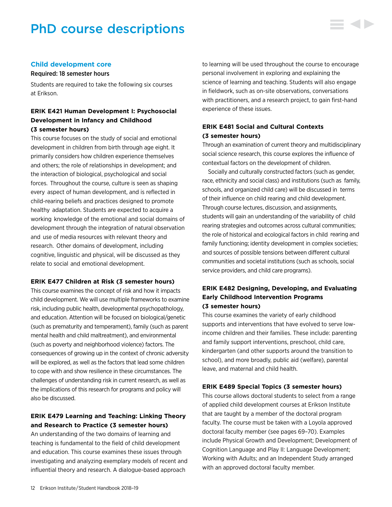# <span id="page-12-0"></span>PhD course descriptions



## **Child development core**

## Required: 18 semester hours

Students are required to take the following six courses at Erikson.

# **ERIK E421 Human Development I: Psychosocial Development in Infancy and Childhood (3 semester hours)**

This course focuses on the study of social and emotional development in children from birth through age eight. It primarily considers how children experience themselves and others; the role of relationships in development; and the interaction of biological, psychological and social forces. Throughout the course, culture is seen as shaping every aspect of human development, and is reflected in child-rearing beliefs and practices designed to promote healthy adaptation. Students are expected to acquire a working knowledge of the emotional and social domains of development through the integration of natural observation and use of media resources with relevant theory and research. Other domains of development, including cognitive, linguistic and physical, will be discussed as they relate to social and emotional development.

## **ERIK E477 Children at Risk (3 semester hours)**

This course examines the concept of risk and how it impacts child development. We will use multiple frameworks to examine risk, including public health, developmental psychopathology, and education. Attention will be focused on biological/genetic (such as prematurity and temperament), family (such as parent mental health and child maltreatment), and environmental (such as poverty and neighborhood violence) factors. The consequences of growing up in the context of chronic adversity will be explored, as well as the factors that lead some children to cope with and show resilience in these circumstances. The challenges of understanding risk in current research, as well as the implications of this research for programs and policy will also be discussed.

# **ERIK E479 Learning and Teaching: Linking Theory and Research to Practice (3 semester hours)**

An understanding of the two domains of learning and teaching is fundamental to the field of child development and education. This course examines these issues through investigating and analyzing exemplary models of recent and influential theory and research. A dialogue-based approach

to learning will be used throughout the course to encourage personal involvement in exploring and explaining the science of learning and teaching. Students will also engage in fieldwork, such as on-site observations, conversations with practitioners, and a research project, to gain first-hand experience of these issues.

# **ERIK E481 Social and Cultural Contexts (3 semester hours)**

Through an examination of current theory and multidisciplinary social science research, this course explores the influence of contextual factors on the development of children.

Socially and culturally constructed factors (such as gender, race, ethnicity and social class) and institutions (such as family, schools, and organized child care) will be discussed in terms of their influence on child rearing and child development. Through course lectures, discussion, and assignments, students will gain an understanding of the variability of child rearing strategies and outcomes across cultural communities; the role of historical and ecological factors in child rearing and family functioning; identity development in complex societies; and sources of possible tensions between different cultural communities and societal institutions (such as schools, social service providers, and child care programs).

# **ERIK E482 Designing, Developing, and Evaluating Early Childhood Intervention Programs (3 semester hours)**

This course examines the variety of early childhood supports and interventions that have evolved to serve lowincome children and their families. These include: parenting and family support interventions, preschool, child care, kindergarten (and other supports around the transition to school), and more broadly, public aid (welfare), parental leave, and maternal and child health.

# **ERIK E489 Special Topics (3 semester hours)**

This course allows doctoral students to select from a range of applied child development courses at Erikson Institute that are taught by a member of the doctoral program faculty. The course must be taken with a Loyola approved doctoral faculty member [\(see pages 69–70](#page-69-0)). Examples include Physical Growth and Development; Development of Cognition Language and Play II: Language Development; Working with Adults; and an Independent Study arranged with an approved doctoral faculty member.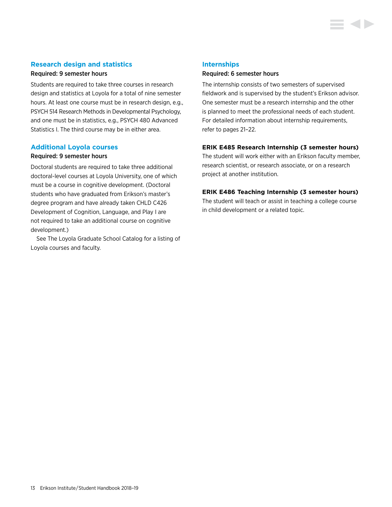# **Research design and statistics**

# Required: 9 semester hours

Students are required to take three courses in research design and statistics at Loyola for a total of nine semester hours. At least one course must be in research design, e.g., PSYCH 514 Research Methods in Developmental Psychology, and one must be in statistics, e.g., PSYCH 480 Advanced Statistics I. The third course may be in either area.

#### **Additional Loyola courses**

## Required: 9 semester hours

Doctoral students are required to take three additional doctoral-level courses at Loyola University, one of which must be a course in cognitive development. (Doctoral students who have graduated from Erikson's master's degree program and have already taken CHLD C426 Development of Cognition, Language, and Play I are not required to take an additional course on cognitive development.)

See The Loyola Graduate School Catalog for a listing of Loyola courses and faculty.

## **Internships**

## Required: 6 semester hours

The internship consists of two semesters of supervised fieldwork and is supervised by the student's Erikson advisor. One semester must be a research internship and the other is planned to meet the professional needs of each student. For detailed information about [internship requirements,](#page-21-0)  [refer to pages 21–22.](#page-21-0)

# **ERIK E485 Research Internship (3 semester hours)**

The student will work either with an Erikson faculty member, research scientist, or research associate, or on a research project at another institution.

## **ERIK E486 Teaching Internship (3 semester hours)**

The student will teach or assist in teaching a college course in child development or a related topic.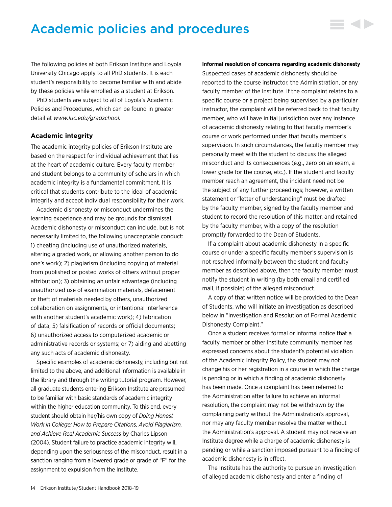# <span id="page-14-0"></span>Academic policies and procedures

The following policies at both Erikson Institute and Loyola University Chicago apply to all PhD students. It is each student's responsibility to become familiar with and abide by these policies while enrolled as a student at Erikson.

PhD students are subject to all of Loyola's Academic Policies and Procedures, which can be found in greater detail at *[www.luc.edu/gradschool](http://www.luc.edu/gradschool).*

## **Academic integrity**

The academic integrity policies of Erikson Institute are based on the respect for individual achievement that lies at the heart of academic culture. Every faculty member and student belongs to a community of scholars in which academic integrity is a fundamental commitment. It is critical that students contribute to the ideal of academic integrity and accept individual responsibility for their work.

Academic dishonesty or misconduct undermines the learning experience and may be grounds for dismissal. Academic dishonesty or misconduct can include, but is not necessarily limited to, the following unacceptable conduct: 1) cheating (including use of unauthorized materials, altering a graded work, or allowing another person to do one's work); 2) plagiarism (including copying of material from published or posted works of others without proper attribution); 3) obtaining an unfair advantage (including unauthorized use of examination materials, defacement or theft of materials needed by others, unauthorized collaboration on assignments, or intentional interference with another student's academic work); 4) fabrication of data; 5) falsification of records or official documents; 6) unauthorized access to computerized academic or administrative records or systems; or 7) aiding and abetting any such acts of academic dishonesty.

Specific examples of academic dishonesty, including but not limited to the above, and additional information is available in the library and through the writing tutorial program. However, all graduate students entering Erikson Institute are presumed to be familiar with basic standards of academic integrity within the higher education community. To this end, every student should obtain her/his own copy of *Doing Honest Work in College: How to Prepare Citations, Avoid Plagiarism, and Achieve Real Academic Success* by Charles Lipson (2004). Student failure to practice academic integrity will, depending upon the seriousness of the misconduct, result in a sanction ranging from a lowered grade or grade of "F" for the assignment to expulsion from the Institute.

#### **Informal resolution of concerns regarding academic dishonesty**

▄▗▎▙

Suspected cases of academic dishonesty should be reported to the course instructor, the Administration, or any faculty member of the Institute. If the complaint relates to a specific course or a project being supervised by a particular instructor, the complaint will be referred back to that faculty member, who will have initial jurisdiction over any instance of academic dishonesty relating to that faculty member's course or work performed under that faculty member's supervision. In such circumstances, the faculty member may personally meet with the student to discuss the alleged misconduct and its consequences (e.g., zero on an exam, a lower grade for the course, etc.). If the student and faculty member reach an agreement, the incident need not be the subject of any further proceedings; however, a written statement or "letter of understanding" must be drafted by the faculty member, signed by the faculty member and student to record the resolution of this matter, and retained by the faculty member, with a copy of the resolution promptly forwarded to the Dean of Students.

If a complaint about academic dishonesty in a specific course or under a specific faculty member's supervision is not resolved informally between the student and faculty member as described above, then the faculty member must notify the student in writing (by both email and certified mail, if possible) of the alleged misconduct.

A copy of that written notice will be provided to the Dean of Students, who will initiate an investigation as described below in "Investigation and Resolution of Formal Academic Dishonesty Complaint."

Once a student receives formal or informal notice that a faculty member or other Institute community member has expressed concerns about the student's potential violation of the Academic Integrity Policy, the student may not change his or her registration in a course in which the charge is pending or in which a finding of academic dishonesty has been made. Once a complaint has been referred to the Administration after failure to achieve an informal resolution, the complaint may not be withdrawn by the complaining party without the Administration's approval, nor may any faculty member resolve the matter without the Administration's approval. A student may not receive an Institute degree while a charge of academic dishonesty is pending or while a sanction imposed pursuant to a finding of academic dishonesty is in effect.

The Institute has the authority to pursue an investigation of alleged academic dishonesty and enter a finding of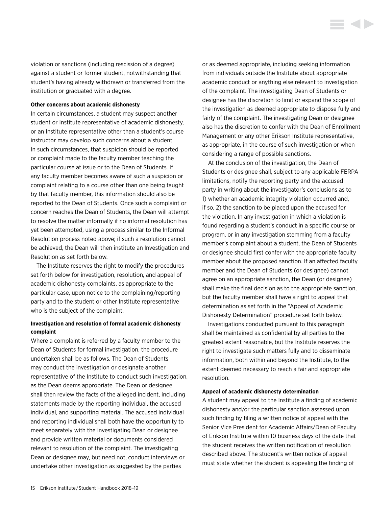violation or sanctions (including rescission of a degree) against a student or former student, notwithstanding that student's having already withdrawn or transferred from the institution or graduated with a degree.

#### **Other concerns about academic dishonesty**

In certain circumstances, a student may suspect another student or Institute representative of academic dishonesty, or an Institute representative other than a student's course instructor may develop such concerns about a student. In such circumstances, that suspicion should be reported or complaint made to the faculty member teaching the particular course at issue or to the Dean of Students. If any faculty member becomes aware of such a suspicion or complaint relating to a course other than one being taught by that faculty member, this information should also be reported to the Dean of Students. Once such a complaint or concern reaches the Dean of Students, the Dean will attempt to resolve the matter informally if no informal resolution has yet been attempted, using a process similar to the Informal Resolution process noted above; if such a resolution cannot be achieved, the Dean will then institute an Investigation and Resolution as set forth below.

The Institute reserves the right to modify the procedures set forth below for investigation, resolution, and appeal of academic dishonesty complaints, as appropriate to the particular case, upon notice to the complaining/reporting party and to the student or other Institute representative who is the subject of the complaint.

# **Investigation and resolution of formal academic dishonesty complaint**

Where a complaint is referred by a faculty member to the Dean of Students for formal investigation, the procedure undertaken shall be as follows. The Dean of Students may conduct the investigation or designate another representative of the Institute to conduct such investigation, as the Dean deems appropriate. The Dean or designee shall then review the facts of the alleged incident, including statements made by the reporting individual, the accused individual, and supporting material. The accused individual and reporting individual shall both have the opportunity to meet separately with the investigating Dean or designee and provide written material or documents considered relevant to resolution of the complaint. The investigating Dean or designee may, but need not, conduct interviews or undertake other investigation as suggested by the parties

or as deemed appropriate, including seeking information from individuals outside the Institute about appropriate academic conduct or anything else relevant to investigation of the complaint. The investigating Dean of Students or designee has the discretion to limit or expand the scope of the investigation as deemed appropriate to dispose fully and fairly of the complaint. The investigating Dean or designee also has the discretion to confer with the Dean of Enrollment Management or any other Erikson Institute representative, as appropriate, in the course of such investigation or when considering a range of possible sanctions.

i di b

At the conclusion of the investigation, the Dean of Students or designee shall, subject to any applicable FERPA limitations, notify the reporting party and the accused party in writing about the investigator's conclusions as to 1) whether an academic integrity violation occurred and, if so, 2) the sanction to be placed upon the accused for the violation. In any investigation in which a violation is found regarding a student's conduct in a specific course or program, or in any investigation stemming from a faculty member's complaint about a student, the Dean of Students or designee should first confer with the appropriate faculty member about the proposed sanction. If an affected faculty member and the Dean of Students (or designee) cannot agree on an appropriate sanction, the Dean (or designee) shall make the final decision as to the appropriate sanction, but the faculty member shall have a right to appeal that determination as set forth in the "Appeal of Academic Dishonesty Determination" procedure set forth below.

Investigations conducted pursuant to this paragraph shall be maintained as confidential by all parties to the greatest extent reasonable, but the Institute reserves the right to investigate such matters fully and to disseminate information, both within and beyond the Institute, to the extent deemed necessary to reach a fair and appropriate resolution.

#### **Appeal of academic dishonesty determination**

A student may appeal to the Institute a finding of academic dishonesty and/or the particular sanction assessed upon such finding by filing a written notice of appeal with the Senior Vice President for Academic Affairs/Dean of Faculty of Erikson Institute within 10 business days of the date that the student receives the written notification of resolution described above. The student's written notice of appeal must state whether the student is appealing the finding of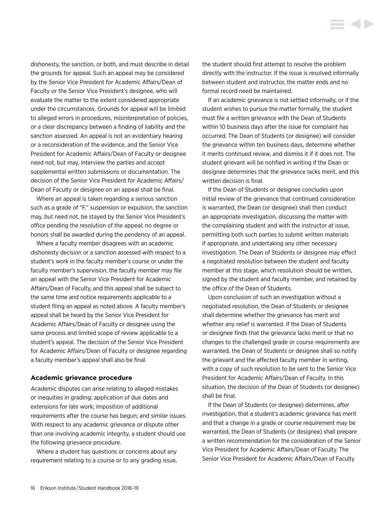<span id="page-16-0"></span>dishonesty, the sanction, or both, and must describe in detail the grounds for appeal. Such an appeal may be considered by the Senior Vice President for Academic Affairs/Dean of Faculty or the Senior Vice President's designee, who will evaluate the matter to the extent considered appropriate under the circumstances. Grounds for appeal will be limited to alleged errors in procedures, misinterpretation of policies, or a clear discrepancy between a finding of liability and the sanction assessed. An appeal is not an evidentiary hearing or a reconsideration of the evidence, and the Senior Vice President for Academic Affairs/Dean of Faculty or designee need not, but may, interview the parties and accept supplemental written submissions or documentation. The decision of the Senior Vice President for Academic Affairs/ Dean of Faculty or designee on an appeal shall be final.

Where an appeal is taken regarding a serious sanction such as a grade of "F," suspension or expulsion, the sanction may, but need not, be stayed by the Senior Vice President's office pending the resolution of the appeal; no degree or honors shall be awarded during the pendency of an appeal.

Where a faculty member disagrees with an academic dishonesty decision or a sanction assessed with respect to a student's work in the faculty member's course or under the faculty member's supervision, the faculty member may file an appeal with the Senior Vice President for Academic Affairs/Dean of Faculty, and this appeal shall be subject to the same time and notice requirements applicable to a student filing an appeal as noted above. A faculty member's appeal shall be heard by the Senior Vice President for Academic Affairs/Dean of Faculty or designee using the same process and limited scope of review applicable to a student's appeal. The decision of the Senior Vice President for Academic Affairs/Dean of Faculty or designee regarding a faculty member's appeal shall also be final.

### **Academic grievance procedure**

Academic disputes can arise relating to alleged mistakes or inequities in grading; application of due dates and extensions for late work; imposition of additional requirements after the course has begun; and similar issues. With respect to any academic grievance or dispute other than one involving academic integrity, a student should use the following grievance procedure.

Where a student has questions or concerns about any requirement relating to a course or to any grading issue, the student should first attempt to resolve the problem directly with the instructor. If the issue is resolved informally between student and instructor, the matter ends and no formal record need be maintained.

If an academic grievance is not settled informally, or if the student wishes to pursue the matter formally, the student must file a written grievance with the Dean of Students within 10 business days after the issue for complaint has occurred. The Dean of Students (or designee) will consider the grievance within ten business days, determine whether it merits continued review, and dismiss it if it does not. The student grievant will be notified in writing if the Dean or designee determines that the grievance lacks merit, and this written decision is final.

If the Dean of Students or designee concludes upon initial review of the grievance that continued consideration is warranted, the Dean (or designee) shall then conduct an appropriate investigation, discussing the matter with the complaining student and with the instructor at issue, permitting both such parties to submit written materials if appropriate, and undertaking any other necessary investigation. The Dean of Students or designee may effect a negotiated resolution between the student and faculty member at this stage, which resolution should be written, signed by the student and faculty member, and retained by the office of the Dean of Students.

Upon conclusion of such an investigation without a negotiated resolution, the Dean of Students or designee shall determine whether the grievance has merit and whether any relief is warranted. If the Dean of Students or designee finds that the grievance lacks merit or that no changes to the challenged grade or course requirements are warranted, the Dean of Students or designee shall so notify the grievant and the affected faculty member in writing, with a copy of such resolution to be sent to the Senior Vice President for Academic Affairs/Dean of Faculty. In this situation, the decision of the Dean of Students (or designee) shall be final.

If the Dean of Students (or designee) determines, after investigation, that a student's academic grievance has merit and that a change in a grade or course requirement may be warranted, the Dean of Students (or designee) shall prepare a written recommendation for the consideration of the Senior Vice President for Academic Affairs/Dean of Faculty. The Senior Vice President for Academic Affairs/Dean of Faculty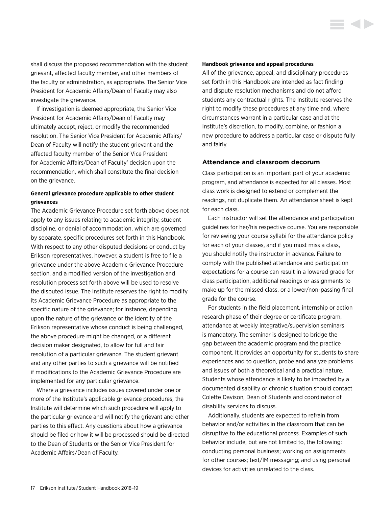<span id="page-17-0"></span>shall discuss the proposed recommendation with the student grievant, affected faculty member, and other members of the faculty or administration, as appropriate. The Senior Vice President for Academic Affairs/Dean of Faculty may also investigate the grievance.

If investigation is deemed appropriate, the Senior Vice President for Academic Affairs/Dean of Faculty may ultimately accept, reject, or modify the recommended resolution. The Senior Vice President for Academic Affairs/ Dean of Faculty will notify the student grievant and the affected faculty member of the Senior Vice President for Academic Affairs/Dean of Faculty' decision upon the recommendation, which shall constitute the final decision on the grievance.

# **General grievance procedure applicable to other student grievances**

The Academic Grievance Procedure set forth above does not apply to any issues relating to academic integrity, student discipline, or denial of accommodation, which are governed by separate, specific procedures set forth in this Handbook. With respect to any other disputed decisions or conduct by Erikson representatives, however, a student is free to file a grievance under the above Academic Grievance Procedure section, and a modified version of the investigation and resolution process set forth above will be used to resolve the disputed issue. The Institute reserves the right to modify its Academic Grievance Procedure as appropriate to the specific nature of the grievance; for instance, depending upon the nature of the grievance or the identity of the Erikson representative whose conduct is being challenged, the above procedure might be changed, or a different decision maker designated, to allow for full and fair resolution of a particular grievance. The student grievant and any other parties to such a grievance will be notified if modifications to the Academic Grievance Procedure are implemented for any particular grievance.

Where a grievance includes issues covered under one or more of the Institute's applicable grievance procedures, the Institute will determine which such procedure will apply to the particular grievance and will notify the grievant and other parties to this effect. Any questions about how a grievance should be filed or how it will be processed should be directed to the Dean of Students or the Senior Vice President for Academic Affairs/Dean of Faculty.

#### **Handbook grievance and appeal procedures**

All of the grievance, appeal, and disciplinary procedures set forth in this Handbook are intended as fact finding and dispute resolution mechanisms and do not afford students any contractual rights. The Institute reserves the right to modify these procedures at any time and, where circumstances warrant in a particular case and at the Institute's discretion, to modify, combine, or fashion a new procedure to address a particular case or dispute fully and fairly.

**SALE** 

## **Attendance and classroom decorum**

Class participation is an important part of your academic program, and attendance is expected for all classes. Most class work is designed to extend or complement the readings, not duplicate them. An attendance sheet is kept for each class.

Each instructor will set the attendance and participation guidelines for her/his respective course. You are responsible for reviewing your course syllabi for the attendance policy for each of your classes, and if you must miss a class, you should notify the instructor in advance. Failure to comply with the published attendance and participation expectations for a course can result in a lowered grade for class participation, additional readings or assignments to make up for the missed class, or a lower/non-passing final grade for the course.

For students in the field placement, internship or action research phase of their degree or certificate program, attendance at weekly integrative/supervision seminars is mandatory. The seminar is designed to bridge the gap between the academic program and the practice component. It provides an opportunity for students to share experiences and to question, probe and analyze problems and issues of both a theoretical and a practical nature. Students whose attendance is likely to be impacted by a documented disability or chronic situation should contact Colette Davison, Dean of Students and coordinator of disability services to discuss.

Additionally, students are expected to refrain from behavior and/or activities in the classroom that can be disruptive to the educational process. Examples of such behavior include, but are not limited to, the following: conducting personal business; working on assignments for other courses; text/IM messaging; and using personal devices for activities unrelated to the class.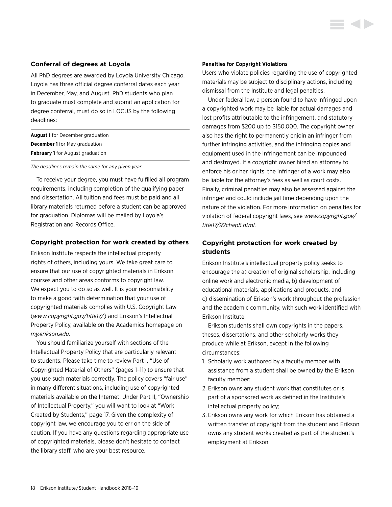## <span id="page-18-0"></span>**Conferral of degrees at Loyola**

All PhD degrees are awarded by Loyola University Chicago. Loyola has three official degree conferral dates each year in December, May, and August. PhD students who plan to graduate must complete and submit an application for degree conferral, must do so in LOCUS by the following deadlines:

| <b>August 1</b> for December graduation |  |  |
|-----------------------------------------|--|--|
| <b>December 1</b> for May graduation    |  |  |
| <b>February 1</b> for August graduation |  |  |

*The deadlines remain the same for any given year.* 

To receive your degree, you must have fulfilled all program requirements, including completion of the qualifying paper and dissertation. All tuition and fees must be paid and all library materials returned before a student can be approved for graduation. Diplomas will be mailed by Loyola's Registration and Records Office.

## **Copyright protection for work created by others**

Erikson Institute respects the intellectual property rights of others, including yours. We take great care to ensure that our use of copyrighted materials in Erikson courses and other areas conforms to copyright law. We expect you to do so as well. It is your responsibility to make a good faith determination that your use of copyrighted materials complies with U.S. Copyright Law (*[www.copyright.gov/title17/](http://www.copyright.gov/title17/)*) and Erikson's Intellectual Property Policy, available on the Academics homepage on *[my.erikson.edu.](http://my.erikson.edu)*

You should familiarize yourself with sections of the Intellectual Property Policy that are particularly relevant to students. Please take time to review Part I, "Use of Copyrighted Material of Others" (pages 1–11) to ensure that you use such materials correctly. The policy covers "fair use" in many different situations, including use of copyrighted materials available on the Internet. Under Part II, "Ownership of Intellectual Property," you will want to look at "Work Created by Students," page 17. Given the complexity of copyright law, we encourage you to err on the side of caution. If you have any questions regarding appropriate use of copyrighted materials, please don't hesitate to contact the library staff, who are your best resource.

#### **Penalties for Copyright Violations**

Users who violate policies regarding the use of copyrighted materials may be subject to disciplinary actions, including dismissal from the Institute and legal penalties.

Under federal law, a person found to have infringed upon a copyrighted work may be liable for actual damages and lost profits attributable to the infringement, and statutory damages from \$200 up to \$150,000. The copyright owner also has the right to permanently enjoin an infringer from further infringing activities, and the infringing copies and equipment used in the infringement can be impounded and destroyed. If a copyright owner hired an attorney to enforce his or her rights, the infringer of a work may also be liable for the attorney's fees as well as court costs. Finally, criminal penalties may also be assessed against the infringer and could include jail time depending upon the nature of the violation. For more information on penalties for violation of federal copyright laws, see *[www.copyright.gov/](http://www.copyright.gov/title17/92chap5.html) [title17/92chap5.html.](http://www.copyright.gov/title17/92chap5.html)*

# **Copyright protection for work created by students**

Erikson Institute's intellectual property policy seeks to encourage the a) creation of original scholarship, including online work and electronic media, b) development of educational materials, applications and products, and c) dissemination of Erikson's work throughout the profession and the academic community, with such work identified with Erikson Institute.

Erikson students shall own copyrights in the papers, theses, dissertations, and other scholarly works they produce while at Erikson, except in the following circumstances:

- 1. Scholarly work authored by a faculty member with assistance from a student shall be owned by the Erikson faculty member;
- 2. Erikson owns any student work that constitutes or is part of a sponsored work as defined in the Institute's intellectual property policy;
- 3. Erikson owns any work for which Erikson has obtained a written transfer of copyright from the student and Erikson owns any student works created as part of the student's employment at Erikson.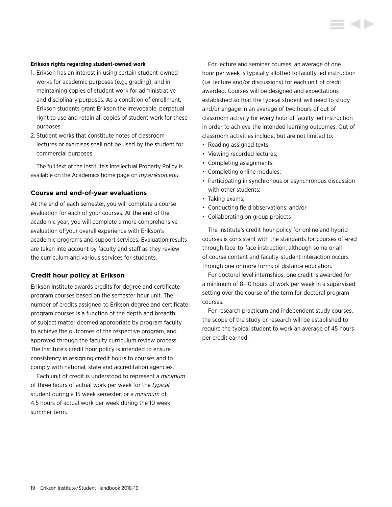### <span id="page-19-0"></span>**Erikson rights regarding student-owned work**

- 1. Erikson has an interest in using certain student-owned works for academic purposes (e.g., grading), and in maintaining copies of student work for administrative and disciplinary purposes. As a condition of enrollment, Erikson students grant Erikson the irrevocable, perpetual right to use and retain all copies of student work for these purposes.
- 2. Student works that constitute notes of classroom lectures or exercises shall not be used by the student for commercial purposes.

The full text of the Institute's Intellectual Property Policy is available on the Academics home page on *[my.erikson.edu](http://my.erikson.edu).*

# **Course and end-of-year evaluations**

At the end of each semester, you will complete a course evaluation for each of your courses. At the end of the academic year, you will complete a more comprehensive evaluation of your overall experience with Erikson's academic programs and support services. Evaluation results are taken into account by faculty and staff as they review the curriculum and various services for students.

## **Credit hour policy at Erikson**

Erikson Institute awards credits for degree and certificate program courses based on the semester hour unit. The number of credits assigned to Erikson degree and certificate program courses is a function of the depth and breadth of subject matter deemed appropriate by program faculty to achieve the outcomes of the respective program, and approved through the faculty curriculum review process. The Institute's credit hour policy is intended to ensure consistency in assigning credit hours to courses and to comply with national, state and accreditation agencies.

Each unit of credit is understood to represent a *minimum* of three hours of actual work per week for the *typical* student during a 15 week semester, or a *minimum* of 4.5 hours of actual work per week during the 10 week summer term.

For lecture and seminar courses, an average of one hour per week is typically allotted to faculty led instruction (i.e. lecture and/or discussions) for each unit of credit awarded. Courses will be designed and expectations established so that the typical student will need to study and/or engage in an average of two hours of out of classroom activity for every hour of faculty led instruction in order to achieve the intended learning outcomes. Out of classroom activities include, but are not limited to:

- Reading assigned texts;
- Viewing recorded lectures;
- Completing assignments;
- Completing online modules;
- Participating in synchronous or asynchronous discussion with other students;
- Taking exams;
- Conducting field observations; and/or
- Collaborating on group projects

The Institute's credit hour policy for online and hybrid courses is consistent with the standards for courses offered through face-to-face instruction, although some or all of course content and faculty-student interaction occurs through one or more forms of distance education.

For doctoral level internships, one credit is awarded for a minimum of 8–10 hours of work per week in a supervised setting over the course of the term for doctoral program courses.

For research practicum and independent study courses, the scope of the study or research will be established to require the typical student to work an average of 45 hours per credit earned.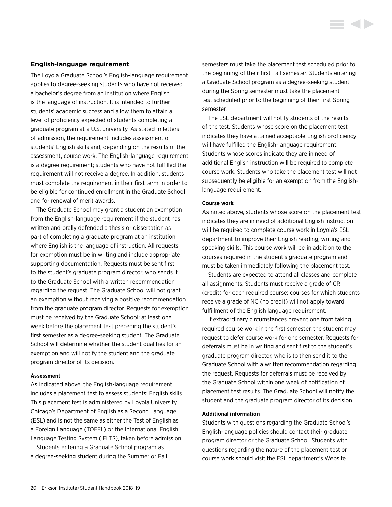### <span id="page-20-0"></span>**English-language requirement**

The Loyola Graduate School's English-language requirement applies to degree-seeking students who have not received a bachelor's degree from an institution where English is the language of instruction. It is intended to further students' academic success and allow them to attain a level of proficiency expected of students completing a graduate program at a U.S. university. As stated in letters of admission, the requirement includes assessment of students' English skills and, depending on the results of the assessment, course work. The English-language requirement is a degree requirement; students who have not fulfilled the requirement will not receive a degree. In addition, students must complete the requirement in their first term in order to be eligible for continued enrollment in the Graduate School and for renewal of merit awards.

The Graduate School may grant a student an exemption from the English-language requirement if the student has written and orally defended a thesis or dissertation as part of completing a graduate program at an institution where English is the language of instruction. All requests for exemption must be in writing and include appropriate supporting documentation. Requests must be sent first to the student's graduate program director, who sends it to the Graduate School with a written recommendation regarding the request. The Graduate School will not grant an exemption without receiving a positive recommendation from the graduate program director. Requests for exemption must be received by the Graduate School: at least one week before the placement test preceding the student's first semester as a degree-seeking student. The Graduate School will determine whether the student qualifies for an exemption and will notify the student and the graduate program director of its decision.

#### **Assessment**

As indicated above, the English-language requirement includes a placement test to assess students' English skills. This placement test is administered by Loyola University Chicago's Department of English as a Second Language (ESL) and is not the same as either the Test of English as a Foreign Language (TOEFL) or the International English Language Testing System (IELTS), taken before admission.

Students entering a Graduate School program as a degree-seeking student during the Summer or Fall semesters must take the placement test scheduled prior to the beginning of their first Fall semester. Students entering a Graduate School program as a degree-seeking student during the Spring semester must take the placement test scheduled prior to the beginning of their first Spring semester.

The ESL department will notify students of the results of the test. Students whose score on the placement test indicates they have attained acceptable English proficiency will have fulfilled the English-language requirement. Students whose scores indicate they are in need of additional English instruction will be required to complete course work. Students who take the placement test will not subsequently be eligible for an exemption from the Englishlanguage requirement.

#### **Course work**

As noted above, students whose score on the placement test indicates they are in need of additional English instruction will be required to complete course work in Loyola's ESL department to improve their English reading, writing and speaking skills. This course work will be in addition to the courses required in the student's graduate program and must be taken immediately following the placement test.

Students are expected to attend all classes and complete all assignments. Students must receive a grade of CR (credit) for each required course; courses for which students receive a grade of NC (no credit) will not apply toward fulfillment of the English language requirement.

If extraordinary circumstances prevent one from taking required course work in the first semester, the student may request to defer course work for one semester. Requests for deferrals must be in writing and sent first to the student's graduate program director, who is to then send it to the Graduate School with a written recommendation regarding the request. Requests for deferrals must be received by the Graduate School within one week of notification of placement test results. The Graduate School will notify the student and the graduate program director of its decision.

#### **Additional information**

Students with questions regarding the Graduate School's English-language policies should contact their graduate program director or the Graduate School. Students with questions regarding the nature of the placement test or course work should visit the ESL department's Website.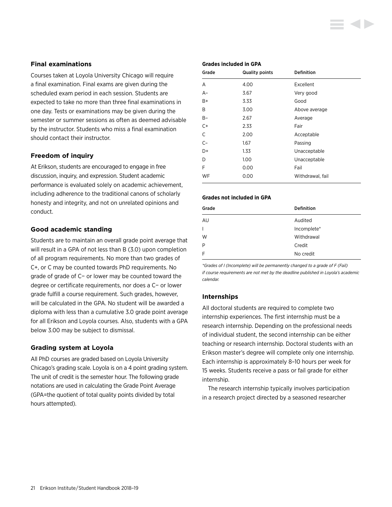# <span id="page-21-0"></span>**Final examinations**

Courses taken at Loyola University Chicago will require a final examination. Final exams are given during the scheduled exam period in each session. Students are expected to take no more than three final examinations in one day. Tests or examinations may be given during the semester or summer sessions as often as deemed advisable by the instructor. Students who miss a final examination should contact their instructor.

# **Freedom of inquiry**

At Erikson, students are encouraged to engage in free discussion, inquiry, and expression. Student academic performance is evaluated solely on academic achievement, including adherence to the traditional canons of scholarly honesty and integrity, and not on unrelated opinions and conduct.

## **Good academic standing**

Students are to maintain an overall grade point average that will result in a GPA of not less than B (3.0) upon completion of all program requirements. No more than two grades of C+, or C may be counted towards PhD requirements. No grade of grade of C− or lower may be counted toward the degree or certificate requirements, nor does a C− or lower grade fulfill a course requirement. Such grades, however, will be calculated in the GPA. No student will be awarded a diploma with less than a cumulative 3.0 grade point average for all Erikson and Loyola courses. Also, students with a GPA below 3.00 may be subject to dismissal.

## **Grading system at Loyola**

All PhD courses are graded based on Loyola University Chicago's grading scale. Loyola is on a 4 point grading system. The unit of credit is the semester hour. The following grade notations are used in calculating the Grade Point Average (GPA=the quotient of total quality points divided by total hours attempted).

### **Grades included in GPA**

| Grade | <b>Quality points</b> | <b>Definition</b> |
|-------|-----------------------|-------------------|
| A     | 4.00                  | Excellent         |
| $A-$  | 3.67                  | Very good         |
| B+    | 3.33                  | Good              |
| B     | 3.00                  | Above average     |
| $B -$ | 2.67                  | Average           |
| $C+$  | 2.33                  | Fair              |
| C     | 2.00                  | Acceptable        |
| $C-$  | 1.67                  | Passing           |
| D+    | 1.33                  | Unacceptable      |
| D     | 1.00                  | Unacceptable      |
| F     | 0.00                  | Fail              |
| WF    | 0.00                  | Withdrawal, fail  |

#### **Grades not included in GPA**

| Grade        | <b>Definition</b> |
|--------------|-------------------|
| AU           | Audited           |
| $\mathsf{L}$ | Incomplete*       |
| W            | Withdrawal        |
| P            | Credit            |
| F            | No credit         |

*\*Grades of I (Incomplete) will be permanently changed to a grade of F (Fail) if course requirements are not met by the deadline published in Loyola's academic calendar.*

## **Internships**

All doctoral students are required to complete two internship experiences. The first internship must be a research internship. Depending on the professional needs of individual student, the second internship can be either teaching or research internship. Doctoral students with an Erikson master's degree will complete only one internship. Each internship is approximately 8–10 hours per week for 15 weeks. Students receive a pass or fail grade for either internship.

The research internship typically involves participation in a research project directed by a seasoned researcher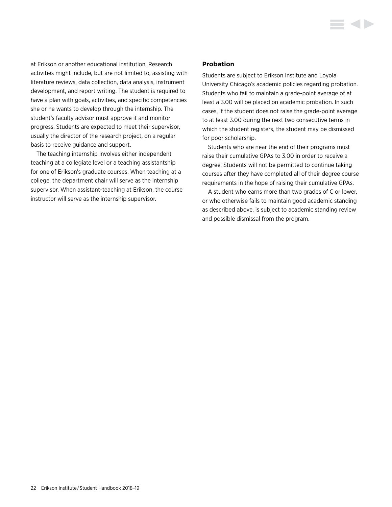<span id="page-22-0"></span>at Erikson or another educational institution. Research activities might include, but are not limited to, assisting with literature reviews, data collection, data analysis, instrument development, and report writing. The student is required to have a plan with goals, activities, and specific competencies she or he wants to develop through the internship. The student's faculty advisor must approve it and monitor progress. Students are expected to meet their supervisor, usually the director of the research project, on a regular basis to receive guidance and support.

The teaching internship involves either independent teaching at a collegiate level or a teaching assistantship for one of Erikson's graduate courses. When teaching at a college, the department chair will serve as the internship supervisor. When assistant-teaching at Erikson, the course instructor will serve as the internship supervisor.

## **Probation**

Students are subject to Erikson Institute and Loyola University Chicago's academic policies regarding probation. Students who fail to maintain a grade-point average of at least a 3.00 will be placed on academic probation. In such cases, if the student does not raise the grade-point average to at least 3.00 during the next two consecutive terms in which the student registers, the student may be dismissed for poor scholarship.

Students who are near the end of their programs must raise their cumulative GPAs to 3.00 in order to receive a degree. Students will not be permitted to continue taking courses after they have completed all of their degree course requirements in the hope of raising their cumulative GPAs.

A student who earns more than two grades of C or lower, or who otherwise fails to maintain good academic standing as described above, is subject to academic standing review and possible dismissal from the program.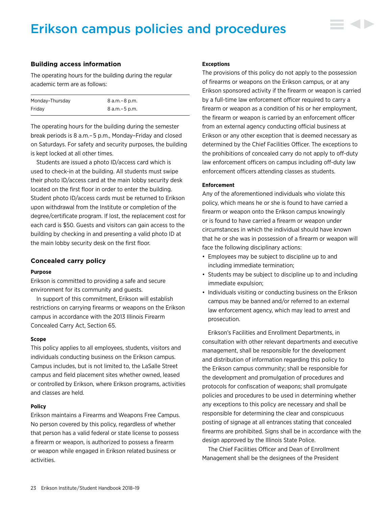# <span id="page-23-0"></span>Erikson campus policies and procedures



The operating hours for the building during the regular academic term are as follows:

| Monday-Thursday | 8 a.m. – 8 p.m. |
|-----------------|-----------------|
| Fridav          | 8 a.m. – 5 p.m. |

The operating hours for the building during the semester break periods is 8 a.m.– 5 p.m., Monday–Friday and closed on Saturdays. For safety and security purposes, the building is kept locked at all other times.

Students are issued a photo ID/access card which is used to check-in at the building. All students must swipe their photo ID/access card at the main lobby security desk located on the first floor in order to enter the building. Student photo ID/access cards must be returned to Erikson upon withdrawal from the Institute or completion of the degree/certificate program. If lost, the replacement cost for each card is \$50. Guests and visitors can gain access to the building by checking in and presenting a valid photo ID at the main lobby security desk on the first floor.

## **Concealed carry policy**

#### **Purpose**

Erikson is committed to providing a safe and secure environment for its community and guests.

In support of this commitment, Erikson will establish restrictions on carrying firearms or weapons on the Erikson campus in accordance with the 2013 Illinois Firearm Concealed Carry Act, Section 65.

#### **Scope**

This policy applies to all employees, students, visitors and individuals conducting business on the Erikson campus. Campus includes, but is not limited to, the LaSalle Street campus and field placement sites whether owned, leased or controlled by Erikson, where Erikson programs, activities and classes are held.

#### **Policy**

Erikson maintains a Firearms and Weapons Free Campus. No person covered by this policy, regardless of whether that person has a valid federal or state license to possess a firearm or weapon, is authorized to possess a firearm or weapon while engaged in Erikson related business or activities.

#### **Exceptions**

The provisions of this policy do not apply to the possession of firearms or weapons on the Erikson campus, or at any Erikson sponsored activity if the firearm or weapon is carried by a full-time law enforcement officer required to carry a firearm or weapon as a condition of his or her employment, the firearm or weapon is carried by an enforcement officer from an external agency conducting official business at Erikson or any other exception that is deemed necessary as determined by the Chief Facilities Officer. The exceptions to the prohibitions of concealed carry do not apply to off-duty law enforcement officers on campus including off-duty law enforcement officers attending classes as students.

#### **Enforcement**

Any of the aforementioned individuals who violate this policy, which means he or she is found to have carried a firearm or weapon onto the Erikson campus knowingly or is found to have carried a firearm or weapon under circumstances in which the individual should have known that he or she was in possession of a firearm or weapon will face the following disciplinary actions:

- Employees may be subject to discipline up to and including immediate termination;
- Students may be subject to discipline up to and including immediate expulsion;
- Individuals visiting or conducting business on the Erikson campus may be banned and/or referred to an external law enforcement agency, which may lead to arrest and prosecution.

Erikson's Facilities and Enrollment Departments, in consultation with other relevant departments and executive management, shall be responsible for the development and distribution of information regarding this policy to the Erikson campus community; shall be responsible for the development and promulgation of procedures and protocols for confiscation of weapons; shall promulgate policies and procedures to be used in determining whether any exceptions to this policy are necessary and shall be responsible for determining the clear and conspicuous posting of signage at all entrances stating that concealed firearms are prohibited. Signs shall be in accordance with the design approved by the Illinois State Police.

The Chief Facilities Officer and Dean of Enrollment Management shall be the designees of the President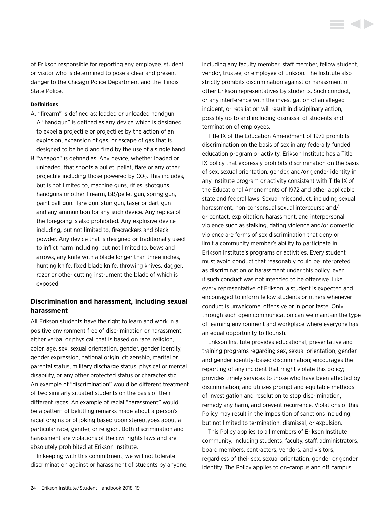<span id="page-24-0"></span>of Erikson responsible for reporting any employee, student or visitor who is determined to pose a clear and present danger to the Chicago Police Department and the Illinois State Police.

### **Definitions**

- A. "firearm" is defined as: loaded or unloaded handgun. A "handgun" is defined as any device which is designed to expel a projectile or projectiles by the action of an explosion, expansion of gas, or escape of gas that is designed to be held and fired by the use of a single hand.
- B. "weapon" is defined as: Any device, whether loaded or unloaded, that shoots a bullet, pellet, flare or any other projectile including those powered by  $CO<sub>2</sub>$ . This includes, but is not limited to, machine guns, rifles, shotguns, handguns or other firearm, BB/pellet gun, spring gun, paint ball gun, flare gun, stun gun, taser or dart gun and any ammunition for any such device. Any replica of the foregoing is also prohibited. Any explosive device including, but not limited to, firecrackers and black powder. Any device that is designed or traditionally used to inflict harm including, but not limited to, bows and arrows, any knife with a blade longer than three inches, hunting knife, fixed blade knife, throwing knives, dagger, razor or other cutting instrument the blade of which is exposed.

# **Discrimination and harassment, including sexual harassment**

All Erikson students have the right to learn and work in a positive environment free of discrimination or harassment, either verbal or physical, that is based on race, religion, color, age, sex, sexual orientation, gender, gender identity, gender expression, national origin, citizenship, marital or parental status, military discharge status, physical or mental disability, or any other protected status or characteristic. An example of "discrimination" would be different treatment of two similarly situated students on the basis of their different races. An example of racial "harassment" would be a pattern of belittling remarks made about a person's racial origins or of joking based upon stereotypes about a particular race, gender, or religion. Both discrimination and harassment are violations of the civil rights laws and are absolutely prohibited at Erikson Institute.

In keeping with this commitment, we will not tolerate discrimination against or harassment of students by anyone, including any faculty member, staff member, fellow student, vendor, trustee, or employee of Erikson. The Institute also strictly prohibits discrimination against or harassment of other Erikson representatives by students. Such conduct, or any interference with the investigation of an alleged incident, or retaliation will result in disciplinary action, possibly up to and including dismissal of students and termination of employees.

**KID** 

Title IX of the Education Amendment of 1972 prohibits discrimination on the basis of sex in any federally funded education program or activity. Erikson Institute has a Title IX policy that expressly prohibits discrimination on the basis of sex, sexual orientation, gender, and/or gender identity in any Institute program or activity consistent with Title IX of the Educational Amendments of 1972 and other applicable state and federal laws. Sexual misconduct, including sexual harassment, non-consensual sexual intercourse and/ or contact, exploitation, harassment, and interpersonal violence such as stalking, dating violence and/or domestic violence are forms of sex discrimination that deny or limit a community member's ability to participate in Erikson Institute's programs or activities. Every student must avoid conduct that reasonably could be interpreted as discrimination or harassment under this policy, even if such conduct was not intended to be offensive. Like every representative of Erikson, a student is expected and encouraged to inform fellow students or others whenever conduct is unwelcome, offensive or in poor taste. Only through such open communication can we maintain the type of learning environment and workplace where everyone has an equal opportunity to flourish.

Erikson Institute provides educational, preventative and training programs regarding sex, sexual orientation, gender and gender identity-based discrimination; encourages the reporting of any incident that might violate this policy; provides timely services to those who have been affected by discrimination; and utilizes prompt and equitable methods of investigation and resolution to stop discrimination, remedy any harm, and prevent recurrence. Violations of this Policy may result in the imposition of sanctions including, but not limited to termination, dismissal, or expulsion.

This Policy applies to all members of Erikson Institute community, including students, faculty, staff, administrators, board members, contractors, vendors, and visitors, regardless of their sex, sexual orientation, gender or gender identity. The Policy applies to on-campus and off campus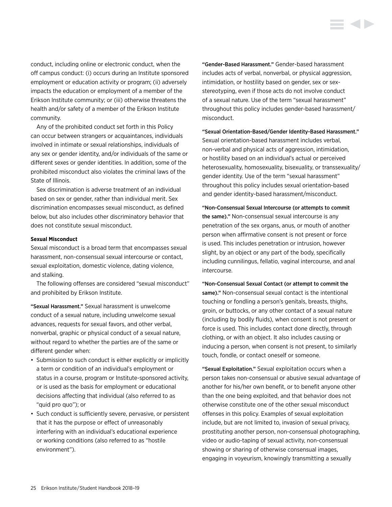conduct, including online or electronic conduct, when the off campus conduct: (i) occurs during an Institute sponsored employment or education activity or program; (ii) adversely impacts the education or employment of a member of the Erikson Institute community; or (iii) otherwise threatens the health and/or safety of a member of the Erikson Institute community.

Any of the prohibited conduct set forth in this Policy can occur between strangers or acquaintances, individuals involved in intimate or sexual relationships, individuals of any sex or gender identity, and/or individuals of the same or different sexes or gender identities. In addition, some of the prohibited misconduct also violates the criminal laws of the State of Illinois.

Sex discrimination is adverse treatment of an individual based on sex or gender, rather than individual merit. Sex discrimination encompasses sexual misconduct, as defined below, but also includes other discriminatory behavior that does not constitute sexual misconduct.

#### **Sexual Misconduct**

Sexual misconduct is a broad term that encompasses sexual harassment, non-consensual sexual intercourse or contact, sexual exploitation, domestic violence, dating violence, and stalking.

The following offenses are considered "sexual misconduct" and prohibited by Erikson Institute.

"Sexual Harassment." Sexual harassment is unwelcome conduct of a sexual nature, including unwelcome sexual advances, requests for sexual favors, and other verbal, nonverbal, graphic or physical conduct of a sexual nature, without regard to whether the parties are of the same or different gender when:

- Submission to such conduct is either explicitly or implicitly a term or condition of an individual's employment or status in a course, program or Institute-sponsored activity, or is used as the basis for employment or educational decisions affecting that individual (also referred to as "quid pro quo"); or
- Such conduct is sufficiently severe, pervasive, or persistent that it has the purpose or effect of unreasonably interfering with an individual's educational experience or working conditions (also referred to as "hostile environment").

"Gender-Based Harassment." Gender-based harassment includes acts of verbal, nonverbal, or physical aggression, intimidation, or hostility based on gender, sex or sexstereotyping, even if those acts do not involve conduct of a sexual nature. Use of the term "sexual harassment" throughout this policy includes gender-based harassment/ misconduct.

"Sexual Orientation-Based/Gender Identity-Based Harassment." Sexual orientation-based harassment includes verbal, non-verbal and physical acts of aggression, intimidation, or hostility based on an individual's actual or perceived heterosexuality, homosexuality, bisexuality, or transsexuality/ gender identity. Use of the term "sexual harassment" throughout this policy includes sexual orientation-based and gender identity-based harassment/misconduct.

"Non-Consensual Sexual Intercourse (or attempts to commit the same)." Non-consensual sexual intercourse is any penetration of the sex organs, anus, or mouth of another person when affirmative consent is not present or force is used. This includes penetration or intrusion, however slight, by an object or any part of the body, specifically including cunnilingus, fellatio, vaginal intercourse, and anal intercourse.

"Non-Consensual Sexual Contact (or attempt to commit the same)." Non-consensual sexual contact is the intentional touching or fondling a person's genitals, breasts, thighs, groin, or buttocks, or any other contact of a sexual nature (including by bodily fluids), when consent is not present or force is used. This includes contact done directly, through clothing, or with an object. It also includes causing or inducing a person, when consent is not present, to similarly touch, fondle, or contact oneself or someone.

"Sexual Exploitation." Sexual exploitation occurs when a person takes non-consensual or abusive sexual advantage of another for his/her own benefit, or to benefit anyone other than the one being exploited, and that behavior does not otherwise constitute one of the other sexual misconduct offenses in this policy. Examples of sexual exploitation include, but are not limited to, invasion of sexual privacy, prostituting another person, non-consensual photographing, video or audio-taping of sexual activity, non-consensual showing or sharing of otherwise consensual images, engaging in voyeurism, knowingly transmitting a sexually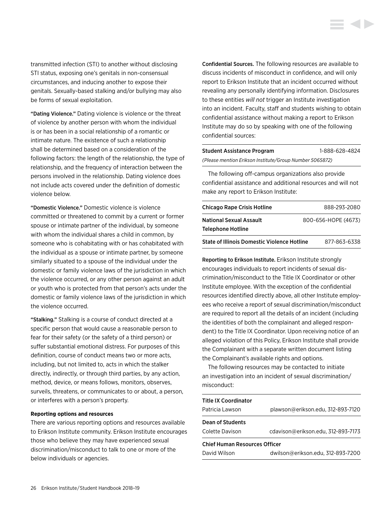transmitted infection (STI) to another without disclosing STI status, exposing one's genitals in non-consensual circumstances, and inducing another to expose their genitals. Sexually-based stalking and/or bullying may also be forms of sexual exploitation.

"Dating Violence." Dating violence is violence or the threat of violence by another person with whom the individual is or has been in a social relationship of a romantic or intimate nature. The existence of such a relationship shall be determined based on a consideration of the following factors: the length of the relationship, the type of relationship, and the frequency of interaction between the persons involved in the relationship. Dating violence does not include acts covered under the definition of domestic violence below.

"Domestic Violence." Domestic violence is violence committed or threatened to commit by a current or former spouse or intimate partner of the individual, by someone with whom the individual shares a child in common, by someone who is cohabitating with or has cohabitated with the individual as a spouse or intimate partner, by someone similarly situated to a spouse of the individual under the domestic or family violence laws of the jurisdiction in which the violence occurred, or any other person against an adult or youth who is protected from that person's acts under the domestic or family violence laws of the jurisdiction in which the violence occurred.

"Stalking." Stalking is a course of conduct directed at a specific person that would cause a reasonable person to fear for their safety (or the safety of a third person) or suffer substantial emotional distress. For purposes of this definition, course of conduct means two or more acts, including, but not limited to, acts in which the stalker directly, indirectly, or through third parties, by any action, method, device, or means follows, monitors, observes, surveils, threatens, or communicates to or about, a person, or interferes with a person's property.

#### **Reporting options and resources**

There are various reporting options and resources available to Erikson Institute community. Erikson Institute encourages those who believe they may have experienced sexual discrimination/misconduct to talk to one or more of the below individuals or agencies.

Confidential Sources. The following resources are available to discuss incidents of misconduct in confidence, and will only report to Erikson Institute that an incident occurred without revealing any personally identifying information. Disclosures to these entities *will not* trigger an Institute investigation into an incident. Faculty, staff and students wishing to obtain confidential assistance without making a report to Erikson Institute may do so by speaking with one of the following confidential sources:

| Student Assistance Program                              | 1-888-628-4824 |
|---------------------------------------------------------|----------------|
| (Please mention Erikson Institute/Group Number 5065872) |                |

The following off-campus organizations also provide confidential assistance and additional resources and will not make any report to Erikson Institute:

| <b>Chicago Rape Crisis Hotline</b>          | 888-293-2080        |
|---------------------------------------------|---------------------|
| National Sexual Assault                     | 800-656-HOPE (4673) |
| Telephone Hotline                           |                     |
| State of Illinois Domestic Violence Hotline | 877-863-6338        |

Reporting to Erikson Institute. Erikson Institute strongly encourages individuals to report incidents of sexual discrimination/misconduct to the Title IX Coordinator or other Institute employee. With the exception of the confidential resources identified directly above, all other Institute employees who receive a report of sexual discrimination/misconduct are required to report all the details of an incident (including the identities of both the complainant and alleged respondent) to the Title IX Coordinator. Upon receiving notice of an alleged violation of this Policy, Erikson Institute shall provide the Complainant with a separate written document listing the Complainant's available rights and options.

The following resources may be contacted to initiate an investigation into an incident of sexual discrimination/ misconduct:

| <b>Title IX Coordinator</b>          |                                    |
|--------------------------------------|------------------------------------|
| Patricia Lawson                      | plawson@erikson.edu, 312-893-7120  |
| <b>Dean of Students</b>              |                                    |
| Colette Davison                      | cdavison@erikson.edu, 312-893-7173 |
| <b>Chief Human Resources Officer</b> |                                    |
| David Wilson                         | dwilson@erikson.edu, 312-893-7200  |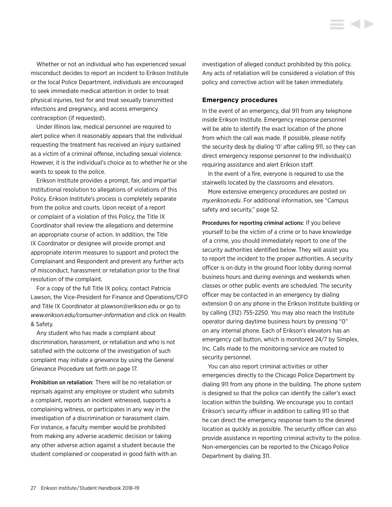<span id="page-27-0"></span>Whether or not an individual who has experienced sexual misconduct decides to report an incident to Erikson Institute or the local Police Department, individuals are encouraged to seek immediate medical attention in order to treat physical injuries, test for and treat sexually transmitted infections and pregnancy, and access emergency contraception (if requested).

Under Illinois law, medical personnel are required to alert police when it reasonably appears that the individual requesting the treatment has received an injury sustained as a victim of a criminal offense, including sexual violence. However, it is the individual's choice as to whether he or she wants to speak to the police.

Erikson Institute provides a prompt, fair, and impartial institutional resolution to allegations of violations of this Policy. Erikson Institute's process is completely separate from the police and courts. Upon receipt of a report or complaint of a violation of this Policy, the Title IX Coordinator shall review the allegations and determine an appropriate course of action. In addition, the Title IX Coordinator or designee will provide prompt and appropriate interim measures to support and protect the Complainant and Respondent and prevent any further acts of misconduct, harassment or retaliation prior to the final resolution of the complaint.

For a copy of the full Title IX policy, contact Patricia Lawson, the Vice-President for Finance and Operations/CFO and Title IX Coordinator at [plawson@erikson.edu](mailto:plawson%40erikson.edu?subject=) or go to *<www.erikson.edu/consumer-information>* and click on Health & Safety.

Any student who has made a complaint about discrimination, harassment, or retaliation and who is not satisfied with the outcome of the investigation of such complaint may initiate a grievance by using the [General](#page-17-0)  [Grievance Procedure set forth on page 17.](#page-17-0)

Prohibition on retaliation: There will be no retaliation or reprisals against any employee or student who submits a complaint, reports an incident witnessed, supports a complaining witness, or participates in any way in the investigation of a discrimination or harassment claim. For instance, a faculty member would be prohibited from making any adverse academic decision or taking any other adverse action against a student because the student complained or cooperated in good faith with an investigation of alleged conduct prohibited by this policy. Any acts of retaliation will be considered a violation of this policy and corrective action will be taken immediately.

### **Emergency procedures**

In the event of an emergency, dial 911 from any telephone inside Erikson Institute. Emergency response personnel will be able to identify the exact location of the phone from which the call was made. If possible, please notify the security desk by dialing '0' after calling 911, so they can direct emergency response personnel to the individual(s) requiring assistance and alert Erikson staff.

In the event of a fire, everyone is required to use the stairwells located by the classrooms and elevators.

More extensive emergency procedures are posted on *my.erikson.edu*. For additional information, [see "Campus](#page-52-0)  [safety and security," page 52.](#page-52-0)

Procedures for reporting criminal actions: If you believe yourself to be the victim of a crime or to have knowledge of a crime, you should immediately report to one of the security authorities identified below. They will assist you to report the incident to the proper authorities. A security officer is on duty in the ground floor lobby during normal business hours and during evenings and weekends when classes or other public events are scheduled. The security officer may be contacted in an emergency by dialing extension 0 on any phone in the Erikson Institute building or by calling (312) 755-2250. You may also reach the Institute operator during daytime business hours by pressing "0" on any internal phone. Each of Erikson's elevators has an emergency call button, which is monitored 24/7 by Simplex, Inc. Calls made to the monitoring service are routed to security personnel.

You can also report criminal activities or other emergencies directly to the Chicago Police Department by dialing 911 from any phone in the building. The phone system is designed so that the police can identify the caller's exact location within the building. We encourage you to contact Erikson's security officer in addition to calling 911 so that he can direct the emergency response team to the desired location as quickly as possible. The security officer can also provide assistance in reporting criminal activity to the police. Non-emergencies can be reported to the Chicago Police Department by dialing 311.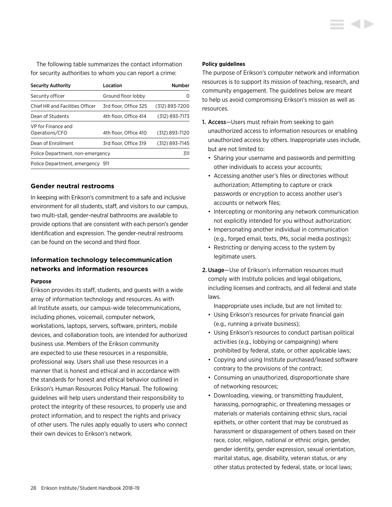<span id="page-28-0"></span>The following table summarizes the contact information for security authorities to whom you can report a crime:

| <b>Security Authority</b>            | Location              | Number           |
|--------------------------------------|-----------------------|------------------|
| Security officer                     | Ground floor lobby    | $\left( \right)$ |
| Chief HR and Facilities Officer      | 3rd floor. Office 325 | (312) 893-7200   |
| Dean of Students                     | 4th floor. Office 414 | (312) 893-7173   |
| VP for Finance and<br>Operations/CFO | 4th floor. Office 410 | (312) 893-7120   |
| Dean of Enrollment                   | 3rd floor, Office 319 | (312) 893-7145   |
| Police Department, non-emergency     |                       | 311              |
| Police Department, emergency 911     |                       |                  |

# **Gender neutral restrooms**

In keeping with Erikson's commitment to a safe and inclusive environment for all students, staff, and visitors to our campus, two multi-stall, gender-neutral bathrooms are available to provide options that are consistent with each person's gender identification and expression. The gender-neutral restrooms can be found on the second and third floor.

# **Information technology telecommunication networks and information resources**

#### **Purpose**

Erikson provides its staff, students, and guests with a wide array of information technology and resources. As with all Institute assets, our campus-wide telecommunications, including phones, voicemail, computer network, workstations, laptops, servers, software, printers, mobile devices, and collaboration tools, are intended for authorized business use. Members of the Erikson community are expected to use these resources in a responsible, professional way. Users shall use these resources in a manner that is honest and ethical and in accordance with the standards for honest and ethical behavior outlined in Erikson's Human Resources Policy Manual. The following guidelines will help users understand their responsibility to protect the integrity of these resources, to properly use and protect information, and to respect the rights and privacy of other users. The rules apply equally to users who connect their own devices to Erikson's network.

#### **Policy guidelines**

The purpose of Erikson's computer network and information resources is to support its mission of teaching, research, and community engagement. The guidelines below are meant to help us avoid compromising Erikson's mission as well as resources.

- 1. Access—Users must refrain from seeking to gain unauthorized access to information resources or enabling unauthorized access by others. Inappropriate uses include, but are not limited to:
	- Sharing your username and passwords and permitting other individuals to access your accounts;
	- Accessing another user's files or directories without authorization; Attempting to capture or crack passwords or encryption to access another user's accounts or network files;
	- Intercepting or monitoring any network communication not explicitly intended for you without authorization;
	- Impersonating another individual in communication (e.g., forged email, texts, IMs, social media postings);
	- Restricting or denying access to the system by legitimate users.
- 2.Usage—Use of Erikson's information resources must comply with Institute policies and legal obligations, including licenses and contracts, and all federal and state laws.

Inappropriate uses include, but are not limited to:

- Using Erikson's resources for private financial gain (e.g., running a private business);
- Using Erikson's resources to conduct partisan political activities (e.g., lobbying or campaigning) where prohibited by federal, state, or other applicable laws;
- Copying and using Institute purchased/leased software contrary to the provisions of the contract;
- Consuming an unauthorized, disproportionate share of networking resources;
- Downloading, viewing, or transmitting fraudulent, harassing, pornographic, or threatening messages or materials or materials containing ethnic slurs, racial epithets, or other content that may be construed as harassment or disparagement of others based on their race, color, religion, national or ethnic origin, gender, gender identity, gender expression, sexual orientation, marital status, age, disability, veteran status, or any other status protected by federal, state, or local laws;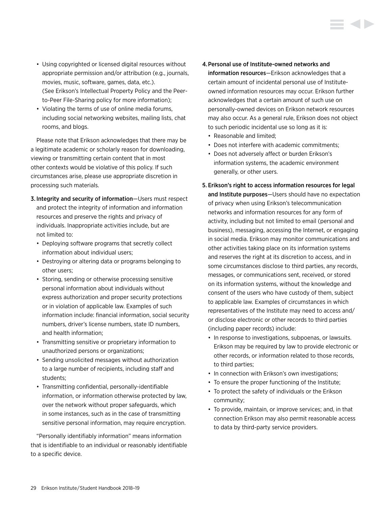- Using copyrighted or licensed digital resources without appropriate permission and/or attribution (e.g., journals, movies, music, software, games, data, etc.). (See Erikson's Intellectual Property Policy and the Peerto-Peer File-Sharing policy for more information);
- Violating the terms of use of online media forums, including social networking websites, mailing lists, chat rooms, and blogs.

Please note that Erikson acknowledges that there may be a legitimate academic or scholarly reason for downloading, viewing or transmitting certain content that in most other contexts would be violative of this policy. If such circumstances arise, please use appropriate discretion in processing such materials.

- 3. Integrity and security of information—Users must respect and protect the integrity of information and information resources and preserve the rights and privacy of individuals. Inappropriate activities include, but are not limited to:
	- Deploying software programs that secretly collect information about individual users;
	- Destroying or altering data or programs belonging to other users;
	- Storing, sending or otherwise processing sensitive personal information about individuals without express authorization and proper security protections or in violation of applicable law. Examples of such information include: financial information, social security numbers, driver's license numbers, state ID numbers, and health information;
	- Transmitting sensitive or proprietary information to unauthorized persons or organizations;
	- Sending unsolicited messages without authorization to a large number of recipients, including staff and students;
	- Transmitting confidential, personally-identifiable information, or information otherwise protected by law, over the network without proper safeguards, which in some instances, such as in the case of transmitting sensitive personal information, may require encryption.

"Personally identifiably information" means information that is identifiable to an individual or reasonably identifiable to a specific device.

- 4.Personal use of Institute-owned networks and information resources—Erikson acknowledges that a certain amount of incidental personal use of Instituteowned information resources may occur. Erikson further acknowledges that a certain amount of such use on personally-owned devices on Erikson network resources may also occur. As a general rule, Erikson does not object to such periodic incidental use so long as it is:
	- Reasonable and limited;
	- Does not interfere with academic commitments;
	- Does not adversely affect or burden Erikson's information systems, the academic environment generally, or other users.

# 5. Erikson's right to access information resources for legal and Institute purposes—Users should have no expectation of privacy when using Erikson's telecommunication networks and information resources for any form of activity, including but not limited to email (personal and business), messaging, accessing the Internet, or engaging in social media. Erikson may monitor communications and other activities taking place on its information systems and reserves the right at its discretion to access, and in some circumstances disclose to third parties, any records, messages, or communications sent, received, or stored on its information systems, without the knowledge and consent of the users who have custody of them, subject to applicable law. Examples of circumstances in which representatives of the Institute may need to access and/ or disclose electronic or other records to third parties (including paper records) include:

- In response to investigations, subpoenas, or lawsuits. Erikson may be required by law to provide electronic or other records, or information related to those records, to third parties;
- In connection with Erikson's own investigations;
- To ensure the proper functioning of the Institute;
- To protect the safety of individuals or the Erikson community;
- To provide, maintain, or improve services; and, in that connection Erikson may also permit reasonable access to data by third-party service providers.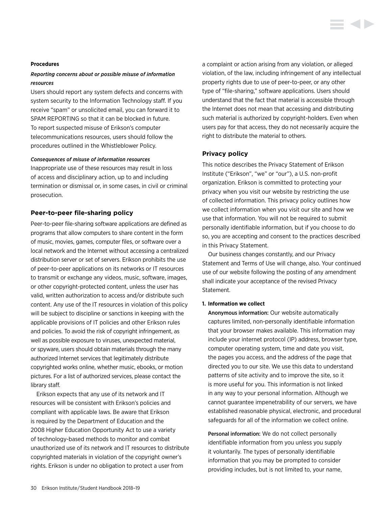#### <span id="page-30-0"></span>**Procedures**

# *Reporting concerns about or possible misuse of information resources*

Users should report any system defects and concerns with system security to the Information Technology staff. If you receive "spam" or unsolicited email, you can forward it to SPAM REPORTING so that it can be blocked in future. To report suspected misuse of Erikson's computer telecommunications resources, users should follow the procedures outlined in the Whistleblower Policy.

#### *Consequences of misuse of information resources*

Inappropriate use of these resources may result in loss of access and disciplinary action, up to and including termination or dismissal or, in some cases, in civil or criminal prosecution.

## **Peer-to-peer file-sharing policy**

Peer-to-peer file-sharing software applications are defined as programs that allow computers to share content in the form of music, movies, games, computer files, or software over a local network and the Internet without accessing a centralized distribution server or set of servers. Erikson prohibits the use of peer-to-peer applications on its networks or IT resources to transmit or exchange any videos, music, software, images, or other copyright-protected content, unless the user has valid, written authorization to access and/or distribute such content. Any use of the IT resources in violation of this policy will be subject to discipline or sanctions in keeping with the applicable provisions of IT policies and other Erikson rules and policies. To avoid the risk of copyright infringement, as well as possible exposure to viruses, unexpected material, or spyware, users should obtain materials through the many authorized Internet services that legitimately distribute copyrighted works online, whether music, ebooks, or motion pictures. For a list of authorized services, please contact the library staff.

Erikson expects that any use of its network and IT resources will be consistent with Erikson's policies and compliant with applicable laws. Be aware that Erikson is required by the Department of Education and the 2008 Higher Education Opportunity Act to use a variety of technology-based methods to monitor and combat unauthorized use of its network and IT resources to distribute copyrighted materials in violation of the copyright owner's rights. Erikson is under no obligation to protect a user from

a complaint or action arising from any violation, or alleged violation, of the law, including infringement of any intellectual property rights due to use of peer-to-peer, or any other type of "file-sharing," software applications. Users should understand that the fact that material is accessible through the Internet does not mean that accessing and distributing such material is authorized by copyright-holders. Even when users pay for that access, they do not necessarily acquire the right to distribute the material to others.

### **Privacy policy**

This notice describes the Privacy Statement of Erikson Institute ("Erikson", "we" or "our"), a U.S. non-profit organization. Erikson is committed to protecting your privacy when you visit our website by restricting the use of collected information. This privacy policy outlines how we collect information when you visit our site and how we use that information. You will not be required to submit personally identifiable information, but if you choose to do so, you are accepting and consent to the practices described in this Privacy Statement.

Our business changes constantly, and our Privacy Statement and Terms of Use will change, also. Your continued use of our website following the posting of any amendment shall indicate your acceptance of the revised Privacy Statement.

#### **1. Information we collect**

Anonymous information: Our website automatically captures limited, non-personally identifiable information that your browser makes available. This information may include your internet protocol (IP) address, browser type, computer operating system, time and date you visit, the pages you access, and the address of the page that directed you to our site. We use this data to understand patterns of site activity and to improve the site, so it is more useful for you. This information is not linked in any way to your personal information. Although we cannot guarantee impenetrability of our servers, we have established reasonable physical, electronic, and procedural safeguards for all of the information we collect online.

Personal information: We do not collect personally identifiable information from you unless you supply it voluntarily. The types of personally identifiable information that you may be prompted to consider providing includes, but is not limited to, your name,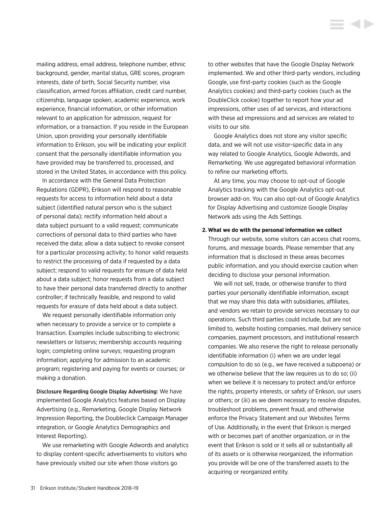mailing address, email address, telephone number, ethnic background, gender, marital status, GRE scores, program interests, date of birth, Social Security number, visa classification, armed forces affiliation, credit card number, citizenship, language spoken, academic experience, work experience, financial information, or other information relevant to an application for admission, request for information, or a transaction. If you reside in the European Union, upon providing your personally identifiable information to Erikson, you will be indicating your explicit consent that the personally identifiable information you have provided may be transferred to, processed, and stored in the United States, in accordance with this policy.

In accordance with the General Data Protection Regulations (GDPR), Erikson will respond to reasonable requests for access to information held about a data subject (identified natural person who is the subject of personal data); rectify information held about a data subject pursuant to a valid request; communicate corrections of personal data to third parties who have received the data; allow a data subject to revoke consent for a particular processing activity; to honor valid requests to restrict the processing of data if requested by a data subject; respond to valid requests for erasure of data held about a data subject; honor requests from a data subject to have their personal data transferred directly to another controller; if technically feasible, and respond to valid requests for erasure of data held about a data subject.

We request personally identifiable information only when necessary to provide a service or to complete a transaction. Examples include subscribing to electronic newsletters or listservs; membership accounts requiring login; completing online surveys; requesting program information; applying for admission to an academic program; registering and paying for events or courses; or making a donation.

Disclosure Regarding Google Display Advertising: We have implemented Google Analytics features based on Display Advertising (e.g., Remarketing, Google Display Network Impression Reporting, the Doubleclick Campaign Manager integration, or Google Analytics Demographics and Interest Reporting).

We use remarketing with Google Adwords and analytics to display content-specific advertisements to visitors who have previously visited our site when those visitors go

to other websites that have the Google Display Network implemented. We and other third-party vendors, including Google, use first-party cookies (such as the Google Analytics cookies) and third-party cookies (such as the DoubleClick cookie) together to report how your ad impressions, other uses of ad services, and interactions with these ad impressions and ad services are related to visits to our site.

Google Analytics does not store any visitor specific data, and we will not use visitor-specific data in any way related to Google Analytics, Google Adwords, and Remarketing. We use aggregated behavioral information to refine our marketing efforts.

At any time, you may choose to opt-out of Google Analytics tracking with the Google Analytics opt-out browser add-on. You can also opt-out of Google Analytics for Display Advertising and customize Google Display Network ads using the Ads Settings.

#### **2. What we do with the personal information we collect**

Through our website, some visitors can access chat rooms, forums, and message boards. Please remember that any information that is disclosed in these areas becomes public information, and you should exercise caution when deciding to disclose your personal information.

We will not sell, trade, or otherwise transfer to third parties your personally identifiable information, except that we may share this data with subsidiaries, affiliates, and vendors we retain to provide services necessary to our operations. Such third parties could include, but are not limited to, website hosting companies, mail delivery service companies, payment processors, and institutional research companies. We also reserve the right to release personally identifiable information (i) when we are under legal compulsion to do so (e.g., we have received a subpoena) or we otherwise believe that the law requires us to do so; (ii) when we believe it is necessary to protect and/or enforce the rights, property interests, or safety of Erikson, our users or others; or (iii) as we deem necessary to resolve disputes, troubleshoot problems, prevent fraud, and otherwise enforce the Privacy Statement and our Websites Terms of Use. Additionally, in the event that Erikson is merged with or becomes part of another organization, or in the event that Erikson is sold or it sells all or substantially all of its assets or is otherwise reorganized, the information you provide will be one of the transferred assets to the acquiring or reorganized entity.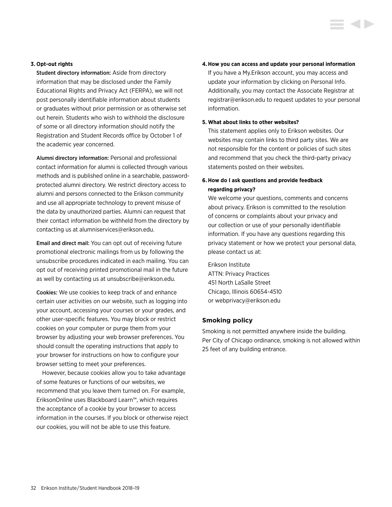## <span id="page-32-0"></span>**3. Opt-out rights**

Student directory information: Aside from directory information that may be disclosed under the Family Educational Rights and Privacy Act (FERPA), we will not post personally identifiable information about students or graduates without prior permission or as otherwise set out herein. Students who wish to withhold the disclosure of some or all directory information should notify the Registration and Student Records office by October 1 of the academic year concerned.

Alumni directory information: Personal and professional contact information for alumni is collected through various methods and is published online in a searchable, passwordprotected alumni directory. We restrict directory access to alumni and persons connected to the Erikson community and use all appropriate technology to prevent misuse of the data by unauthorized parties. Alumni can request that their contact information be withheld from the directory by contacting us at [alumniservices@erikson.edu](mailto:?subject=).

Email and direct mail: You can opt out of receiving future promotional electronic mailings from us by following the unsubscribe procedures indicated in each mailing. You can opt out of receiving printed promotional mail in the future as well by contacting us at [unsubscribe@erikson.edu.](mailto:?subject=)

Cookies: We use cookies to keep track of and enhance certain user activities on our website, such as logging into your account, accessing your courses or your grades, and other user-specific features. You may block or restrict cookies on your computer or purge them from your browser by adjusting your web browser preferences. You should consult the operating instructions that apply to your browser for instructions on how to configure your browser setting to meet your preferences.

However, because cookies allow you to take advantage of some features or functions of our websites, we recommend that you leave them turned on. For example, EriksonOnline uses Blackboard Learn™, which requires the acceptance of a cookie by your browser to access information in the courses. If you block or otherwise reject our cookies, you will not be able to use this feature.

### **4.How you can access and update your personal information**

If you have a My.Erikson account, you may access and update your information by clicking on Personal Info. Additionally, you may contact the Associate Registrar at [registrar@erikson.edu](mailto:?subject=) to request updates to your personal information.

#### **5. What about links to other websites?**

This statement applies only to Erikson websites. Our websites may contain links to third party sites. We are not responsible for the content or policies of such sites and recommend that you check the third-party privacy statements posted on their websites.

# **6. How do I ask questions and provide feedback regarding privacy?**

We welcome your questions, comments and concerns about privacy. Erikson is committed to the resolution of concerns or complaints about your privacy and our collection or use of your personally identifiable information. If you have any questions regarding this privacy statement or how we protect your personal data, please contact us at:

Erikson Institute ATTN: Privacy Practices 451 North LaSalle Street Chicago, Illinois 60654-4510 or [webprivacy@erikson.edu](mailto:?subject=)

# **Smoking policy**

Smoking is not permitted anywhere inside the building. Per City of Chicago ordinance, smoking is not allowed within 25 feet of any building entrance.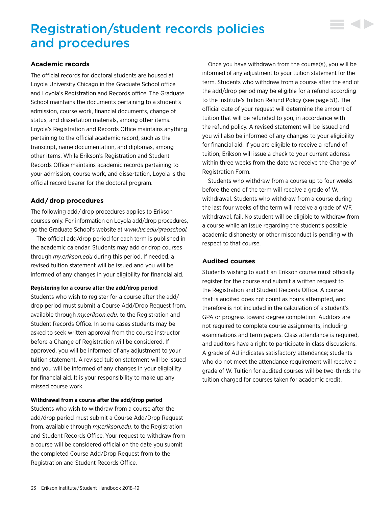# <span id="page-33-0"></span>Registration/student records policies and procedures

# **Academic records**

The official records for doctoral students are housed at Loyola University Chicago in the Graduate School office and Loyola's Registration and Records office. The Graduate School maintains the documents pertaining to a student's admission, course work, financial documents, change of status, and dissertation materials, among other items. Loyola's Registration and Records Office maintains anything pertaining to the official academic record, such as the transcript, name documentation, and diplomas, among other items. While Erikson's Registration and Student Records Office maintains academic records pertaining to your admission, course work, and dissertation, Loyola is the official record bearer for the doctoral program.

# **Add / drop procedures**

The following add / drop procedures applies to Erikson courses only. For information on Loyola add/drop procedures, go the Graduate School's website at *[www.luc.edu/gradschool](http://www.luc.edu/gradschool).*

The official add/drop period for each term is published in the academic calendar. Students may add or drop courses through *[my.erikson.edu](http://my.erikson.edu)* during this period. If needed, a revised tuition statement will be issued and you will be informed of any changes in your eligibility for financial aid.

## **Registering for a course after the add/drop period**

Students who wish to register for a course after the add/ drop period must submit a Course Add/Drop Request from, available through *[my.erikson.edu,](http://my.erikson.edu)* to the Registration and Student Records Office. In some cases students may be asked to seek written approval from the course instructor before a Change of Registration will be considered. If approved, you will be informed of any adjustment to your tuition statement. A revised tuition statement will be issued and you will be informed of any changes in your eligibility for financial aid. It is your responsibility to make up any missed course work.

## **Withdrawal from a course after the add/drop period**

Students who wish to withdraw from a course after the add/drop period must submit a Course Add/Drop Request from, available through *[my.erikson.edu,](http://my.erikson.edu)* to the Registration and Student Records Office. Your request to withdraw from a course will be considered official on the date you submit the completed Course Add/Drop Request from to the Registration and Student Records Office.

Once you have withdrawn from the course(s), you will be informed of any adjustment to your tuition statement for the term. Students who withdraw from a course after the end of the add/drop period may be eligible for a refund according to the Institute's [Tuition Refund Policy \(see page 51\).](#page-51-0) The official date of your request will determine the amount of tuition that will be refunded to you, in accordance with the refund policy. A revised statement will be issued and you will also be informed of any changes to your eligibility for financial aid. If you are eligible to receive a refund of tuition, Erikson will issue a check to your current address within three weeks from the date we receive the Change of Registration Form.

▘▟▶

Students who withdraw from a course up to four weeks before the end of the term will receive a grade of W, withdrawal. Students who withdraw from a course during the last four weeks of the term will receive a grade of WF, withdrawal, fail. No student will be eligible to withdraw from a course while an issue regarding the student's possible academic dishonesty or other misconduct is pending with respect to that course.

# **Audited courses**

Students wishing to audit an Erikson course must officially register for the course and submit a written request to the Registration and Student Records Office. A course that is audited does not count as hours attempted, and therefore is not included in the calculation of a student's GPA or progress toward degree completion. Auditors are not required to complete course assignments, including examinations and term papers. Class attendance is required, and auditors have a right to participate in class discussions. A grade of AU indicates satisfactory attendance; students who do not meet the attendance requirement will receive a grade of W. Tuition for audited courses will be two-thirds the tuition charged for courses taken for academic credit.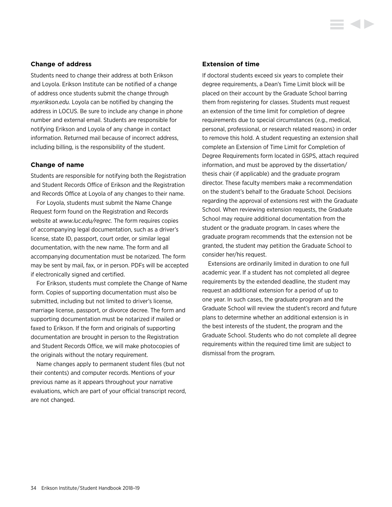## <span id="page-34-0"></span>**Change of address**

Students need to change their address at both Erikson and Loyola. Erikson Institute can be notified of a change of address once students submit the change through *[my.erikson.edu.](http://my.erikson.edu)* Loyola can be notified by changing the address in LOCUS. Be sure to include any change in phone number and external email. Students are responsible for notifying Erikson and Loyola of any change in contact information. Returned mail because of incorrect address, including billing, is the responsibility of the student.

## **Change of name**

Students are responsible for notifying both the Registration and Student Records Office of Erikson and the Registration and Records Office at Loyola of any changes to their name.

For Loyola, students must submit the Name Change Request form found on the Registration and Records website at *[www.luc.edu/regrec](http://www.luc.edu/regrec).* The form requires copies of accompanying legal documentation, such as a driver's license, state ID, passport, court order, or similar legal documentation, with the new name. The form and all accompanying documentation must be notarized. The form may be sent by mail, fax, or in person. PDFs will be accepted if electronically signed and certified.

For Erikson, students must complete the Change of Name form. Copies of supporting documentation must also be submitted, including but not limited to driver's license, marriage license, passport, or divorce decree. The form and supporting documentation must be notarized if mailed or faxed to Erikson. If the form and originals of supporting documentation are brought in person to the Registration and Student Records Office, we will make photocopies of the originals without the notary requirement.

Name changes apply to permanent student files (but not their contents) and computer records. Mentions of your previous name as it appears throughout your narrative evaluations, which are part of your official transcript record, are not changed.

## **Extension of time**

If doctoral students exceed six years to complete their degree requirements, a Dean's Time Limit block will be placed on their account by the Graduate School barring them from registering for classes. Students must request an extension of the time limit for completion of degree requirements due to special circumstances (e.g., medical, personal, professional, or research related reasons) in order to remove this hold. A student requesting an extension shall complete an Extension of Time Limit for Completion of Degree Requirements form located in GSPS, attach required information, and must be approved by the dissertation/ thesis chair (if applicable) and the graduate program director. These faculty members make a recommendation on the student's behalf to the Graduate School. Decisions regarding the approval of extensions rest with the Graduate School. When reviewing extension requests, the Graduate School may require additional documentation from the student or the graduate program. In cases where the graduate program recommends that the extension not be granted, the student may petition the Graduate School to consider her/his request.

Extensions are ordinarily limited in duration to one full academic year. If a student has not completed all degree requirements by the extended deadline, the student may request an additional extension for a period of up to one year. In such cases, the graduate program and the Graduate School will review the student's record and future plans to determine whether an additional extension is in the best interests of the student, the program and the Graduate School. Students who do not complete all degree requirements within the required time limit are subject to dismissal from the program.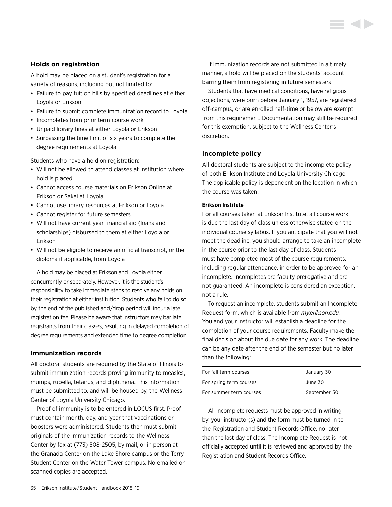# <span id="page-35-0"></span>**Holds on registration**

A hold may be placed on a student's registration for a variety of reasons, including but not limited to:

- Failure to pay tuition bills by specified deadlines at either Loyola or Erikson
- Failure to submit complete immunization record to Loyola
- Incompletes from prior term course work
- Unpaid library fines at either Loyola or Erikson
- Surpassing the time limit of six years to complete the degree requirements at Loyola

Students who have a hold on registration:

- Will not be allowed to attend classes at institution where hold is placed
- Cannot access course materials on Erikson Online at Erikson or Sakai at Loyola
- Cannot use library resources at Erikson or Loyola
- Cannot register for future semesters
- Will not have current year financial aid (loans and scholarships) disbursed to them at either Loyola or Erikson
- Will not be eligible to receive an official transcript, or the diploma if applicable, from Loyola

A hold may be placed at Erikson and Loyola either concurrently or separately. However, it is the student's responsibility to take immediate steps to resolve any holds on their registration at either institution. Students who fail to do so by the end of the published add/drop period will incur a late registration fee. Please be aware that instructors may bar late registrants from their classes, resulting in delayed completion of degree requirements and extended time to degree completion.

#### **Immunization records**

All doctoral students are required by the State of Illinois to submit immunization records proving immunity to measles, mumps, rubella, tetanus, and diphtheria. This information must be submitted to, and will be housed by, the Wellness Center of Loyola University Chicago.

Proof of immunity is to be entered in LOCUS first. Proof must contain month, day, and year that vaccinations or boosters were administered. Students then must submit originals of the immunization records to the Wellness Center by fax at (773) 508-2505, by mail, or in person at the Granada Center on the Lake Shore campus or the Terry Student Center on the Water Tower campus. No emailed or scanned copies are accepted.

If immunization records are not submitted in a timely manner, a hold will be placed on the students' account barring them from registering in future semesters.

Students that have medical conditions, have religious objections, were born before January 1, 1957, are registered off-campus, or are enrolled half-time or below are exempt from this requirement. Documentation may still be required for this exemption, subject to the Wellness Center's discretion.

### **Incomplete policy**

All doctoral students are subject to the incomplete policy of both Erikson Institute and Loyola University Chicago. The applicable policy is dependent on the location in which the course was taken.

### **Erikson Institute**

For all courses taken at Erikson Institute, all course work is due the last day of class unless otherwise stated on the individual course syllabus. If you anticipate that you will not meet the deadline, you should arrange to take an incomplete in the course prior to the last day of class. Students must have completed most of the course requirements, including regular attendance, in order to be approved for an incomplete. Incompletes are faculty prerogative and are not guaranteed. An incomplete is considered an exception, not a rule.

To request an incomplete, students submit an Incomplete Request form, which is available from *[my.erikson.edu](http://my.erikson.edu).* You and your instructor will establish a deadline for the completion of your course requirements. Faculty make the final decision about the due date for any work. The deadline can be any date after the end of the semester but no later than the following:

| For fall term courses   | January 30   |
|-------------------------|--------------|
| For spring term courses | June 30      |
| For summer term courses | September 30 |

All incomplete requests must be approved in writing by your instructor(s) and the form must be turned in to the Registration and Student Records Office, no later than the last day of class. The Incomplete Request is not officially accepted until it is reviewed and approved by the Registration and Student Records Office.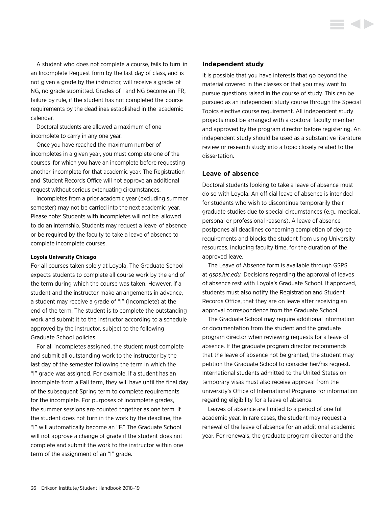A student who does not complete a course, fails to turn in an Incomplete Request form by the last day of class, and is not given a grade by the instructor, will receive a grade of NG, no grade submitted. Grades of I and NG become an FR, failure by rule, if the student has not completed the course requirements by the deadlines established in the academic calendar.

Doctoral students are allowed a maximum of one incomplete to carry in any one year.

Once you have reached the maximum number of incompletes in a given year, you must complete one of the courses for which you have an incomplete before requesting another incomplete for that academic year. The Registration and Student Records Office will not approve an additional request without serious extenuating circumstances.

Incompletes from a prior academic year (excluding summer semester) may not be carried into the next academic year. Please note: Students with incompletes will not be allowed to do an internship. Students may request a leave of absence or be required by the faculty to take a leave of absence to complete incomplete courses.

#### **Loyola University Chicago**

For all courses taken solely at Loyola, The Graduate School expects students to complete all course work by the end of the term during which the course was taken. However, if a student and the instructor make arrangements in advance, a student may receive a grade of "I" (Incomplete) at the end of the term. The student is to complete the outstanding work and submit it to the instructor according to a schedule approved by the instructor, subject to the following Graduate School policies.

For all incompletes assigned, the student must complete and submit all outstanding work to the instructor by the last day of the semester following the term in which the "I" grade was assigned. For example, if a student has an incomplete from a Fall term, they will have until the final day of the subsequent Spring term to complete requirements for the incomplete. For purposes of incomplete grades, the summer sessions are counted together as one term. If the student does not turn in the work by the deadline, the "I" will automatically become an "F." The Graduate School will not approve a change of grade if the student does not complete and submit the work to the instructor within one term of the assignment of an "I" grade.

#### **Independent study**

It is possible that you have interests that go beyond the material covered in the classes or that you may want to pursue questions raised in the course of study. This can be pursued as an independent study course through the Special Topics elective course requirement. All independent study projects must be arranged with a doctoral faculty member and approved by the program director before registering. An independent study should be used as a substantive literature review or research study into a topic closely related to the dissertation.

#### **Leave of absence**

Doctoral students looking to take a leave of absence must do so with Loyola. An official leave of absence is intended for students who wish to discontinue temporarily their graduate studies due to special circumstances (e.g., medical, personal or professional reasons). A leave of absence postpones all deadlines concerning completion of degree requirements and blocks the student from using University resources, including faculty time, for the duration of the approved leave.

The Leave of Absence form is available through GSPS at *[gsps.luc.edu](http://gsps.luc.edu).* Decisions regarding the approval of leaves of absence rest with Loyola's Graduate School. If approved, students must also notify the Registration and Student Records Office, that they are on leave after receiving an approval correspondence from the Graduate School.

The Graduate School may require additional information or documentation from the student and the graduate program director when reviewing requests for a leave of absence. If the graduate program director recommends that the leave of absence not be granted, the student may petition the Graduate School to consider her/his request. International students admitted to the United States on temporary visas must also receive approval from the university's Office of International Programs for information regarding eligibility for a leave of absence.

Leaves of absence are limited to a period of one full academic year. In rare cases, the student may request a renewal of the leave of absence for an additional academic year. For renewals, the graduate program director and the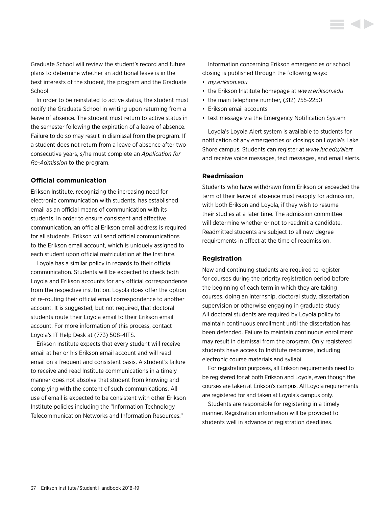Graduate School will review the student's record and future plans to determine whether an additional leave is in the best interests of the student, the program and the Graduate School.

In order to be reinstated to active status, the student must notify the Graduate School in writing upon returning from a leave of absence. The student must return to active status in the semester following the expiration of a leave of absence. Failure to do so may result in dismissal from the program. If a student does not return from a leave of absence after two consecutive years, s/he must complete an *Application for Re-Admission* to the program.

### **Official communication**

Erikson Institute, recognizing the increasing need for electronic communication with students, has established email as an official means of communication with its students. In order to ensure consistent and effective communication, an official Erikson email address is required for all students. Erikson will send official communications to the Erikson email account, which is uniquely assigned to each student upon official matriculation at the Institute.

Loyola has a similar policy in regards to their official communication. Students will be expected to check both Loyola and Erikson accounts for any official correspondence from the respective institution. Loyola does offer the option of re-routing their official email correspondence to another account. It is suggested, but not required, that doctoral students route their Loyola email to their Erikson email account. For more information of this process, contact Loyola's IT Help Desk at (773) 508-4ITS.

Erikson Institute expects that every student will receive email at her or his Erikson email account and will read email on a frequent and consistent basis. A student's failure to receive and read Institute communications in a timely manner does not absolve that student from knowing and complying with the content of such communications. All use of email is expected to be consistent with other Erikson Institute policies including the "Information Technology Telecommunication Networks and Information Resources."

Information concerning Erikson emergencies or school closing is published through the following ways:

- *[my.erikson.edu](http://my.erikson.edu)*
- the Erikson Institute homepage at *[www.erikson.edu](http://www.erikson.edu)*
- the main telephone number, (312) 755-2250
- Erikson email accounts
- text message via the Emergency Notification System

Loyola's Loyola Alert system is available to students for notification of any emergencies or closings on Loyola's Lake Shore campus. Students can register at *[www.luc.edu/alert](http://www.luc.edu/alert)* and receive voice messages, text messages, and email alerts.

#### **Readmission**

Students who have withdrawn from Erikson or exceeded the term of their leave of absence must reapply for admission, with both Erikson and Loyola, if they wish to resume their studies at a later time. The admission committee will determine whether or not to readmit a candidate. Readmitted students are subject to all new degree requirements in effect at the time of readmission.

#### **Registration**

New and continuing students are required to register for courses during the priority registration period before the beginning of each term in which they are taking courses, doing an internship, doctoral study, dissertation supervision or otherwise engaging in graduate study. All doctoral students are required by Loyola policy to maintain continuous enrollment until the dissertation has been defended. Failure to maintain continuous enrollment may result in dismissal from the program. Only registered students have access to Institute resources, including electronic course materials and syllabi.

For registration purposes, all Erikson requirements need to be registered for at both Erikson and Loyola, even though the courses are taken at Erikson's campus. All Loyola requirements are registered for and taken at Loyola's campus only.

Students are responsible for registering in a timely manner. Registration information will be provided to students well in advance of registration deadlines.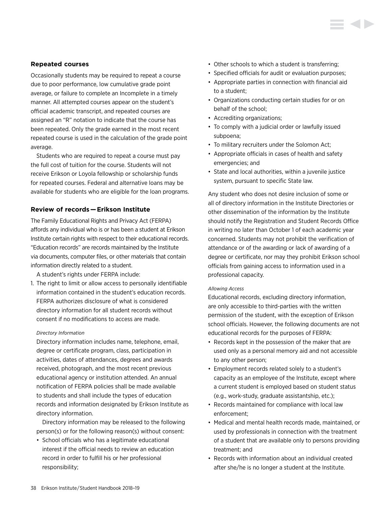#### **Repeated courses**

Occasionally students may be required to repeat a course due to poor performance, low cumulative grade point average, or failure to complete an Incomplete in a timely manner. All attempted courses appear on the student's official academic transcript, and repeated courses are assigned an "R" notation to indicate that the course has been repeated. Only the grade earned in the most recent repeated course is used in the calculation of the grade point average.

Students who are required to repeat a course must pay the full cost of tuition for the course. Students will not receive Erikson or Loyola fellowship or scholarship funds for repeated courses. Federal and alternative loans may be available for students who are eligible for the loan programs.

### **Review of records — Erikson Institute**

The Family Educational Rights and Privacy Act (FERPA) affords any individual who is or has been a student at Erikson Institute certain rights with respect to their educational records. "Education records" are records maintained by the Institute via documents, computer files, or other materials that contain information directly related to a student.

A student's rights under FERPA include:

1. The right to limit or allow access to personally identifiable information contained in the student's education records. FERPA authorizes disclosure of what is considered directory information for all student records without consent if no modifications to access are made.

#### *Directory Information*

Directory information includes name, telephone, email, degree or certificate program, class, participation in activities, dates of attendances, degrees and awards received, photograph, and the most recent previous educational agency or institution attended. An annual notification of FERPA policies shall be made available to students and shall include the types of education records and information designated by Erikson Institute as directory information.

 Directory information may be released to the following person(s) or for the following reason(s) without consent:

• School officials who has a legitimate educational interest if the official needs to review an education record in order to fulfill his or her professional responsibility;

- Other schools to which a student is transferring;
- Specified officials for audit or evaluation purposes;
- Appropriate parties in connection with financial aid to a student;
- Organizations conducting certain studies for or on behalf of the school;
- Accrediting organizations;
- To comply with a judicial order or lawfully issued subpoena;
- To military recruiters under the Solomon Act;
- Appropriate officials in cases of health and safety emergencies; and
- State and local authorities, within a juvenile justice system, pursuant to specific State law.

Any student who does not desire inclusion of some or all of directory information in the Institute Directories or other dissemination of the information by the Institute should notify the Registration and Student Records Office in writing no later than October 1 of each academic year concerned. Students may not prohibit the verification of attendance or of the awarding or lack of awarding of a degree or certificate, nor may they prohibit Erikson school officials from gaining access to information used in a professional capacity.

#### *Allowing Access*

Educational records, excluding directory information, are only accessible to third-parties with the written permission of the student, with the exception of Erikson school officials. However, the following documents are not educational records for the purposes of FERPA:

- Records kept in the possession of the maker that are used only as a personal memory aid and not accessible to any other person;
- Employment records related solely to a student's capacity as an employee of the Institute, except where a current student is employed based on student status (e.g., work-study, graduate assistantship, etc.);
- Records maintained for compliance with local law enforcement;
- Medical and mental health records made, maintained, or used by professionals in connection with the treatment of a student that are available only to persons providing treatment; and
- Records with information about an individual created after she/he is no longer a student at the Institute.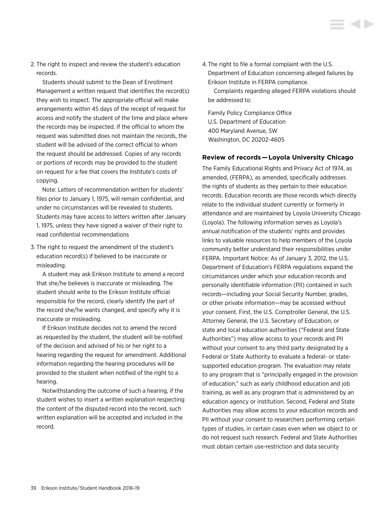2. The right to inspect and review the student's education records.

 Students should submit to the Dean of Enrollment Management a written request that identifies the record(s) they wish to inspect. The appropriate official will make arrangements within 45 days of the receipt of request for access and notify the student of the time and place where the records may be inspected. If the official to whom the request was submitted does not maintain the records, the student will be advised of the correct official to whom the request should be addressed. Copies of any records or portions of records may be provided to the student on request for a fee that covers the Institute's costs of copying.

 Note: Letters of recommendation written for students' files prior to January 1, 1975, will remain confidential, and under no circumstances will be revealed to students. Students may have access to letters written after January 1, 1975, unless they have signed a waiver of their right to read confidential recommendations

3. The right to request the amendment of the student's education record(s) if believed to be inaccurate or misleading.

 A student may ask Erikson Institute to amend a record that she/he believes is inaccurate or misleading. The student should write to the Erikson Institute official responsible for the record, clearly identify the part of the record she/he wants changed, and specify why it is inaccurate or misleading.

 If Erikson Institute decides not to amend the record as requested by the student, the student will be notified of the decision and advised of his or her right to a hearing regarding the request for amendment. Additional information regarding the hearing procedures will be provided to the student when notified of the right to a hearing.

 Notwithstanding the outcome of such a hearing, if the student wishes to insert a written explanation respecting the content of the disputed record into the record, such written explanation will be accepted and included in the record.

4. The right to file a formal complaint with the U.S. Department of Education concerning alleged failures by Erikson Institute in FERPA compliance.

 Complaints regarding alleged FERPA violations should be addressed to:

Family Policy Compliance Office U.S. Department of Education 400 Maryland Avenue, SW Washington, DC 20202-4605

### **Review of records — Loyola University Chicago**

The Family Educational Rights and Privacy Act of 1974, as amended, (FERPA), as amended, specifically addresses the rights of students as they pertain to their education records. Education records are those records which directly relate to the individual student currently or formerly in attendance and are maintained by Loyola University Chicago (Loyola). The following information serves as Loyola's annual notification of the students' rights and provides links to valuable resources to help members of the Loyola community better understand their responsibilities under FERPA. Important Notice: As of January 3, 2012, the U.S. Department of Education's FERPA regulations expand the circumstances under which your education records and personally identifiable information (PII) contained in such records—including your Social Security Number, grades, or other private information—may be accessed without your consent. First, the U.S. Comptroller General, the U.S. Attorney General, the U.S. Secretary of Education, or state and local education authorities ("Federal and State Authorities") may allow access to your records and PII without your consent to any third party designated by a Federal or State Authority to evaluate a federal- or statesupported education program. The evaluation may relate to any program that is "principally engaged in the provision of education," such as early childhood education and job training, as well as any program that is administered by an education agency or institution. Second, Federal and State Authorities may allow access to your education records and PII without your consent to researchers performing certain types of studies, in certain cases even when we object to or do not request such research. Federal and State Authorities must obtain certain use-restriction and data security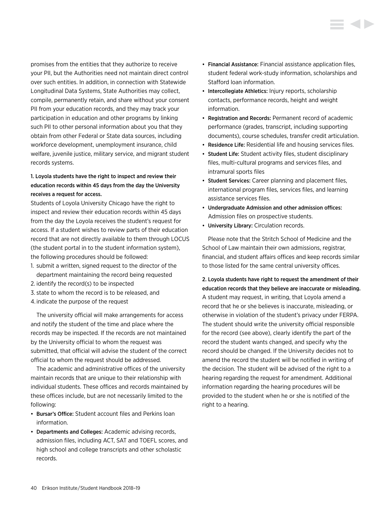promises from the entities that they authorize to receive your PII, but the Authorities need not maintain direct control over such entities. In addition, in connection with Statewide Longitudinal Data Systems, State Authorities may collect, compile, permanently retain, and share without your consent PII from your education records, and they may track your participation in education and other programs by linking such PII to other personal information about you that they obtain from other Federal or State data sources, including workforce development, unemployment insurance, child welfare, juvenile justice, military service, and migrant student records systems.

# 1. Loyola students have the right to inspect and review their education records within 45 days from the day the University receives a request for access.

Students of Loyola University Chicago have the right to inspect and review their education records within 45 days from the day the Loyola receives the student's request for access. If a student wishes to review parts of their education record that are not directly available to them through LOCUS (the student portal in to the student information system), the following procedures should be followed:

- 1. submit a written, signed request to the director of the department maintaining the record being requested
- 2. identify the record(s) to be inspected
- 3. state to whom the record is to be released, and
- 4. indicate the purpose of the request

The university official will make arrangements for access and notify the student of the time and place where the records may be inspected. If the records are not maintained by the University official to whom the request was submitted, that official will advise the student of the correct official to whom the request should be addressed.

The academic and administrative offices of the university maintain records that are unique to their relationship with individual students. These offices and records maintained by these offices include, but are not necessarily limited to the following:

- Bursar's Office: Student account files and Perkins loan information.
- Departments and Colleges: Academic advising records, admission files, including ACT, SAT and TOEFL scores, and high school and college transcripts and other scholastic records.
- Financial Assistance: Financial assistance application files, student federal work-study information, scholarships and Stafford loan information.
- Intercollegiate Athletics: Injury reports, scholarship contacts, performance records, height and weight information.
- Registration and Records: Permanent record of academic performance (grades, transcript, including supporting documents), course schedules, transfer credit articulation.
- Residence Life: Residential life and housing services files.
- Student Life: Student activity files, student disciplinary files, multi-cultural programs and services files, and intramural sports files
- Student Services: Career planning and placement files, international program files, services files, and learning assistance services files.
- Undergraduate Admission and other admission offices: Admission files on prospective students.
- University Library: Circulation records.

Please note that the Stritch School of Medicine and the School of Law maintain their own admissions, registrar, financial, and student affairs offices and keep records similar to those listed for the same central university offices.

2. Loyola students have right to request the amendment of their education records that they believe are inaccurate or misleading. A student may request, in writing, that Loyola amend a record that he or she believes is inaccurate, misleading, or otherwise in violation of the student's privacy under FERPA. The student should write the university official responsible for the record (see above), clearly identify the part of the record the student wants changed, and specify why the record should be changed. If the University decides not to amend the record the student will be notified in writing of the decision. The student will be advised of the right to a hearing regarding the request for amendment. Additional information regarding the hearing procedures will be provided to the student when he or she is notified of the right to a hearing.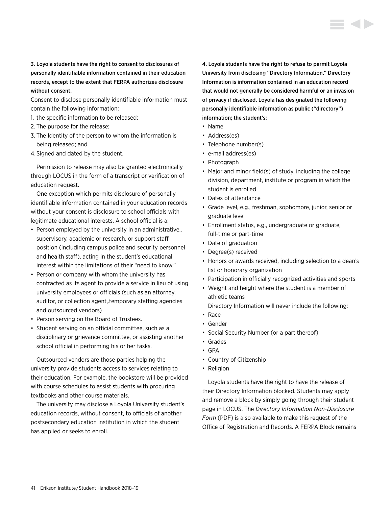3. Loyola students have the right to consent to disclosures of personally identifiable information contained in their education records, except to the extent that FERPA authorizes disclosure without consent.

Consent to disclose personally identifiable information must contain the following information:

- 1. the specific information to be released;
- 2. The purpose for the release;
- 3. The Identity of the person to whom the information is being released; and
- 4. Signed and dated by the student.

Permission to release may also be granted electronically through LOCUS in the form of a transcript or verification of education request.

One exception which permits disclosure of personally identifiable information contained in your education records without your consent is disclosure to school officials with legitimate educational interests. A school official is a:

- Person employed by the university in an administrative,. supervisory, academic or research, or support staff position (including campus police and security personnel and health staff), acting in the student's educational interest within the limitations of their "need to know."
- Person or company with whom the university has contracted as its agent to provide a service in lieu of using university employees or officials (such as an attorney, auditor, or collection agent,.temporary staffing agencies and outsourced vendors)
- Person serving on the Board of Trustees.
- Student serving on an official committee, such as a disciplinary or grievance committee, or assisting another school official in performing his or her tasks.

Outsourced vendors are those parties helping the university provide students access to services relating to their education. For example, the bookstore will be provided with course schedules to assist students with procuring textbooks and other course materials.

The university may disclose a Loyola University student's education records, without consent, to officials of another postsecondary education institution in which the student has applied or seeks to enroll.

4. Loyola students have the right to refuse to permit Loyola University from disclosing "Directory Information." Directory Information is information contained in an education record that would not generally be considered harmful or an invasion of privacy if disclosed. Loyola has designated the following personally identifiable information as public ("directory") information; the student's:

- Name
- Address(es)
- Telephone number(s)
- e-mail address(es)
- Photograph
- Major and minor field(s) of study, including the college, division, department, institute or program in which the student is enrolled
- Dates of attendance
- Grade level, e.g., freshman, sophomore, junior, senior or graduate level
- Enrollment status, e.g., undergraduate or graduate, full-time or part-time
- Date of graduation
- Degree(s) received
- Honors or awards received, including selection to a dean's list or honorary organization
- Participation in officially recognized activities and sports
- Weight and height where the student is a member of athletic teams
- Directory Information will never include the following:
- Race
- Gender
- Social Security Number (or a part thereof)
- Grades
- GPA
- Country of Citizenship
- Religion

Loyola students have the right to have the release of their Directory Information blocked. Students may apply and remove a block by simply going through their student page in LOCUS. The *Directory Information Non-Disclosure Form* (PDF) is also available to make this request of the Office of Registration and Records. A FERPA Block remains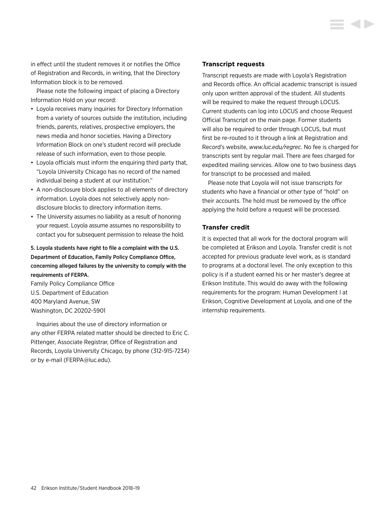in effect until the student removes it or notifies the Office of Registration and Records, in writing, that the Directory Information block is to be removed.

Please note the following impact of placing a Directory Information Hold on your record:

- Loyola receives many inquiries for Directory Information from a variety of sources outside the institution, including friends, parents, relatives, prospective employers, the news media and honor societies. Having a Directory Information Block on one's student record will preclude release of such information, even to those people.
- Loyola officials must inform the enquiring third party that, "Loyola University Chicago has no record of the named individual being a student at our institution."
- A non-disclosure block applies to all elements of directory information. Loyola does not selectively apply nondisclosure blocks to directory information items.
- The University assumes no liability as a result of honoring your request. Loyola assume assumes no responsibility to contact you for subsequent permission to release the hold.

# 5. Loyola students have right to file a complaint with the U.S. Department of Education, Family Policy Compliance Office, concerning alleged failures by the university to comply with the requirements of FERPA.

Family Policy Compliance Office U.S. Department of Education 400 Maryland Avenue, SW Washington, DC 20202-5901

Inquiries about the use of directory information or any other FERPA related matter should be directed to Eric C. Pittenger, Associate Registrar, Office of Registration and Records, Loyola University Chicago, by phone (312-915-7234) or by e-mail [\(FERPA@luc.edu](mailto:FERPA%40luc.edu?subject=)).

#### **Transcript requests**

Transcript requests are made with Loyola's Registration and Records office. An official academic transcript is issued only upon written approval of the student. All students will be required to make the request through LOCUS. Current students can log into LOCUS and choose Request Official Transcript on the main page. Former students will also be required to order through LOCUS, but must first be re-routed to it through a link at Registration and Record's website, *[www.luc.edu/regrec](http://www.luc.edu/regrec).* No fee is charged for transcripts sent by regular mail. There are fees charged for expedited mailing services. Allow one to two business days for transcript to be processed and mailed.

Please note that Loyola will not issue transcripts for students who have a financial or other type of "hold" on their accounts. The hold must be removed by the office applying the hold before a request will be processed.

# **Transfer credit**

It is expected that all work for the doctoral program will be completed at Erikson and Loyola. Transfer credit is not accepted for previous graduate level work, as is standard to programs at a doctoral level. The only exception to this policy is if a student earned his or her master's degree at Erikson Institute. This would do away with the following requirements for the program: Human Development I at Erikson, Cognitive Development at Loyola, and one of the internship requirements.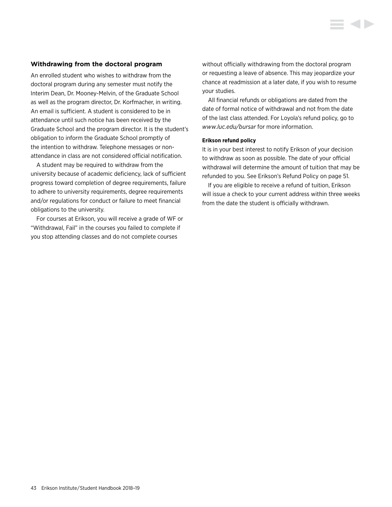#### **Withdrawing from the doctoral program**

An enrolled student who wishes to withdraw from the doctoral program during any semester must notify the Interim Dean, Dr. Mooney-Melvin, of the Graduate School as well as the program director, Dr. Korfmacher, in writing. An email is sufficient. A student is considered to be in attendance until such notice has been received by the Graduate School and the program director. It is the student's obligation to inform the Graduate School promptly of the intention to withdraw. Telephone messages or nonattendance in class are not considered official notification.

A student may be required to withdraw from the university because of academic deficiency, lack of sufficient progress toward completion of degree requirements, failure to adhere to university requirements, degree requirements and/or regulations for conduct or failure to meet financial obligations to the university.

For courses at Erikson, you will receive a grade of WF or "Withdrawal, Fail" in the courses you failed to complete if you stop attending classes and do not complete courses

without officially withdrawing from the doctoral program or requesting a leave of absence. This may jeopardize your chance at readmission at a later date, if you wish to resume your studies.

All financial refunds or obligations are dated from the date of formal notice of withdrawal and not from the date of the last class attended. For Loyola's refund policy, go to *[www.luc.edu/bursar](http://www.luc.edu/bursar)* for more information.

#### **Erikson refund policy**

It is in your best interest to notify Erikson of your decision to withdraw as soon as possible. The date of your official withdrawal will determine the amount of tuition that may be refunded to you. [See Erikson's Refund Policy on page 51.](#page-51-0)

If you are eligible to receive a refund of tuition, Erikson will issue a check to your current address within three weeks from the date the student is officially withdrawn.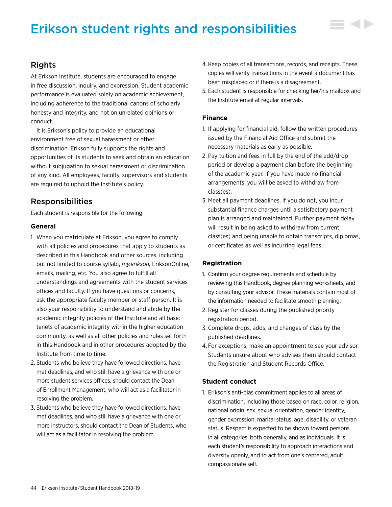# Erikson student rights and responsibilities

# Rights

At Erikson Institute, students are encouraged to engage in free discussion, inquiry, and expression. Student academic performance is evaluated solely on academic achievement, including adherence to the traditional canons of scholarly honesty and integrity, and not on unrelated opinions or conduct.

It is Erikson's policy to provide an educational environment free of sexual harassment or other discrimination. Erikson fully supports the rights and opportunities of its students to seek and obtain an education without subjugation to sexual harassment or discrimination of any kind. All employees, faculty, supervisors and students are required to uphold the Institute's policy.

# Responsibilities

Each student is responsible for the following:

# **General**

- 1. When you matriculate at Erikson, you agree to comply with all policies and procedures that apply to students as described in this Handbook and other sources, including but not limited to course syllabi, *my.erikson,* EriksonOnline, emails, mailing, etc. You also agree to fulfill all understandings and agreements with the student services offices and faculty. If you have questions or concerns, ask the appropriate faculty member or staff person. It is also your responsibility to understand and abide by the academic integrity policies of the Institute and all basic tenets of academic integrity within the higher education community, as well as all other policies and rules set forth in this Handbook and in other procedures adopted by the Institute from time to time.
- 2. Students who believe they have followed directions, have met deadlines, and who still have a grievance with one or more student services offices, should contact the Dean of Enrollment Management, who will act as a facilitator in resolving the problem.
- 3. Students who believe they have followed directions, have met deadlines, and who still have a grievance with one or more instructors, should contact the Dean of Students, who will act as a facilitator in resolving the problem.
- 4. Keep copies of all transactions, records, and receipts. These copies will verify transactions in the event a document has been misplaced or if there is a disagreement.
- 5. Each student is responsible for checking her/his mailbox and the Institute email at regular intervals.

# **Finance**

- 1. If applying for financial aid, follow the written procedures issued by the Financial Aid Office and submit the necessary materials as early as possible.
- 2. Pay tuition and fees in full by the end of the add/drop period or develop a payment plan before the beginning of the academic year. If you have made no financial arrangements, you will be asked to withdraw from class(es).
- 3. Meet all payment deadlines. If you do not, you incur substantial finance charges until a satisfactory payment plan is arranged and maintained. Further payment delay will result in being asked to withdraw from current class(es) and being unable to obtain transcripts, diplomas, or certificates as well as incurring legal fees.

# **Registration**

- 1. Confirm your degree requirements and schedule by reviewing this Handbook, degree planning worksheets, and by consulting your advisor. These materials contain most of the information needed to facilitate smooth planning.
- 2. Register for classes during the published priority registration period.
- 3. Complete drops, adds, and changes of class by the published deadlines.
- 4. For exceptions, make an appointment to see your advisor. Students unsure about who advises them should contact the Registration and Student Records Office.

# **Student conduct**

1. Erikson's anti-bias commitment applies to all areas of discrimination, including those based on race, color, religion, national origin, sex, sexual orientation, gender identity, gender expression, marital status, age, disability, or veteran status. Respect is expected to be shown toward persons in all categories, both generally, and as individuals. It is each student's responsibility to approach interactions and diversity openly, and to act from one's centered, adult compassionate self.

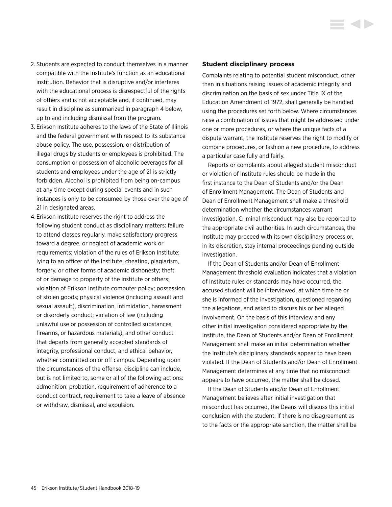- 2. Students are expected to conduct themselves in a manner compatible with the Institute's function as an educational institution. Behavior that is disruptive and/or interferes with the educational process is disrespectful of the rights of others and is not acceptable and, if continued, may result in discipline as summarized in paragraph 4 below, up to and including dismissal from the program.
- 3. Erikson Institute adheres to the laws of the State of Illinois and the federal government with respect to its substance abuse policy. The use, possession, or distribution of illegal drugs by students or employees is prohibited. The consumption or possession of alcoholic beverages for all students and employees under the age of 21 is strictly forbidden. Alcohol is prohibited from being on-campus at any time except during special events and in such instances is only to be consumed by those over the age of 21 in designated areas.
- 4. Erikson Institute reserves the right to address the following student conduct as disciplinary matters: failure to attend classes regularly, make satisfactory progress toward a degree, or neglect of academic work or requirements; violation of the rules of Erikson Institute; lying to an officer of the Institute; cheating, plagiarism, forgery, or other forms of academic dishonesty; theft of or damage to property of the Institute or others; violation of Erikson Institute computer policy; possession of stolen goods; physical violence (including assault and sexual assault), discrimination, intimidation, harassment or disorderly conduct; violation of law (including unlawful use or possession of controlled substances, firearms, or hazardous materials); and other conduct that departs from generally accepted standards of integrity, professional conduct, and ethical behavior, whether committed on or off campus. Depending upon the circumstances of the offense, discipline can include, but is not limited to, some or all of the following actions: admonition, probation, requirement of adherence to a conduct contract, requirement to take a leave of absence or withdraw, dismissal, and expulsion.

#### **Student disciplinary process**

Complaints relating to potential student misconduct, other than in situations raising issues of academic integrity and discrimination on the basis of sex under Title IX of the Education Amendment of 1972, shall generally be handled using the procedures set forth below. Where circumstances raise a combination of issues that might be addressed under one or more procedures, or where the unique facts of a dispute warrant, the Institute reserves the right to modify or combine procedures, or fashion a new procedure, to address a particular case fully and fairly.

Reports or complaints about alleged student misconduct or violation of Institute rules should be made in the first instance to the Dean of Students and/or the Dean of Enrollment Management. The Dean of Students and Dean of Enrollment Management shall make a threshold determination whether the circumstances warrant investigation. Criminal misconduct may also be reported to the appropriate civil authorities. In such circumstances, the Institute may proceed with its own disciplinary process or, in its discretion, stay internal proceedings pending outside investigation.

If the Dean of Students and/or Dean of Enrollment Management threshold evaluation indicates that a violation of Institute rules or standards may have occurred, the accused student will be interviewed, at which time he or she is informed of the investigation, questioned regarding the allegations, and asked to discuss his or her alleged involvement. On the basis of this interview and any other initial investigation considered appropriate by the Institute, the Dean of Students and/or Dean of Enrollment Management shall make an initial determination whether the Institute's disciplinary standards appear to have been violated. If the Dean of Students and/or Dean of Enrollment Management determines at any time that no misconduct appears to have occurred, the matter shall be closed.

If the Dean of Students and/or Dean of Enrollment Management believes after initial investigation that misconduct has occurred, the Deans will discuss this initial conclusion with the student. If there is no disagreement as to the facts or the appropriate sanction, the matter shall be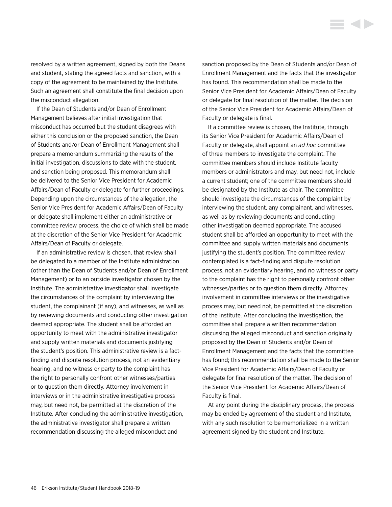resolved by a written agreement, signed by both the Deans and student, stating the agreed facts and sanction, with a copy of the agreement to be maintained by the Institute. Such an agreement shall constitute the final decision upon the misconduct allegation.

If the Dean of Students and/or Dean of Enrollment Management believes after initial investigation that misconduct has occurred but the student disagrees with either this conclusion or the proposed sanction, the Dean of Students and/or Dean of Enrollment Management shall prepare a memorandum summarizing the results of the initial investigation, discussions to date with the student, and sanction being proposed. This memorandum shall be delivered to the Senior Vice President for Academic Affairs/Dean of Faculty or delegate for further proceedings. Depending upon the circumstances of the allegation, the Senior Vice President for Academic Affairs/Dean of Faculty or delegate shall implement either an administrative or committee review process, the choice of which shall be made at the discretion of the Senior Vice President for Academic Affairs/Dean of Faculty or delegate.

If an administrative review is chosen, that review shall be delegated to a member of the Institute administration (other than the Dean of Students and/or Dean of Enrollment Management) or to an outside investigator chosen by the Institute. The administrative investigator shall investigate the circumstances of the complaint by interviewing the student, the complainant (if any), and witnesses, as well as by reviewing documents and conducting other investigation deemed appropriate. The student shall be afforded an opportunity to meet with the administrative investigator and supply written materials and documents justifying the student's position. This administrative review is a factfinding and dispute resolution process, not an evidentiary hearing, and no witness or party to the complaint has the right to personally confront other witnesses/parties or to question them directly. Attorney involvement in interviews or in the administrative investigative process may, but need not, be permitted at the discretion of the Institute. After concluding the administrative investigation, the administrative investigator shall prepare a written recommendation discussing the alleged misconduct and

sanction proposed by the Dean of Students and/or Dean of Enrollment Management and the facts that the investigator has found. This recommendation shall be made to the Senior Vice President for Academic Affairs/Dean of Faculty or delegate for final resolution of the matter. The decision of the Senior Vice President for Academic Affairs/Dean of Faculty or delegate is final.

**STATE** 

If a committee review is chosen, the Institute, through its Senior Vice President for Academic Affairs/Dean of Faculty or delegate, shall appoint an *ad hoc* committee of three members to investigate the complaint. The committee members should include Institute faculty members or administrators and may, but need not, include a current student; one of the committee members should be designated by the Institute as chair. The committee should investigate the circumstances of the complaint by interviewing the student, any complainant, and witnesses, as well as by reviewing documents and conducting other investigation deemed appropriate. The accused student shall be afforded an opportunity to meet with the committee and supply written materials and documents justifying the student's position. The committee review contemplated is a fact-finding and dispute resolution process, not an evidentiary hearing, and no witness or party to the complaint has the right to personally confront other witnesses/parties or to question them directly. Attorney involvement in committee interviews or the investigative process may, but need not, be permitted at the discretion of the Institute. After concluding the investigation, the committee shall prepare a written recommendation discussing the alleged misconduct and sanction originally proposed by the Dean of Students and/or Dean of Enrollment Management and the facts that the committee has found; this recommendation shall be made to the Senior Vice President for Academic Affairs/Dean of Faculty or delegate for final resolution of the matter. The decision of the Senior Vice President for Academic Affairs/Dean of Faculty is final.

At any point during the disciplinary process, the process may be ended by agreement of the student and Institute, with any such resolution to be memorialized in a written agreement signed by the student and Institute.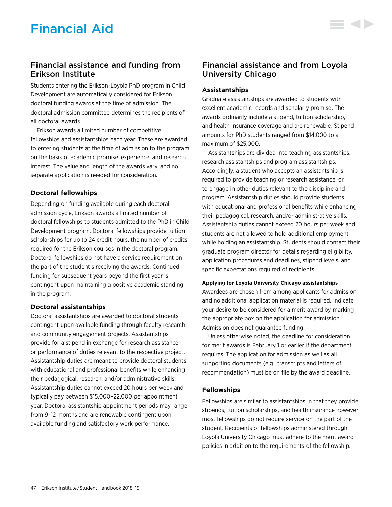Students entering the Erikson-Loyola PhD program in Child Development are automatically considered for Erikson doctoral funding awards at the time of admission. The doctoral admission committee determines the recipients of all doctoral awards.

Erikson awards a limited number of competitive fellowships and assistantships each year. These are awarded to entering students at the time of admission to the program on the basis of academic promise, experience, and research interest. The value and length of the awards vary, and no separate application is needed for consideration.

# **Doctoral fellowships**

Depending on funding available during each doctoral admission cycle, Erikson awards a limited number of doctoral fellowships to students admitted to the PhD in Child Development program. Doctoral fellowships provide tuition scholarships for up to 24 credit hours, the number of credits required for the Erikson courses in the doctoral program. Doctoral fellowships do not have a service requirement on the part of the student s receiving the awards. Continued funding for subsequent years beyond the first year is contingent upon maintaining a positive academic standing in the program.

# **Doctoral assistantships**

Doctoral assistantships are awarded to doctoral students contingent upon available funding through faculty research and community engagement projects. Assistantships provide for a stipend in exchange for research assistance or performance of duties relevant to the respective project. Assistantship duties are meant to provide doctoral students with educational and professional benefits while enhancing their pedagogical, research, and/or administrative skills. Assistantship duties cannot exceed 20 hours per week and typically pay between \$15,000–22,000 per appointment year. Doctoral assistantship appointment periods may range from 9–12 months and are renewable contingent upon available funding and satisfactory work performance.

# Financial assistance and from Loyola University Chicago

E 4 D

# **Assistantships**

Graduate assistantships are awarded to students with excellent academic records and scholarly promise. The awards ordinarily include a stipend, tuition scholarship, and health insurance coverage and are renewable. Stipend amounts for PhD students ranged from \$14,000 to a maximum of \$25,000.

Assistantships are divided into teaching assistantships, research assistantships and program assistantships. Accordingly, a student who accepts an assistantship is required to provide teaching or research assistance, or to engage in other duties relevant to the discipline and program. Assistantship duties should provide students with educational and professional benefits while enhancing their pedagogical, research, and/or administrative skills. Assistantship duties cannot exceed 20 hours per week and students are not allowed to hold additional employment while holding an assistantship. Students should contact their graduate program director for details regarding eligibility, application procedures and deadlines, stipend levels, and specific expectations required of recipients.

#### **Applying for Loyola University Chicago assistantships**

Awardees are chosen from among applicants for admission and no additional application material is required. Indicate your desire to be considered for a merit award by marking the appropriate box on the application for admission. Admission does not guarantee funding.

Unless otherwise noted, the deadline for consideration for merit awards is February 1 or earlier if the department requires. The application for admission as well as all supporting documents (e.g., transcripts and letters of recommendation) must be on file by the award deadline.

# **Fellowships**

Fellowships are similar to assistantships in that they provide stipends, tuition scholarships, and health insurance however most fellowships do not require service on the part of the student. Recipients of fellowships administered through Loyola University Chicago must adhere to the merit award policies in addition to the requirements of the fellowship.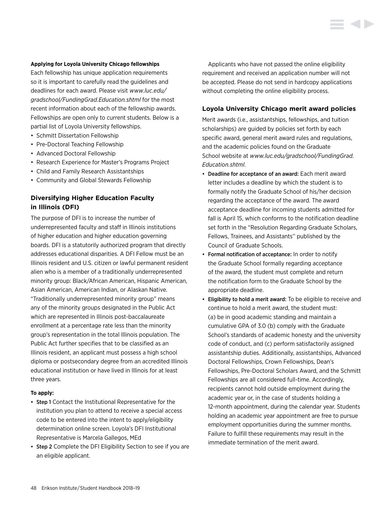#### **Applying for Loyola University Chicago fellowships**

Each fellowship has unique application requirements so it is important to carefully read the guidelines and deadlines for each award. Please visit *[www.luc.edu/](http://www.luc.edu/gradschool/FundingGrad.Education.shtml) [gradschool/FundingGrad.Education.shtml](http://www.luc.edu/gradschool/FundingGrad.Education.shtml)* for the most recent information about each of the fellowship awards. Fellowships are open only to current students. Below is a partial list of Loyola University fellowships.

- Schmitt Dissertation Fellowship
- Pre-Doctoral Teaching Fellowship
- Advanced Doctoral Fellowship
- Research Experience for Master's Programs Project
- Child and Family Research Assistantships
- Community and Global Stewards Fellowship

# **Diversifying Higher Education Faculty in Illinois (DFI)**

The purpose of DFI is to increase the number of underrepresented faculty and staff in Illinois institutions of higher education and higher education governing boards. DFI is a statutorily authorized program that directly addresses educational disparities. A DFI Fellow must be an Illinois resident and U.S. citizen or lawful permanent resident alien who is a member of a traditionally underrepresented minority group: Black/African American, Hispanic American, Asian American, American Indian, or Alaskan Native. "Traditionally underrepresented minority group" means any of the minority groups designated in the Public Act which are represented in Illinois post-baccalaureate enrollment at a percentage rate less than the minority group's representation in the total Illinois population. The Public Act further specifies that to be classified as an Illinois resident, an applicant must possess a high school diploma or postsecondary degree from an accredited Illinois educational institution or have lived in Illinois for at least three years.

#### **To apply:**

- Step 1 Contact the Institutional Representative for the institution you plan to attend to receive a special access code to be entered into the intent to apply/eligibility determination online screen. Loyola's DFI Institutional Representative is Marcela Gallegos, MEd
- Step 2 Complete the DFI Eligibility Section to see if you are an eligible applicant.

Applicants who have not passed the online eligibility requirement and received an application number will not be accepted. Please do not send in hardcopy applications without completing the online eligibility process.

#### **Loyola University Chicago merit award policies**

Merit awards (i.e., assistantships, fellowships, and tuition scholarships) are guided by policies set forth by each specific award, general merit award rules and regulations, and the academic policies found on the Graduate School website at *[www.luc.edu/gradschool/FundingGrad.](http://www.luc.edu/gradschool/FundingGrad.Education.shtml) [Education.shtml](http://www.luc.edu/gradschool/FundingGrad.Education.shtml)*.

- Deadline for acceptance of an award: Each merit award letter includes a deadline by which the student is to formally notify the Graduate School of his/her decision regarding the acceptance of the award. The award acceptance deadline for incoming students admitted for fall is April 15, which conforms to the notification deadline set forth in the "Resolution Regarding Graduate Scholars, Fellows, Trainees, and Assistants'' published by the Council of Graduate Schools.
- Formal notification of acceptance: In order to notify the Graduate School formally regarding acceptance of the award, the student must complete and return the notification form to the Graduate School by the appropriate deadline.
- Eligibility to hold a merit award: To be eligible to receive and continue to hold a merit award, the student must: (a) be in good academic standing and maintain a cumulative GPA of 3.0 (b) comply with the Graduate School's standards of academic honesty and the university code of conduct, and (c) perform satisfactorily assigned assistantship duties. Additionally, assistantships, Advanced Doctoral Fellowships, Crown Fellowships, Dean's Fellowships, Pre-Doctoral Scholars Award, and the Schmitt Fellowships are all considered full-time. Accordingly, recipients cannot hold outside employment during the academic year or, in the case of students holding a 12-month appointment, during the calendar year. Students holding an academic year appointment are free to pursue employment opportunities during the summer months. Failure to fulfill these requirements may result in the immediate termination of the merit award.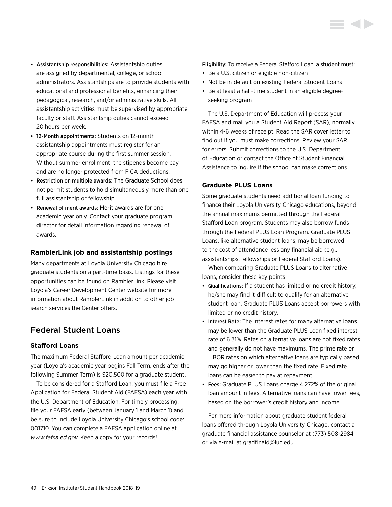- Assistantship responsibilities: Assistantship duties are assigned by departmental, college, or school administrators. Assistantships are to provide students with educational and professional benefits, enhancing their pedagogical, research, and/or administrative skills. All assistantship activities must be supervised by appropriate faculty or staff. Assistantship duties cannot exceed 20 hours per week.
- 12-Month appointments: Students on 12-month assistantship appointments must register for an appropriate course during the first summer session. Without summer enrollment, the stipends become pay and are no longer protected from FICA deductions.
- Restriction on multiple awards: The Graduate School does not permit students to hold simultaneously more than one full assistantship or fellowship.
- Renewal of merit awards: Merit awards are for one academic year only. Contact your graduate program director for detail information regarding renewal of awards.

# **RamblerLink job and assistantship postings**

Many departments at Loyola University Chicago hire graduate students on a part-time basis. Listings for these opportunities can be found on RamblerLink. Please visit Loyola's Career Development Center website for more information about RamblerLink in addition to other job search services the Center offers.

# Federal Student Loans

# **Stafford Loans**

The maximum Federal Stafford Loan amount per academic year (Loyola's academic year begins Fall Term, ends after the following Summer Term) is \$20,500 for a graduate student.

To be considered for a Stafford Loan, you must file a Free Application for Federal Student Aid (FAFSA) each year with the U.S. Department of Education. For timely processing, file your FAFSA early (between January 1 and March 1) and be sure to include Loyola University Chicago's school code: 001710. You can complete a FAFSA application online at *[www.fafsa.ed.gov](http://www.fafsa.ed.gov)*. Keep a copy for your records!

Eligibility: To receive a Federal Stafford Loan, a student must:

- Be a U.S. citizen or eligible non-citizen
- Not be in default on existing Federal Student Loans
- Be at least a half-time student in an eligible degreeseeking program

The U.S. Department of Education will process your FAFSA and mail you a Student Aid Report (SAR), normally within 4-6 weeks of receipt. Read the SAR cover letter to find out if you must make corrections. Review your SAR for errors. Submit corrections to the U.S. Department of Education or contact the Office of Student Financial Assistance to inquire if the school can make corrections.

# **Graduate PLUS Loans**

Some graduate students need additional loan funding to finance their Loyola University Chicago educations, beyond the annual maximums permitted through the Federal Stafford Loan program. Students may also borrow funds through the Federal PLUS Loan Program. Graduate PLUS Loans, like alternative student loans, may be borrowed to the cost of attendance less any financial aid (e.g., assistantships, fellowships or Federal Stafford Loans).

When comparing Graduate PLUS Loans to alternative loans, consider these key points:

- Qualifications: If a student has limited or no credit history, he/she may find it difficult to qualify for an alternative student loan. Graduate PLUS Loans accept borrowers with limited or no credit history.
- Interest Rate: The interest rates for many alternative loans may be lower than the Graduate PLUS Loan fixed interest rate of 6.31%. Rates on alternative loans are not fixed rates and generally do not have maximums. The prime rate or LIBOR rates on which alternative loans are typically based may go higher or lower than the fixed rate. Fixed rate loans can be easier to pay at repayment.
- Fees: Graduate PLUS Loans charge 4.272% of the original loan amount in fees. Alternative loans can have lower fees, based on the borrower's credit history and income.

For more information about graduate student federal loans offered through Loyola University Chicago, contact a graduate financial assistance counselor at (773) 508-2984 or via e-mail at [gradfinaid@luc.edu.](mailto:gradfinaid%40luc.edu?subject=)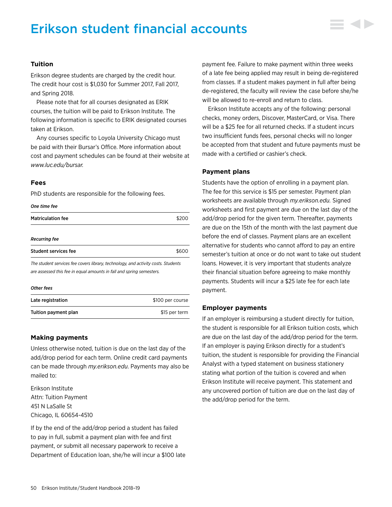# Erikson student financial accounts



### **Tuition**

Erikson degree students are charged by the credit hour. The credit hour cost is \$1,030 for Summer 2017, Fall 2017, and Spring 2018.

Please note that for all courses designated as ERIK courses, the tuition will be paid to Erikson Institute. The following information is specific to ERIK designated courses taken at Erikson.

Any courses specific to Loyola University Chicago must be paid with their Bursar's Office. More information about cost and payment schedules can be found at their website at *[www.luc.edu/bursar.](http://www.luc.edu/bursar)*

#### **Fees**

PhD students are responsible for the following fees.

#### *One time fee*

| <b>Matriculation fee</b>                                                                                                                                  |       |
|-----------------------------------------------------------------------------------------------------------------------------------------------------------|-------|
| Recurring fee                                                                                                                                             |       |
| Student services fee                                                                                                                                      | \$600 |
| The student services fee covers library, technology, and activity costs. Students<br>are assessed this fee in equal amounts in fall and spring semesters. |       |
| <b>Other fees</b>                                                                                                                                         |       |

| Late registration    | \$100 per course |
|----------------------|------------------|
| Tuition payment plan | \$15 per term    |

# **Making payments**

Unless otherwise noted, tuition is due on the last day of the add/drop period for each term. Online credit card payments can be made through *[my.erikson.edu](http://my.erikson.edu)*. Payments may also be mailed to:

Erikson Institute Attn: Tuition Payment 451 N LaSalle St Chicago, IL 60654-4510

If by the end of the add/drop period a student has failed to pay in full, submit a payment plan with fee and first payment, or submit all necessary paperwork to receive a Department of Education loan, she/he will incur a \$100 late payment fee. Failure to make payment within three weeks of a late fee being applied may result in being de-registered from classes. If a student makes payment in full after being de-registered, the faculty will review the case before she/he will be allowed to re-enroll and return to class.

Erikson Institute accepts any of the following: personal checks, money orders, Discover, MasterCard, or Visa. There will be a \$25 fee for all returned checks. If a student incurs two insufficient funds fees, personal checks will no longer be accepted from that student and future payments must be made with a certified or cashier's check.

# **Payment plans**

Students have the option of enrolling in a payment plan. The fee for this service is \$15 per semester. Payment plan worksheets are available through *[my.erikson.edu](http://my.erikson.edu).* Signed worksheets and first payment are due on the last day of the add/drop period for the given term. Thereafter, payments are due on the 15th of the month with the last payment due before the end of classes. Payment plans are an excellent alternative for students who cannot afford to pay an entire semester's tuition at once or do not want to take out student loans. However, it is very important that students analyze their financial situation before agreeing to make monthly payments. Students will incur a \$25 late fee for each late payment.

#### **Employer payments**

If an employer is reimbursing a student directly for tuition, the student is responsible for all Erikson tuition costs, which are due on the last day of the add/drop period for the term. If an employer is paying Erikson directly for a student's tuition, the student is responsible for providing the Financial Analyst with a typed statement on business stationery stating what portion of the tuition is covered and when Erikson Institute will receive payment. This statement and any uncovered portion of tuition are due on the last day of the add/drop period for the term.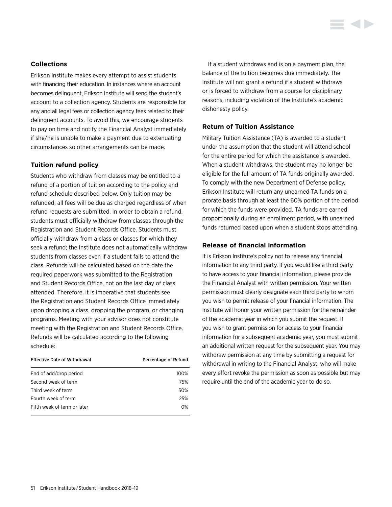# <span id="page-51-0"></span>**Collections**

Erikson Institute makes every attempt to assist students with financing their education. In instances where an account becomes delinquent, Erikson Institute will send the student's account to a collection agency. Students are responsible for any and all legal fees or collection agency fees related to their delinquent accounts. To avoid this, we encourage students to pay on time and notify the Financial Analyst immediately if she/he is unable to make a payment due to extenuating circumstances so other arrangements can be made.

#### **Tuition refund policy**

Students who withdraw from classes may be entitled to a refund of a portion of tuition according to the policy and refund schedule described below. Only tuition may be refunded; all fees will be due as charged regardless of when refund requests are submitted. In order to obtain a refund, students must officially withdraw from classes through the Registration and Student Records Office. Students must officially withdraw from a class or classes for which they seek a refund; the Institute does not automatically withdraw students from classes even if a student fails to attend the class. Refunds will be calculated based on the date the required paperwork was submitted to the Registration and Student Records Office, not on the last day of class attended. Therefore, it is imperative that students see the Registration and Student Records Office immediately upon dropping a class, dropping the program, or changing programs. Meeting with your advisor does not constitute meeting with the Registration and Student Records Office. Refunds will be calculated according to the following schedule:

| <b>Effective Date of Withdrawal</b> | Percentage of Refund |
|-------------------------------------|----------------------|
| End of add/drop period              | 100%                 |
| Second week of term                 | 75%                  |
| Third week of term                  | 50%                  |
| Fourth week of term                 | 25%                  |
| Fifth week of term or later         | $0\%$                |

If a student withdraws and is on a payment plan, the balance of the tuition becomes due immediately. The Institute will not grant a refund if a student withdraws or is forced to withdraw from a course for disciplinary reasons, including violation of the Institute's academic dishonesty policy.

# **Return of Tuition Assistance**

Military Tuition Assistance (TA) is awarded to a student under the assumption that the student will attend school for the entire period for which the assistance is awarded. When a student withdraws, the student may no longer be eligible for the full amount of TA funds originally awarded. To comply with the new Department of Defense policy, Erikson Institute will return any unearned TA funds on a prorate basis through at least the 60% portion of the period for which the funds were provided. TA funds are earned proportionally during an enrollment period, with unearned funds returned based upon when a student stops attending.

#### **Release of financial information**

It is Erikson Institute's policy not to release any financial information to any third party. If you would like a third party to have access to your financial information, please provide the Financial Analyst with written permission. Your written permission must clearly designate each third party to whom you wish to permit release of your financial information. The Institute will honor your written permission for the remainder of the academic year in which you submit the request. If you wish to grant permission for access to your financial information for a subsequent academic year, you must submit an additional written request for the subsequent year. You may withdraw permission at any time by submitting a request for withdrawal in writing to the Financial Analyst, who will make every effort revoke the permission as soon as possible but may require until the end of the academic year to do so.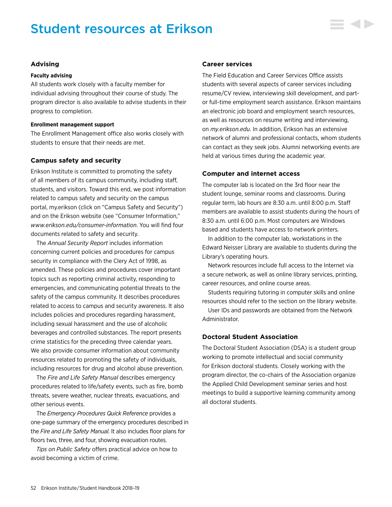# Student resources at Erikson



#### **Advising**

#### **Faculty advising**

All students work closely with a faculty member for individual advising throughout their course of study. The program director is also available to advise students in their progress to completion.

#### **Enrollment management support**

The Enrollment Management office also works closely with students to ensure that their needs are met.

#### **Campus safety and security**

Erikson Institute is committed to promoting the safety of all members of its campus community, including staff, students, and visitors. Toward this end, we post information related to campus safety and security on the campus portal, my.erikson (click on "Campus Safety and Security") and on the Erikson website (see "Consumer Information," *[www.erikson.edu/consumer-information](http://www.erikson.edu/consumer-information)*. You will find four documents related to safety and security.

The *Annual Security Report* includes information concerning current policies and procedures for campus security in compliance with the Clery Act of 1998, as amended. These policies and procedures cover important topics such as reporting criminal activity, responding to emergencies, and communicating potential threats to the safety of the campus community. It describes procedures related to access to campus and security awareness. It also includes policies and procedures regarding harassment, including sexual harassment and the use of alcoholic beverages and controlled substances. The report presents crime statistics for the preceding three calendar years. We also provide consumer information about community resources related to promoting the safety of individuals, including resources for drug and alcohol abuse prevention.

The *Fire and Life Safety Manual* describes emergency procedures related to life/safety events, such as fire, bomb threats, severe weather, nuclear threats, evacuations, and other serious events.

The *Emergency Procedures Quick Reference* provides a one-page summary of the emergency procedures described in the *Fire and Life Safety Manual.* It also includes floor plans for floors two, three, and four, showing evacuation routes.

*Tips on Public Safety* offers practical advice on how to avoid becoming a victim of crime.

#### **Career services**

The Field Education and Career Services Office assists students with several aspects of career services including resume/CV review, interviewing skill development, and partor full-time employment search assistance. Erikson maintains an electronic job board and employment search resources, as well as resources on resume writing and interviewing, on *[my.erikson.edu](http://my.erikson.edu)*. In addition, Erikson has an extensive network of alumni and professional contacts, whom students can contact as they seek jobs. Alumni networking events are held at various times during the academic year.

#### **Computer and internet access**

The computer lab is located on the 3rd floor near the student lounge, seminar rooms and classrooms. During regular term, lab hours are 8:30 a.m. until 8:00 p.m. Staff members are available to assist students during the hours of 8:30 a.m. until 6:00 p.m. Most computers are Windows based and students have access to network printers.

In addition to the computer lab, workstations in the Edward Neisser Library are available to students during the Library's operating hours.

Network resources include full access to the Internet via a secure network, as well as online library services, printing, career resources, and online course areas.

Students requiring tutoring in computer skills and online resources should refer to the section on the library website.

User IDs and passwords are obtained from the Network Administrator.

# **Doctoral Student Association**

The Doctoral Student Association (DSA) is a student group working to promote intellectual and social community for Erikson doctoral students. Closely working with the program director, the co-chairs of the Association organize the Applied Child Development seminar series and host meetings to build a supportive learning community among all doctoral students.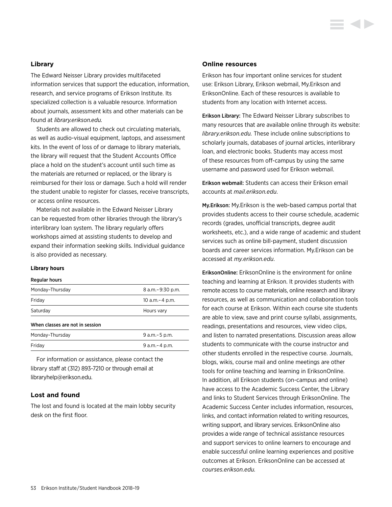#### **Library**

The Edward Neisser Library provides multifaceted information services that support the education, information, research, and service programs of Erikson Institute. Its specialized collection is a valuable resource. Information about journals, assessment kits and other materials can be found at *[library.erikson.edu.](http://library.erikson.edu)*

Students are allowed to check out circulating materials, as well as audio-visual equipment, laptops, and assessment kits. In the event of loss of or damage to library materials, the library will request that the Student Accounts Office place a hold on the student's account until such time as the materials are returned or replaced, or the library is reimbursed for their loss or damage. Such a hold will render the student unable to register for classes, receive transcripts, or access online resources.

Materials not available in the Edward Neisser Library can be requested from other libraries through the library's interlibrary loan system. The library regularly offers workshops aimed at assisting students to develop and expand their information seeking skills. Individual guidance is also provided as necessary.

#### **Library hours**

#### Regular hours

| Monday-Thursday                 | 8 a.m. - 9:30 p.m. |
|---------------------------------|--------------------|
| Friday                          | 10 a.m. - 4 p.m.   |
| Saturday                        | Hours vary         |
| When classes are not in session |                    |
| Monday-Thursday                 | 9 a.m. - 5 p.m.    |
| Friday                          | 9 a.m. - 4 p.m.    |

For information or assistance, please contact the library staff at (312) 893-7210 or through email at [libraryhelp@erikson.edu](mailto:libraryhelp%40erikson.edu?subject=).

#### **Lost and found**

The lost and found is located at the main lobby security desk on the first floor.

### **Online resources**

Erikson has four important online services for student use: Erikson Library, Erikson webmail, My.Erikson and EriksonOnline. Each of these resources is available to students from any location with Internet access.

Erikson Library: The Edward Neisser Library subscribes to many resources that are available online through its website: *[library.erikson.edu.](http://library.erikson.edu)* These include online subscriptions to scholarly journals, databases of journal articles, interlibrary loan, and electronic books. Students may access most of these resources from off-campus by using the same username and password used for Erikson webmail.

Erikson webmail: Students can access their Erikson email accounts at *[mail.erikson.edu](http://mail.erikson.edu)*.

My.Erikson: My.Erikson is the web-based campus portal that provides students access to their course schedule, academic records (grades, unofficial transcripts, degree audit worksheets, etc.), and a wide range of academic and student services such as online bill-payment, student discussion boards and career services information. My.Erikson can be accessed at *[my.erikson.edu](http://my.erikson.edu)*.

EriksonOnline: EriksonOnline is the environment for online teaching and learning at Erikson. It provides students with remote access to course materials, online research and library resources, as well as communication and collaboration tools for each course at Erikson. Within each course site students are able to view, save and print course syllabi, assignments, readings, presentations and resources, view video clips, and listen to narrated presentations. Discussion areas allow students to communicate with the course instructor and other students enrolled in the respective course. Journals, blogs, wikis, course mail and online meetings are other tools for online teaching and learning in EriksonOnline. In addition, all Erikson students (on-campus and online) have access to the Academic Success Center, the Library and links to Student Services through EriksonOnline. The Academic Success Center includes information, resources, links, and contact information related to writing resources, writing support, and library services. EriksonOnline also provides a wide range of technical assistance resources and support services to online learners to encourage and enable successful online learning experiences and positive outcomes at Erikson. EriksonOnline can be accessed at *[courses.erikson.edu](http://courses.erikson.edu).*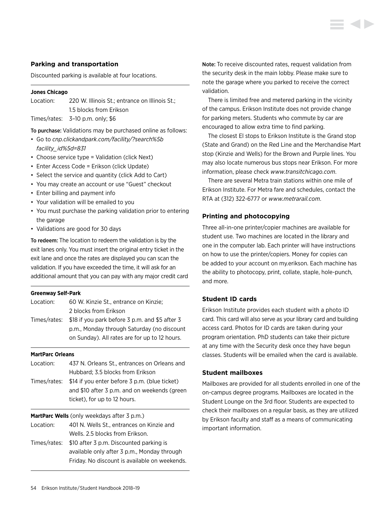### **Parking and transportation**

Discounted parking is available at four locations.

#### **Jones Chicago**

| Location: | 220 W. Illinois St.: entrance on Illinois St.: |
|-----------|------------------------------------------------|
|           | 1.5 blocks from Erikson                        |

Times/rates: 3–10 p.m. only; \$6

To purchase: Validations may be purchased online as follows:

- Go to *[cnp.clickandpark.com/facility/?search%5b](https://cnp.clickandpark.com/facility/?search%5bfacility_id%5d=831) [facility\\_id%5d=831](https://cnp.clickandpark.com/facility/?search%5bfacility_id%5d=831)*
- Choose service type = Validation (click Next)
- Enter Access Code = Erikson (click Update)
- Select the service and quantity (click Add to Cart)
- You may create an account or use "Guest" checkout
- Enter billing and payment info
- Your validation will be emailed to you
- You must purchase the parking validation prior to entering the garage
- Validations are good for 30 days

To redeem: The location to redeem the validation is by the exit lanes only. You must insert the original entry ticket in the exit lane and once the rates are displayed you can scan the validation. If you have exceeded the time, it will ask for an additional amount that you can pay with any major credit card

#### **Greenway Self-Park**

| Location: | 60 W. Kinzie St., entrance on Kinzie;                       |
|-----------|-------------------------------------------------------------|
|           | 2 blocks from Erikson                                       |
|           | Times/rates: \$18 if you park before 3 p.m. and \$5 after 3 |
|           | p.m., Monday through Saturday (no discount                  |
|           | on Sunday). All rates are for up to 12 hours.               |

#### **MartParc Orleans**

Location: 437 N. Orleans St., entrances on Orleans and Hubbard; 3.5 blocks from Erikson Times/rates: \$14 if you enter before 3 p.m. (blue ticket) and \$10 after 3 p.m. and on weekends (green ticket), for up to 12 hours.

**MartParc Wells** (only weekdays after 3 p.m.)

- Location: 401 N. Wells St., entrances on Kinzie and Wells. 2.5 blocks from Erikson.
- Times/rates: \$10 after 3 p.m. Discounted parking is available only after 3 p.m., Monday through Friday. No discount is available on weekends.

Note: To receive discounted rates, request validation from the security desk in the main lobby. Please make sure to note the garage where you parked to receive the correct validation.

There is limited free and metered parking in the vicinity of the campus. Erikson Institute does not provide change for parking meters. Students who commute by car are encouraged to allow extra time to find parking.

The closest El stops to Erikson Institute is the Grand stop (State and Grand) on the Red Line and the Merchandise Mart stop (Kinzie and Wells) for the Brown and Purple lines. You may also locate numerous bus stops near Erikson. For more information, please check *[www.transitchicago.com](http://www.transitchicago.com)*.

There are several Metra train stations within one mile of Erikson Institute. For Metra fare and schedules, contact the RTA at (312) 322-6777 or *[www.metrarail.com](http://www.metrarail.com)*.

#### **Printing and photocopying**

Three all-in-one printer/copier machines are available for student use. Two machines are located in the library and one in the computer lab. Each printer will have instructions on how to use the printer/copiers. Money for copies can be added to your account on my.erikson. Each machine has the ability to photocopy, print, collate, staple, hole-punch, and more.

### **Student ID cards**

Erikson Institute provides each student with a photo ID card. This card will also serve as your library card and building access card. Photos for ID cards are taken during your program orientation. PhD students can take their picture at any time with the Security desk once they have begun classes. Students will be emailed when the card is available.

#### **Student mailboxes**

Mailboxes are provided for all students enrolled in one of the on-campus degree programs. Mailboxes are located in the Student Lounge on the 3rd floor. Students are expected to check their mailboxes on a regular basis, as they are utilized by Erikson faculty and staff as a means of communicating important information.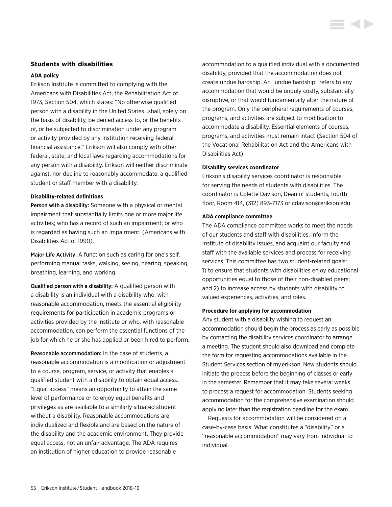### <span id="page-55-0"></span>**Students with disabilities**

#### **ADA policy**

Erikson Institute is committed to complying with the Americans with Disabilities Act, the Rehabilitation Act of 1973, Section 504, which states: "No otherwise qualified person with a disability in the United States…shall, solely on the basis of disability, be denied access to, or the benefits of, or be subjected to discrimination under any program or activity provided by any institution receiving federal financial assistance." Erikson will also comply with other federal, state, and local laws regarding accommodations for any person with a disability. Erikson will neither discriminate against, nor decline to reasonably accommodate, a qualified student or staff member with a disability.

#### **Disability-related definitions**

Person with a disability: Someone with a physical or mental impairment that substantially limits one or more major life activities; who has a record of such an impairment; or who is regarded as having such an impairment. (Americans with Disabilities Act of 1990).

Major Life Activity: A function such as caring for one's self, performing manual tasks, walking, seeing, hearing, speaking, breathing, learning, and working.

Qualified person with a disability: A qualified person with a disability is an individual with a disability who, with reasonable accommodation, meets the essential eligibility requirements for participation in academic programs or activities provided by the Institute or who, with reasonable accommodation, can perform the essential functions of the job for which he or she has applied or been hired to perform.

Reasonable accommodation: In the case of students, a reasonable accommodation is a modification or adjustment to a course, program, service, or activity that enables a qualified student with a disability to obtain equal access. "Equal access" means an opportunity to attain the same level of performance or to enjoy equal benefits and privileges as are available to a similarly situated student without a disability. Reasonable accommodations are individualized and flexible and are based on the nature of the disability and the academic environment. They provide equal access, not an unfair advantage. The ADA requires an institution of higher education to provide reasonable

accommodation to a qualified individual with a documented disability, provided that the accommodation does not create undue hardship. An "undue hardship" refers to any accommodation that would be unduly costly, substantially disruptive, or that would fundamentally alter the nature of the program. Only the peripheral requirements of courses, programs, and activities are subject to modification to accommodate a disability. Essential elements of courses, programs, and activities must remain intact (Section 504 of the Vocational Rehabilitation Act and the Americans with Disabilities Act)

#### **Disability services coordinator**

Erikson's disability services coordinator is responsible for serving the needs of students with disabilities. The coordinator is Colette Davison, Dean of students, fourth floor, Room 414, (312) 893-7173 or [cdavison@erikson.edu](mailto:cdavison%40erikson.edu?subject=).

#### **ADA compliance committee**

The ADA compliance committee works to meet the needs of our students and staff with disabilities, inform the Institute of disability issues, and acquaint our faculty and staff with the available services and process for receiving services. This committee has two student-related goals: 1) to ensure that students with disabilities enjoy educational opportunities equal to those of their non-disabled peers; and 2) to increase access by students with disability to valued experiences, activities, and roles.

#### **Procedure for applying for accommodation**

Any student with a disability wishing to request an accommodation should begin the process as early as possible by contacting the disability services coordinator to arrange a meeting. The student should also download and complete the form for requesting accommodations available in the Student Services section of my.erikson. New students should initiate the process before the beginning of classes or early in the semester. Remember that it may take several weeks to process a request for accommodation. Students seeking accommodation for the comprehensive examination should apply no later than the registration deadline for the exam.

Requests for accommodation will be considered on a case-by-case basis. What constitutes a "disability" or a "reasonable accommodation" may vary from individual to individual.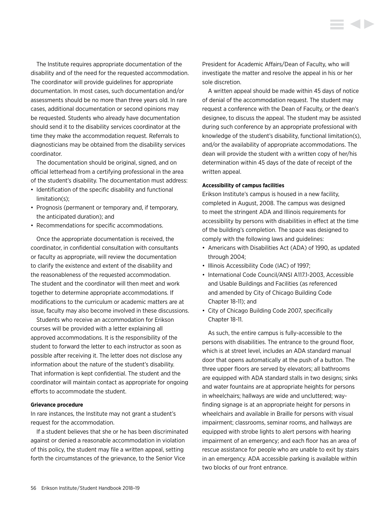The Institute requires appropriate documentation of the disability and of the need for the requested accommodation. The coordinator will provide guidelines for appropriate documentation. In most cases, such documentation and/or assessments should be no more than three years old. In rare cases, additional documentation or second opinions may be requested. Students who already have documentation should send it to the disability services coordinator at the time they make the accommodation request. Referrals to diagnosticians may be obtained from the disability services coordinator.

The documentation should be original, signed, and on official letterhead from a certifying professional in the area of the student's disability. The documentation must address:

- Identification of the specific disability and functional limitation(s);
- Prognosis (permanent or temporary and, if temporary, the anticipated duration); and
- Recommendations for specific accommodations.

Once the appropriate documentation is received, the coordinator, in confidential consultation with consultants or faculty as appropriate, will review the documentation to clarify the existence and extent of the disability and the reasonableness of the requested accommodation. The student and the coordinator will then meet and work together to determine appropriate accommodations. If modifications to the curriculum or academic matters are at issue, faculty may also become involved in these discussions.

Students who receive an accommodation for Erikson courses will be provided with a letter explaining all approved accommodations. It is the responsibility of the student to forward the letter to each instructor as soon as possible after receiving it. The letter does not disclose any information about the nature of the student's disability. That information is kept confidential. The student and the coordinator will maintain contact as appropriate for ongoing efforts to accommodate the student.

#### **Grievance procedure**

In rare instances, the Institute may not grant a student's request for the accommodation.

If a student believes that she or he has been discriminated against or denied a reasonable accommodation in violation of this policy, the student may file a written appeal, setting forth the circumstances of the grievance, to the Senior Vice

President for Academic Affairs/Dean of Faculty, who will investigate the matter and resolve the appeal in his or her sole discretion.

A written appeal should be made within 45 days of notice of denial of the accommodation request. The student may request a conference with the Dean of Faculty, or the dean's designee, to discuss the appeal. The student may be assisted during such conference by an appropriate professional with knowledge of the student's disability, functional limitation(s), and/or the availability of appropriate accommodations. The dean will provide the student with a written copy of her/his determination within 45 days of the date of receipt of the written appeal.

#### **Accessibility of campus facilities**

Erikson Institute's campus is housed in a new facility, completed in August, 2008. The campus was designed to meet the stringent ADA and Illinois requirements for accessibility by persons with disabilities in effect at the time of the building's completion. The space was designed to comply with the following laws and guidelines:

- Americans with Disabilities Act (ADA) of 1990, as updated through 2004;
- Illinois Accessibility Code (IAC) of 1997;
- International Code Council/ANSI A117.1-2003, Accessible and Usable Buildings and Facilities (as referenced and amended by City of Chicago Building Code Chapter 18-11); and
- City of Chicago Building Code 2007, specifically Chapter 18-11.

As such, the entire campus is fully-accessible to the persons with disabilities. The entrance to the ground floor, which is at street level, includes an ADA standard manual door that opens automatically at the push of a button. The three upper floors are served by elevators; all bathrooms are equipped with ADA standard stalls in two designs; sinks and water fountains are at appropriate heights for persons in wheelchairs; hallways are wide and uncluttered; wayfinding signage is at an appropriate height for persons in wheelchairs and available in Braille for persons with visual impairment; classrooms, seminar rooms, and hallways are equipped with strobe lights to alert persons with hearing impairment of an emergency; and each floor has an area of rescue assistance for people who are unable to exit by stairs in an emergency. ADA accessible parking is available within two blocks of our front entrance.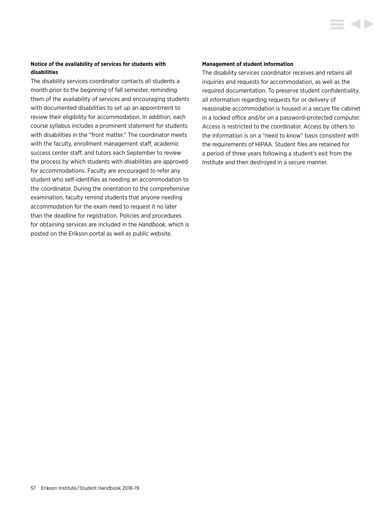# **Notice of the availability of services for students with disabilities**

The disability services coordinator contacts all students a month prior to the beginning of fall semester, reminding them of the availability of services and encouraging students with documented disabilities to set up an appointment to review their eligibility for accommodation. In addition, each course syllabus includes a prominent statement for students with disabilities in the "front matter." The coordinator meets with the faculty, enrollment management staff, academic success center staff, and tutors each September to review the process by which students with disabilities are approved for accommodations. Faculty are encouraged to refer any student who self-identifies as needing an accommodation to the coordinator. During the orientation to the comprehensive examination, faculty remind students that anyone needing accommodation for the exam need to request it no later than the deadline for registration. Policies and procedures for obtaining services are included in the *Handbook*, which is posted on the Erikson portal as well as public website.

#### **Management of student information**

The disability services coordinator receives and retains all inquiries and requests for accommodation, as well as the required documentation. To preserve student confidentiality, all information regarding requests for or delivery of reasonable accommodation is housed in a secure file cabinet in a locked office and/or on a password-protected computer. Access is restricted to the coordinator. Access by others to the information is on a "need to know" basis consistent with the requirements of HIPAA. Student files are retained for a period of three years following a student's exit from the Institute and then destroyed in a secure manner.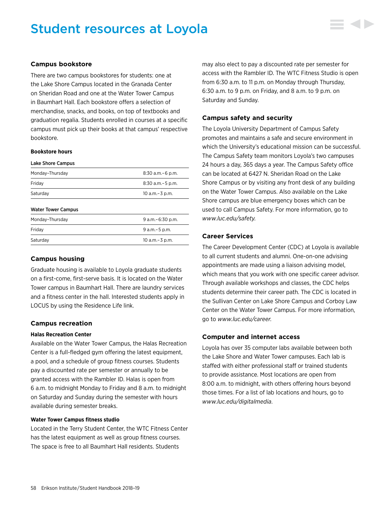# Student resources at Loyola



### **Campus bookstore**

There are two campus bookstores for students: one at the Lake Shore Campus located in the Granada Center on Sheridan Road and one at the Water Tower Campus in Baumhart Hall. Each bookstore offers a selection of merchandise, snacks, and books, on top of textbooks and graduation regalia. Students enrolled in courses at a specific campus must pick up their books at that campus' respective bookstore.

#### **Bookstore hours**

| Lake Shore Campus         |                       |
|---------------------------|-----------------------|
| Monday-Thursday           | $8:30$ a.m. $-6$ p.m. |
| Fridav                    | $8:30$ a.m. $-5$ p.m. |
| Saturdav                  | 10 a.m. - 3 p.m.      |
| <b>Water Tower Campus</b> |                       |
| Monday-Thursday           | 9 a.m. - 6:30 p.m.    |
| Friday                    | $9 a.m - 5 p.m.$      |
| Saturdav                  | 10 a.m. - 3 p.m.      |

# **Campus housing**

Graduate housing is available to Loyola graduate students on a first-come, first-serve basis. It is located on the Water Tower campus in Baumhart Hall. There are laundry services and a fitness center in the hall. Interested students apply in LOCUS by using the Residence Life link.

#### **Campus recreation**

#### **Halas Recreation Center**

Available on the Water Tower Campus, the Halas Recreation Center is a full-fledged gym offering the latest equipment, a pool, and a schedule of group fitness courses. Students pay a discounted rate per semester or annually to be granted access with the Rambler ID. Halas is open from 6 a.m. to midnight Monday to Friday and 8 a.m. to midnight on Saturday and Sunday during the semester with hours available during semester breaks.

#### **Water Tower Campus fitness studio**

Located in the Terry Student Center, the WTC Fitness Center has the latest equipment as well as group fitness courses. The space is free to all Baumhart Hall residents. Students

may also elect to pay a discounted rate per semester for access with the Rambler ID. The WTC Fitness Studio is open from 6:30 a.m. to 11 p.m. on Monday through Thursday, 6:30 a.m. to 9 p.m. on Friday, and 8 a.m. to 9 p.m. on Saturday and Sunday.

#### **Campus safety and security**

The Loyola University Department of Campus Safety promotes and maintains a safe and secure environment in which the University's educational mission can be successful. The Campus Safety team monitors Loyola's two campuses 24 hours a day, 365 days a year. The Campus Safety office can be located at 6427 N. Sheridan Road on the Lake Shore Campus or by visiting any front desk of any building on the Water Tower Campus. Also available on the Lake Shore campus are blue emergency boxes which can be used to call Campus Safety. For more information, go to *[www.luc.edu/safety.](http://www.luc.edu/safety)*

### **Career Services**

The Career Development Center (CDC) at Loyola is available to all current students and alumni. One-on-one advising appointments are made using a liaison advising model, which means that you work with one specific career advisor. Through available workshops and classes, the CDC helps students determine their career path. The CDC is located in the Sullivan Center on Lake Shore Campus and Corboy Law Center on the Water Tower Campus. For more information, go to *[www.luc.edu/career](http://www.luc.edu/career)*.

#### **Computer and internet access**

Loyola has over 35 computer labs available between both the Lake Shore and Water Tower campuses. Each lab is staffed with either professional staff or trained students to provide assistance. Most locations are open from 8:00 a.m. to midnight, with others offering hours beyond those times. For a list of lab locations and hours, go to *[www.luc.edu/digitalmedia](http://www.luc.edu/digitalmedia)*.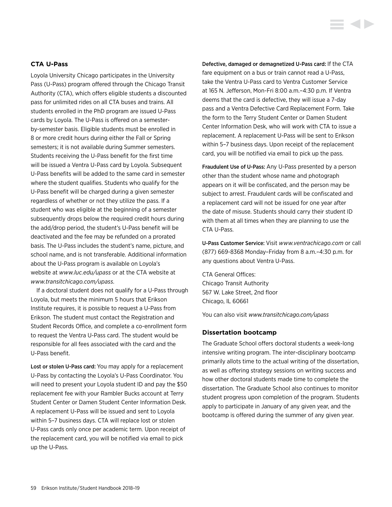# **CTA U-Pass**

Loyola University Chicago participates in the University Pass (U-Pass) program offered through the Chicago Transit Authority (CTA), which offers eligible students a discounted pass for unlimited rides on all CTA buses and trains. All students enrolled in the PhD program are issued U-Pass cards by Loyola. The U-Pass is offered on a semesterby-semester basis. Eligible students must be enrolled in 8 or more credit hours during either the Fall or Spring semesters; it is not available during Summer semesters. Students receiving the U-Pass benefit for the first time will be issued a Ventra U-Pass card by Loyola. Subsequent U-Pass benefits will be added to the same card in semester where the student qualifies. Students who qualify for the U-Pass benefit will be charged during a given semester regardless of whether or not they utilize the pass. If a student who was eligible at the beginning of a semester subsequently drops below the required credit hours during the add/drop period, the student's U-Pass benefit will be deactivated and the fee may be refunded on a prorated basis. The U-Pass includes the student's name, picture, and school name, and is not transferable. Additional information about the U-Pass program is available on Loyola's website at *[www.luc.edu/upass](http://www.luc.edu/upass)* or at the CTA website at *[www.transitchicago.com/upass](http://www.transitchicago.com/upass).*

If a doctoral student does not qualify for a U-Pass through Loyola, but meets the minimum 5 hours that Erikson Institute requires, it is possible to request a U-Pass from Erikson. The student must contact the Registration and Student Records Office, and complete a co-enrollment form to request the Ventra U-Pass card. The student would be responsible for all fees associated with the card and the U-Pass benefit.

Lost or stolen U-Pass card: You may apply for a replacement U-Pass by contacting the Loyola's U-Pass Coordinator. You will need to present your Loyola student ID and pay the \$50 replacement fee with your Rambler Bucks account at Terry Student Center or Damen Student Center Information Desk. A replacement U-Pass will be issued and sent to Loyola within 5–7 business days. CTA will replace lost or stolen U-Pass cards only once per academic term. Upon receipt of the replacement card, you will be notified via email to pick up the U-Pass.

Defective, damaged or demagnetized U-Pass card: If the CTA fare equipment on a bus or train cannot read a U-Pass, take the Ventra U-Pass card to Ventra Customer Service at 165 N. Jefferson, Mon-Fri 8:00 a.m.–4:30 p.m. If Ventra deems that the card is defective, they will issue a 7-day pass and a Ventra Defective Card Replacement Form. Take the form to the Terry Student Center or Damen Student Center Information Desk, who will work with CTA to issue a replacement. A replacement U-Pass will be sent to Erikson within 5–7 business days. Upon receipt of the replacement card, you will be notified via email to pick up the pass.

Fraudulent Use of U-Pass: Any U-Pass presented by a person other than the student whose name and photograph appears on it will be confiscated, and the person may be subject to arrest. Fraudulent cards will be confiscated and a replacement card will not be issued for one year after the date of misuse. Students should carry their student ID with them at all times when they are planning to use the CTA U-Pass.

U-Pass Customer Service: Visit *[www.ventrachicago.com](http://www.ventrachicago.com)* or call (877) 669-8368 Monday–Friday from 8 a.m.–4:30 p.m. for any questions about Ventra U-Pass.

CTA General Offices: Chicago Transit Authority 567 W. Lake Street, 2nd floor Chicago, IL 60661

You can also visit *[www.transitchicago.com/upass](http://www.transitchicago.com/upass)*

#### **Dissertation bootcamp**

The Graduate School offers doctoral students a week-long intensive writing program. The inter-disciplinary bootcamp primarily allots time to the actual writing of the dissertation, as well as offering strategy sessions on writing success and how other doctoral students made time to complete the dissertation. The Graduate School also continues to monitor student progress upon completion of the program. Students apply to participate in January of any given year, and the bootcamp is offered during the summer of any given year.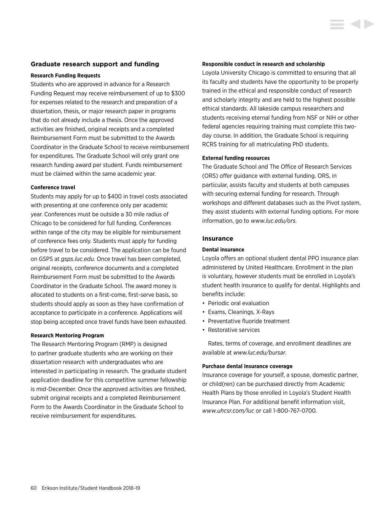#### **Graduate research support and funding**

#### **Research Funding Requests**

Students who are approved in advance for a Research Funding Request may receive reimbursement of up to \$300 for expenses related to the research and preparation of a dissertation, thesis, or major research paper in programs that do not already include a thesis. Once the approved activities are finished, original receipts and a completed Reimbursement Form must be submitted to the Awards Coordinator in the Graduate School to receive reimbursement for expenditures. The Graduate School will only grant one research funding award per student. Funds reimbursement must be claimed within the same academic year.

#### **Conference travel**

Students may apply for up to \$400 in travel costs associated with presenting at one conference only per academic year. Conferences must be outside a 30 mile radius of Chicago to be considered for full funding. Conferences within range of the city may be eligible for reimbursement of conference fees only. Students must apply for funding before travel to be considered. The application can be found on GSPS at *[gsps.luc.edu.](http://gsps.luc.edu)* Once travel has been completed, original receipts, conference documents and a completed Reimbursement Form must be submitted to the Awards Coordinator in the Graduate School. The award money is allocated to students on a first-come, first-serve basis, so students should apply as soon as they have confirmation of acceptance to participate in a conference. Applications will stop being accepted once travel funds have been exhausted.

#### **Research Mentoring Program**

The Research Mentoring Program (RMP) is designed to partner graduate students who are working on their dissertation research with undergraduates who are interested in participating in research. The graduate student application deadline for this competitive summer fellowship is mid-December. Once the approved activities are finished, submit original receipts and a completed Reimbursement Form to the Awards Coordinator in the Graduate School to receive reimbursement for expenditures.

#### **Responsible conduct in research and scholarship**

Loyola University Chicago is committed to ensuring that all its faculty and students have the opportunity to be properly trained in the ethical and responsible conduct of research and scholarly integrity and are held to the highest possible ethical standards. All lakeside campus researchers and students receiving eternal funding from NSF or NIH or other federal agencies requiring training must complete this twoday course. In addition, the Graduate School is requiring RCRS training for all matriculating PhD students.

#### **External funding resources**

The Graduate School and The Office of Research Services (ORS) offer guidance with external funding. ORS, in particular, assists faculty and students at both campuses with securing external funding for research. Through workshops and different databases such as the Pivot system, they assist students with external funding options. For more information, go to *[www.luc.edu/ors.](http://www.luc.edu/ors)*

#### **Insurance**

#### **Dental insurance**

Loyola offers an optional student dental PPO insurance plan administered by United Healthcare. Enrollment in the plan is voluntary, however students must be enrolled in Loyola's student health insurance to qualify for dental. Highlights and benefits include:

- Periodic oral evaluation
- Exams, Cleanings, X-Rays
- Preventative fluoride treatment
- Restorative services

Rates, terms of coverage, and enrollment deadlines are available at *[www.luc.edu/bursar](http://www.luc.edu/bursar)*.

#### **Purchase dental insurance coverage**

Insurance coverage for yourself, a spouse, domestic partner, or child(ren) can be purchased directly from Academic Health Plans by those enrolled in Loyola's Student Health Insurance Plan. For additional benefit information visit, *[www.uhcsr.com/luc](http://www.uhcsr.com/luc)* or call 1-800-767-0700.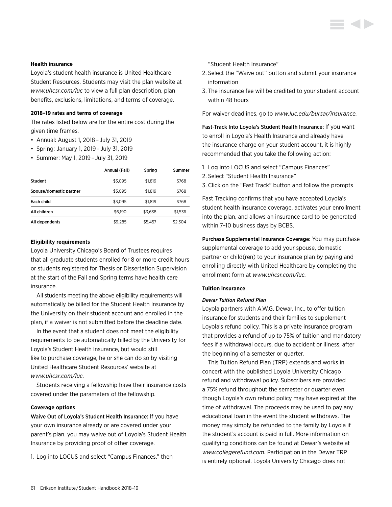#### **Health insurance**

Loyola's student health insurance is United Healthcare Student Resources. Students may visit the plan website at *[www.uhcsr.com/luc](http://www.uhcsr.com/luc)* to view a full plan description, plan benefits, exclusions, limitations, and terms of coverage.

#### **2018–19 rates and terms of coverage**

The rates listed below are for the entire cost during the given time frames.

- Annual: August 1, 2018 – July 31, 2019
- Spring: January 1, 2019 – July 31, 2019
- Summer: May 1, 2019 – July 31, 2019

|                         | Annual (Fall) | Spring  | Summer  |
|-------------------------|---------------|---------|---------|
| <b>Student</b>          | \$3.095       | \$1.819 | \$768   |
| Spouse/domestic partner | \$3.095       | \$1.819 | \$768   |
| Each child              | \$3.095       | \$1.819 | \$768   |
| All children            | \$6.190       | \$3.638 | \$1.536 |
| All dependents          | \$9,285       | \$5,457 | \$2,304 |

#### **Eligibility requirements**

Loyola University Chicago's Board of Trustees requires that all graduate students enrolled for 8 or more credit hours or students registered for Thesis or Dissertation Supervision at the start of the Fall and Spring terms have health care insurance.

All students meeting the above eligibility requirements will automatically be billed for the Student Health Insurance by the University on their student account and enrolled in the plan, if a waiver is not submitted before the deadline date.

In the event that a student does not meet the eligibility requirements to be automatically billed by the University for Loyola's Student Health Insurance, but would still like to purchase coverage, he or she can do so by visiting United Healthcare Student Resources' website at *[www.uhcsr.com/luc](http://www.uhcsr.com/luc).*

Students receiving a fellowship have their insurance costs covered under the parameters of the fellowship.

#### **Coverage options**

Waive Out of Loyola's Student Health Insurance: If you have your own insurance already or are covered under your parent's plan, you may waive out of Loyola's Student Health Insurance by providing proof of other coverage.

1. Log into LOCUS and select "Campus Finances," then

"Student Health Insurance"

- 2. Select the "Waive out" button and submit your insurance information
- 3. The insurance fee will be credited to your student account within 48 hours

For waiver deadlines, go to *[www.luc.edu/bursar/insurance.](http://www.luc.edu/bursar/insurance)*

Fast-Track Into Loyola's Student Health Insurance: If you want to enroll in Loyola's Health Insurance and already have the insurance charge on your student account, it is highly recommended that you take the following action:

- 1. Log into LOCUS and select "Campus Finances"
- 2. Select "Student Health Insurance"
- 3. Click on the "Fast Track" button and follow the prompts

Fast Tracking confirms that you have accepted Loyola's student health insurance coverage, activates your enrollment into the plan, and allows an insurance card to be generated within 7–10 business days by BCBS.

Purchase Supplemental Insurance Coverage: You may purchase supplemental coverage to add your spouse, domestic partner or child(ren) to your insurance plan by paying and enrolling directly with United Healthcare by completing the enrollment form at *[www.uhcsr.com/luc](http://www.uhcsr.com/luc).*

#### **Tuition insurance**

#### *Dewar Tuition Refund Plan*

Loyola partners with A.W.G. Dewar, Inc., to offer tuition insurance for students and their families to supplement Loyola's refund policy. This is a private insurance program that provides a refund of up to 75% of tuition and mandatory fees if a withdrawal occurs, due to accident or illness, after the beginning of a semester or quarter.

This Tuition Refund Plan (TRP) extends and works in concert with the published Loyola University Chicago refund and withdrawal policy. Subscribers are provided a 75% refund throughout the semester or quarter even though Loyola's own refund policy may have expired at the time of withdrawal. The proceeds may be used to pay any educational loan in the event the student withdraws. The money may simply be refunded to the family by Loyola if the student's account is paid in full. More information on qualifying conditions can be found at Dewar's website at *[www.collegerefund.com.](http://www.collegerefund.com)* Participation in the Dewar TRP is entirely optional. Loyola University Chicago does not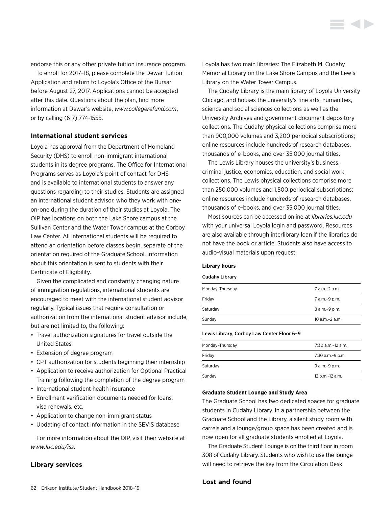endorse this or any other private tuition insurance program.

To enroll for 2017–18, please complete the Dewar Tuition Application and return to Loyola's Office of the Bursar before August 27, 2017. Applications cannot be accepted after this date. Questions about the plan, find more information at Dewar's website, *[www.collegerefund.com](http://www.collegerefund.com)*, or by calling (617) 774-1555.

#### **International student services**

Loyola has approval from the Department of Homeland Security (DHS) to enroll non-immigrant international students in its degree programs. The Office for International Programs serves as Loyola's point of contact for DHS and is available to international students to answer any questions regarding to their studies. Students are assigned an international student advisor, who they work with oneon-one during the duration of their studies at Loyola. The OIP has locations on both the Lake Shore campus at the Sullivan Center and the Water Tower campus at the Corboy Law Center. All international students will be required to attend an orientation before classes begin, separate of the orientation required of the Graduate School. Information about this orientation is sent to students with their Certificate of Eligibility.

Given the complicated and constantly changing nature of immigration regulations, international students are encouraged to meet with the international student advisor regularly. Typical issues that require consultation or authorization from the international student advisor include, but are not limited to, the following:

- Travel authorization signatures for travel outside the United States
- Extension of degree program
- CPT authorization for students beginning their internship
- Application to receive authorization for Optional Practical Training following the completion of the degree program
- International student health insurance
- Enrollment verification documents needed for loans, visa renewals, etc.
- Application to change non-immigrant status
- Updating of contact information in the SEVIS database

For more information about the OIP, visit their website at *[www.luc.edu/iss.](http://www.luc.edu/iss)*

#### **Library services**

Loyola has two main libraries: The Elizabeth M. Cudahy Memorial Library on the Lake Shore Campus and the Lewis Library on the Water Tower Campus.

**SOFT** 

The Cudahy Library is the main library of Loyola University Chicago, and houses the university's fine arts, humanities, science and social sciences collections as well as the University Archives and government document depository collections. The Cudahy physical collections comprise more than 900,000 volumes and 3,200 periodical subscriptions; online resources include hundreds of research databases, thousands of e-books, and over 35,000 journal titles.

The Lewis Library houses the university's business, criminal justice, economics, education, and social work collections. The Lewis physical collections comprise more than 250,000 volumes and 1,500 periodical subscriptions; online resources include hundreds of research databases, thousands of e-books, and over 35,000 journal titles.

Most sources can be accessed online at *[libraries.luc.edu](http://libraries.luc.edu)* with your universal Loyola login and password. Resources are also available through interlibrary loan if the libraries do not have the book or article. Students also have access to audio-visual materials upon request.

#### **Library hours**

#### Cudahy Library

| Monday-Thursday | 7 a.m.-2 a.m.       |
|-----------------|---------------------|
| Friday          | 7 a.m.-9 p.m.       |
| Saturday        | 8 a.m. - 9 p.m.     |
| Sunday          | $10$ a.m. $-2$ a.m. |
|                 |                     |

#### Lewis Library, Corboy Law Center Floor 6–9

| Monday-Thursday | 7:30 a.m.-12 a.m. |
|-----------------|-------------------|
| Friday          | 7:30 a.m.-9 p.m.  |
| Saturday        | 9 a.m.-9 p.m.     |
| Sundav          | 12 p.m.-12 a.m.   |

#### **Graduate Student Lounge and Study Area**

The Graduate School has two dedicated spaces for graduate students in Cudahy Library. In a partnership between the Graduate School and the Library, a silent study room with carrels and a lounge/group space has been created and is now open for all graduate students enrolled at Loyola.

The Graduate Student Lounge is on the third floor in room 308 of Cudahy Library. Students who wish to use the lounge will need to retrieve the key from the Circulation Desk.

### **Lost and found**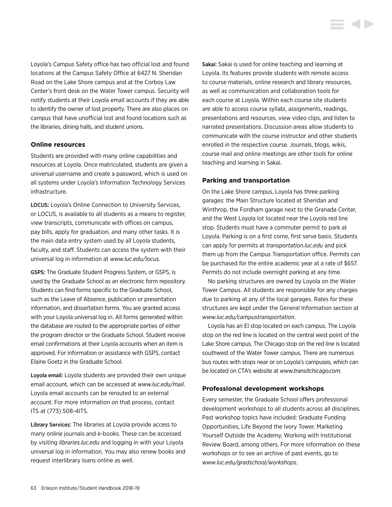Loyola's Campus Safety office has two official lost and found locations at the Campus Safety Office at 6427 N. Sheridan Road on the Lake Shore campus and at the Corboy Law Center's front desk on the Water Tower campus. Security will notify students at their Loyola email accounts if they are able to identify the owner of lost property. There are also places on campus that have unofficial lost and found locations such as the libraries, dining halls, and student unions.

### **Online resources**

Students are provided with many online capabilities and resources at Loyola. Once matriculated, students are given a universal username and create a password, which is used on all systems under Loyola's Information Technology Services infrastructure.

LOCUS: Loyola's Online Connection to University Services, or LOCUS, is available to all students as a means to register, view transcripts, communicate with offices on campus, pay bills, apply for graduation, and many other tasks. It is the main data entry system used by all Loyola students, faculty, and staff. Students can access the system with their universal log in information at *[www.luc.edu/locus](http://www.luc.edu/locus).*

GSPS: The Graduate Student Progress System, or GSPS, is used by the Graduate School as an electronic form repository. Students can find forms specific to the Graduate School, such as the Leave of Absence, publication or presentation information, and dissertation forms. You are granted access with your Loyola universal log in. All forms generated within the database are routed to the appropriate parties of either the program director or the Graduate School. Student receive email confirmations at their Loyola accounts when an item is approved. For information or assistance with GSPS, contact Elaine Goetz in the Graduate School.

Loyola email: Loyola students are provided their own unique email account, which can be accessed at *[www.luc.edu/mail](http://www.luc.edu/mail)*. Loyola email accounts can be rerouted to an external account. For more information on that process, contact ITS at (773) 508-4ITS.

Library Services: The libraries at Loyola provide access to many online journals and e-books. These can be accessed by visiting *[libraries.luc.edu](http://libraries.luc.edu)* and logging in with your Loyola universal log in information. You may also renew books and request interlibrary loans online as well.

Sakai: Sakai is used for online teaching and learning at Loyola. Its features provide students with remote access to course materials, online research and library resources, as well as communication and collaboration tools for each course at Loyola. Within each course site students are able to access course syllabi, assignments, readings, presentations and resources, view video clips, and listen to narrated presentations. Discussion areas allow students to communicate with the course instructor and other students enrolled in the respective course. Journals, blogs, wikis, course mail and online meetings are other tools for online teaching and learning in Sakai.

#### **Parking and transportation**

On the Lake Shore campus, Loyola has three parking garages: the Main Structure located at Sheridan and Winthrop, the Fordham garage next to the Granada Center, and the West Loyola lot located near the Loyola red line stop. Students must have a commuter permit to park at Loyola. Parking is on a first come, first serve basis. Students can apply for permits at *[transportation.luc.edu](http://transportation.luc.edu)* and pick them up from the Campus Transportation office. Permits can be purchased for the entire academic year at a rate of \$657. Permits do not include overnight parking at any time.

No parking structures are owned by Loyola on the Water Tower Campus. All students are responsible for any charges due to parking at any of the local garages. Rates for these structures are kept under the General Information section at *[www.luc.edu/campustransportation](http://www.luc.edu/campustransportation)*.

Loyola has an El stop located on each campus. The Loyola stop on the red line is located on the central west point of the Lake Shore campus. The Chicago stop on the red line is located southwest of the Water Tower campus. There are numerous bus routes with stops near or on Loyola's campuses, which can be located on CTA's website at *[www.transitchicago.com](http://www.transitchicago.com)*.

#### **Professional development workshops**

Every semester, the Graduate School offers professional development workshops to all students across all disciplines. Past workshop topics have included: Graduate Funding Opportunities, Life Beyond the Ivory Tower, Marketing Yourself Outside the Academy, Working with Institutional Review Board, among others. For more information on these workshops or to see an archive of past events, go to *[www.luc.edu/gradschool/workshops](http://www.luc.edu/gradschool/workshops)*.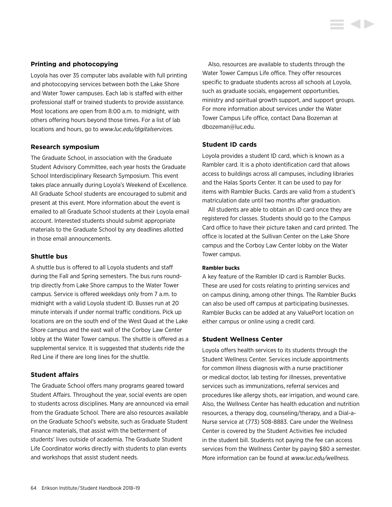# **Printing and photocopying**

Loyola has over 35 computer labs available with full printing and photocopying services between both the Lake Shore and Water Tower campuses. Each lab is staffed with either professional staff or trained students to provide assistance. Most locations are open from 8:00 a.m. to midnight, with others offering hours beyond those times. For a list of lab locations and hours, go to *[www.luc.edu/digitalservices.](http://www.luc.edu/digitalservices)*

# **Research symposium**

The Graduate School, in association with the Graduate Student Advisory Committee, each year hosts the Graduate School Interdisciplinary Research Symposium. This event takes place annually during Loyola's Weekend of Excellence. All Graduate School students are encouraged to submit and present at this event. More information about the event is emailed to all Graduate School students at their Loyola email account. Interested students should submit appropriate materials to the Graduate School by any deadlines allotted in those email announcements.

# **Shuttle bus**

A shuttle bus is offered to all Loyola students and staff during the Fall and Spring semesters. The bus runs roundtrip directly from Lake Shore campus to the Water Tower campus. Service is offered weekdays only from 7 a.m. to midnight with a valid Loyola student ID. Busses run at 20 minute intervals if under normal traffic conditions. Pick up locations are on the south end of the West Quad at the Lake Shore campus and the east wall of the Corboy Law Center lobby at the Water Tower campus. The shuttle is offered as a supplemental service. It is suggested that students ride the Red Line if there are long lines for the shuttle.

# **Student affairs**

The Graduate School offers many programs geared toward Student Affairs. Throughout the year, social events are open to students across disciplines. Many are announced via email from the Graduate School. There are also resources available on the Graduate School's website, such as Graduate Student Finance materials, that assist with the betterment of students' lives outside of academia. The Graduate Student Life Coordinator works directly with students to plan events and workshops that assist student needs.

Also, resources are available to students through the Water Tower Campus Life office. They offer resources specific to graduate students across all schools at Loyola, such as graduate socials, engagement opportunities, ministry and spiritual growth support, and support groups. For more information about services under the Water Tower Campus Life office, contact Dana Bozeman at [dbozeman@luc.edu](mailto:dbozeman%40luc.edu?subject=).

# **Student ID cards**

Loyola provides a student ID card, which is known as a Rambler card. It is a photo identification card that allows access to buildings across all campuses, including libraries and the Halas Sports Center. It can be used to pay for items with Rambler Bucks. Cards are valid from a student's matriculation date until two months after graduation.

All students are able to obtain an ID card once they are registered for classes. Students should go to the Campus Card office to have their picture taken and card printed. The office is located at the Sullivan Center on the Lake Shore campus and the Corboy Law Center lobby on the Water Tower campus.

#### **Rambler bucks**

A key feature of the Rambler ID card is Rambler Bucks. These are used for costs relating to printing services and on campus dining, among other things. The Rambler Bucks can also be used off campus at participating businesses. Rambler Bucks can be added at any ValuePort location on either campus or online using a credit card.

# **Student Wellness Center**

Loyola offers health services to its students through the Student Wellness Center. Services include appointments for common illness diagnosis with a nurse practitioner or medical doctor, lab testing for illnesses, preventative services such as immunizations, referral services and procedures like allergy shots, ear irrigation, and wound care. Also, the Wellness Center has health education and nutrition resources, a therapy dog, counseling/therapy, and a Dial-a-Nurse service at (773) 508-8883. Care under the Wellness Center is covered by the Student Activities fee included in the student bill. Students not paying the fee can access services from the Wellness Center by paying \$80 a semester. More information can be found at *[www.luc.edu/wellness.](http://www.luc.edu/wellness)*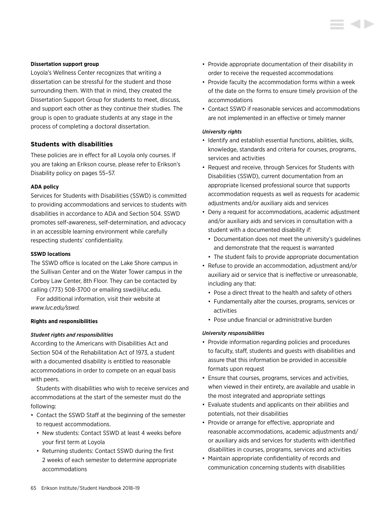#### **Dissertation support group**

Loyola's Wellness Center recognizes that writing a dissertation can be stressful for the student and those surrounding them. With that in mind, they created the Dissertation Support Group for students to meet, discuss, and support each other as they continue their studies. The group is open to graduate students at any stage in the process of completing a doctoral dissertation.

# **Students with disabilities**

These policies are in effect for all Loyola only courses. If you are taking an Erikson course, please refer to Erikson's [Disability policy on pages 55–57.](#page-55-0)

### **ADA policy**

Services for Students with Disabilities (SSWD) is committed to providing accommodations and services to students with disabilities in accordance to ADA and Section 504. SSWD promotes self-awareness, self-determination, and advocacy in an accessible learning environment while carefully respecting students' confidentiality.

### **SSWD locations**

The SSWD office is located on the Lake Shore campus in the Sullivan Center and on the Water Tower campus in the Corboy Law Center, 8th Floor. They can be contacted by calling (773) 508-3700 or emailing [sswd@luc.edu](mailto:sswd%40luc.edu?subject=).

For additional information, visit their website at *[www.luc.edu/sswd.](http://www.luc.edu/sswd)*

#### **Rights and responsibilities**

# *Student rights and responsibilities*

According to the Americans with Disabilities Act and Section 504 of the Rehabilitation Act of 1973, a student with a documented disability is entitled to reasonable accommodations in order to compete on an equal basis with peers.

Students with disabilities who wish to receive services and accommodations at the start of the semester must do the following:

- Contact the SSWD Staff at the beginning of the semester to request accommodations.
	- New students: Contact SSWD at least 4 weeks before your first term at Loyola
	- Returning students: Contact SSWD during the first 2 weeks of each semester to determine appropriate accommodations
- Provide appropriate documentation of their disability in order to receive the requested accommodations
- Provide faculty the accommodation forms within a week of the date on the forms to ensure timely provision of the accommodations
- Contact SSWD if reasonable services and accommodations are not implemented in an effective or timely manner

### *University rights*

- Identify and establish essential functions, abilities, skills, knowledge, standards and criteria for courses, programs, services and activities
- Request and receive, through Services for Students with Disabilities (SSWD), current documentation from an appropriate licensed professional source that supports accommodation requests as well as requests for academic adjustments and/or auxiliary aids and services
- Deny a request for accommodations, academic adjustment and/or auxiliary aids and services in consultation with a student with a documented disability if:
	- Documentation does not meet the university's guidelines and demonstrate that the request is warranted
	- The student fails to provide appropriate documentation
- Refuse to provide an accommodation, adjustment and/or auxiliary aid or service that is ineffective or unreasonable, including any that:
	- Pose a direct threat to the health and safety of others
	- Fundamentally alter the courses, programs, services or activities
	- Pose undue financial or administrative burden

#### *University responsibilities*

- Provide information regarding policies and procedures to faculty, staff, students and guests with disabilities and assure that this information be provided in accessible formats upon request
- Ensure that courses, programs, services and activities, when viewed in their entirety, are available and usable in the most integrated and appropriate settings
- Evaluate students and applicants on their abilities and potentials, not their disabilities
- Provide or arrange for effective, appropriate and reasonable accommodations, academic adjustments and/ or auxiliary aids and services for students with identified disabilities in courses, programs, services and activities
- Maintain appropriate confidentiality of records and communication concerning students with disabilities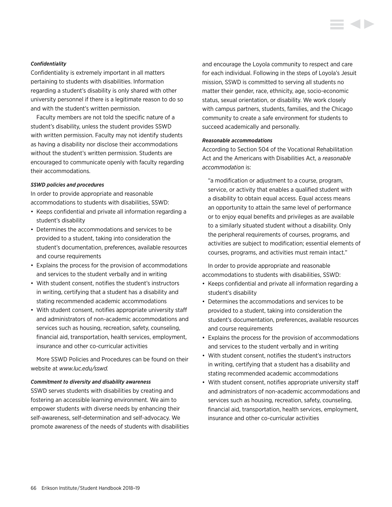#### *Confidentiality*

Confidentiality is extremely important in all matters pertaining to students with disabilities. Information regarding a student's disability is only shared with other university personnel if there is a legitimate reason to do so and with the student's written permission.

Faculty members are not told the specific nature of a student's disability, unless the student provides SSWD with written permission. Faculty may not identify students as having a disability nor disclose their accommodations without the student's written permission. Students are encouraged to communicate openly with faculty regarding their accommodations.

### *SSWD policies and procedures*

In order to provide appropriate and reasonable accommodations to students with disabilities, SSWD:

- Keeps confidential and private all information regarding a student's disability
- Determines the accommodations and services to be provided to a student, taking into consideration the student's documentation, preferences, available resources and course requirements
- Explains the process for the provision of accommodations and services to the student verbally and in writing
- With student consent, notifies the student's instructors in writing, certifying that a student has a disability and stating recommended academic accommodations
- With student consent, notifies appropriate university staff and administrators of non-academic accommodations and services such as housing, recreation, safety, counseling, financial aid, transportation, health services, employment, insurance and other co-curricular activities

More SSWD Policies and Procedures can be found on their website at *[www.luc.edu/sswd](http://www.luc.edu/sswd).*

#### *Commitment to diversity and disability awareness*

SSWD serves students with disabilities by creating and fostering an accessible learning environment. We aim to empower students with diverse needs by enhancing their self-awareness, self-determination and self-advocacy. We promote awareness of the needs of students with disabilities and encourage the Loyola community to respect and care for each individual. Following in the steps of Loyola's Jesuit mission, SSWD is committed to serving all students no matter their gender, race, ethnicity, age, socio-economic status, sexual orientation, or disability. We work closely with campus partners, students, families, and the Chicago community to create a safe environment for students to succeed academically and personally.

#### *Reasonable accommodations*

According to Section 504 of the Vocational Rehabilitation Act and the Americans with Disabilities Act, a *reasonable accommodation* is:

"a modification or adjustment to a course, program, service, or activity that enables a qualified student with a disability to obtain equal access. Equal access means an opportunity to attain the same level of performance or to enjoy equal benefits and privileges as are available to a similarly situated student without a disability. Only the peripheral requirements of courses, programs, and activities are subject to modification; essential elements of courses, programs, and activities must remain intact."

In order to provide appropriate and reasonable accommodations to students with disabilities, SSWD:

- Keeps confidential and private all information regarding a student's disability
- Determines the accommodations and services to be provided to a student, taking into consideration the student's documentation, preferences, available resources and course requirements
- Explains the process for the provision of accommodations and services to the student verbally and in writing
- With student consent, notifies the student's instructors in writing, certifying that a student has a disability and stating recommended academic accommodations
- With student consent, notifies appropriate university staff and administrators of non-academic accommodations and services such as housing, recreation, safety, counseling, financial aid, transportation, health services, employment, insurance and other co-curricular activities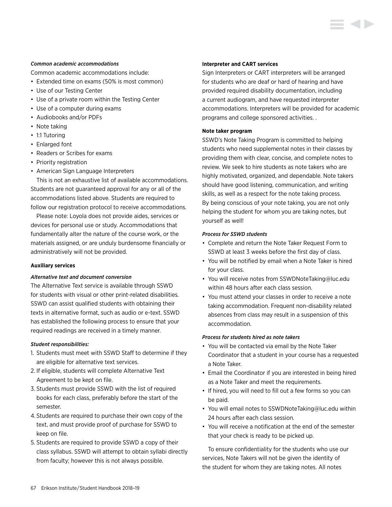#### *Common academic accommodations*

Common academic accommodations include:

- Extended time on exams (50% is most common)
- Use of our Testing Center
- Use of a private room within the Testing Center
- Use of a computer during exams
- Audiobooks and/or PDFs
- Note taking
- 1:1 Tutoring
- Enlarged font
- Readers or Scribes for exams
- Priority registration
- American Sign Language Interpreters

This is not an exhaustive list of available accommodations. Students are not guaranteed approval for any or all of the accommodations listed above. Students are required to follow our registration protocol to receive accommodations.

Please note: Loyola does not provide aides, services or devices for personal use or study. Accommodations that fundamentally alter the nature of the course work, or the materials assigned, or are unduly burdensome financially or administratively will not be provided.

# **Auxiliary services**

# *Alternative text and document conversion*

The Alternative Text service is available through SSWD for students with visual or other print-related disabilities. SSWD can assist qualified students with obtaining their texts in alternative format, such as audio or e-text. SSWD has established the following process to ensure that your required readings are received in a timely manner.

#### *Student responsibilities:*

- 1. Students must meet with SSWD Staff to determine if they are eligible for alternative text services.
- 2. If eligible, students will complete Alternative Text Agreement to be kept on file.
- 3. Students must provide SSWD with the list of required books for each class, preferably before the start of the semester.
- 4. Students are required to purchase their own copy of the text, and must provide proof of purchase for SSWD to keep on file.
- 5. Students are required to provide SSWD a copy of their class syllabus. SSWD will attempt to obtain syllabi directly from faculty; however this is not always possible.

### **Interpreter and CART services**

Sign Interpreters or CART interpreters will be arranged for students who are deaf or hard of hearing and have provided required disability documentation, including a current audiogram, and have requested interpreter accommodations. Interpreters will be provided for academic programs and college sponsored activities. .

### **Note taker program**

SSWD's Note Taking Program is committed to helping students who need supplemental notes in their classes by providing them with clear, concise, and complete notes to review. We seek to hire students as note takers who are highly motivated, organized, and dependable. Note takers should have good listening, communication, and writing skills, as well as a respect for the note taking process. By being conscious of your note taking, you are not only helping the student for whom you are taking notes, but yourself as well!

### *Process for SSWD students*

- Complete and return the Note Taker Request Form to SSWD at least 3 weeks before the first day of class.
- You will be notified by email when a Note Taker is hired for your class.
- You will receive notes from [SSWDNoteTaking@luc.edu](mailto:SSWDNoteTaking%40luc.edu?subject=) within 48 hours after each class session.
- You must attend your classes in order to receive a note taking accommodation. Frequent non-disability related absences from class may result in a suspension of this accommodation.

# *Process for students hired as note takers*

- You will be contacted via email by the Note Taker Coordinator that a student in your course has a requested a Note Taker.
- Email the Coordinator if you are interested in being hired as a Note Taker and meet the requirements.
- If hired, you will need to fill out a few forms so you can be paid.
- You will email notes to [SSWDNoteTaking@luc.edu](mailto:SSWDNoteTaking%40luc.edu?subject=) within 24 hours after each class session.
- You will receive a notification at the end of the semester that your check is ready to be picked up.

To ensure confidentiality for the students who use our services, Note Takers will not be given the identity of the student for whom they are taking notes. All notes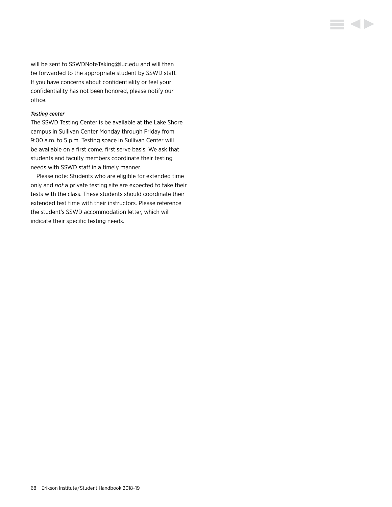will be sent to [SSWDNoteTaking@luc.edu](mailto:SSWDNoteTaking%40luc.edu?subject=) and will then be forwarded to the appropriate student by SSWD staff. If you have concerns about confidentiality or feel your confidentiality has not been honored, please notify our office.

**E 4 D** 

#### *Testing center*

The SSWD Testing Center is be available at the Lake Shore campus in Sullivan Center Monday through Friday from 9:00 a.m. to 5 p.m. Testing space in Sullivan Center will be available on a first come, first serve basis. We ask that students and faculty members coordinate their testing needs with SSWD staff in a timely manner.

Please note: Students who are eligible for extended time only and *not* a private testing site are expected to take their tests with the class. These students should coordinate their extended test time with their instructors. Please reference the student's SSWD accommodation letter, which will indicate their specific testing needs.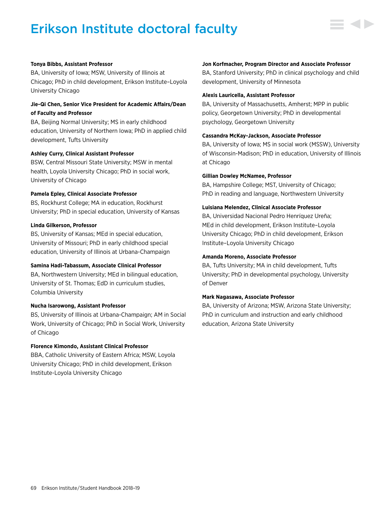# Erikson Institute doctoral faculty



#### **Tonya Bibbs, Assistant Professor**

BA, University of Iowa; MSW, University of Illinois at Chicago; PhD in child development, Erikson Institute–Loyola University Chicago

# **Jie-Qi Chen, Senior Vice President for Academic Affairs/Dean of Faculty and Professor**

BA, Beijing Normal University; MS in early childhood education, University of Northern Iowa; PhD in applied child development, Tufts University

### **Ashley Curry, Clinical Assistant Professor**

BSW, Central Missouri State University; MSW in mental health, Loyola University Chicago; PhD in social work, University of Chicago

#### **Pamela Epley, Clinical Associate Professor**

BS, Rockhurst College; MA in education, Rockhurst University; PhD in special education, University of Kansas

### **Linda Gilkerson, Professor**

BS, University of Kansas; MEd in special education, University of Missouri; PhD in early childhood special education, University of Illinois at Urbana-Champaign

#### **Samina Hadi-Tabassum, Associate Clinical Professor**

BA, Northwestern University; MEd in bilingual education, University of St. Thomas; EdD in curriculum studies, Columbia University

#### **Nucha Isarowong, Assistant Professor**

BS, University of Illinois at Urbana-Champaign; AM in Social Work, University of Chicago; PhD in Social Work, University of Chicago

# **Florence Kimondo, Assistant Clinical Professor**

BBA, Catholic University of Eastern Africa; MSW, Loyola University Chicago; PhD in child development, Erikson Institute-Loyola University Chicago

#### **Jon Korfmacher, Program Director and Associate Professor**

BA, Stanford University; PhD in clinical psychology and child development, University of Minnesota

#### **Alexis Lauricella, Assistant Professor**

BA, University of Massachusetts, Amherst; MPP in public policy, Georgetown University; PhD in developmental psychology, Georgetown University

#### **Cassandra McKay-Jackson, Associate Professor**

BA, University of Iowa; MS in social work (MSSW), University of Wisconsin-Madison; PhD in education, University of Illinois at Chicago

#### **Gillian Dowley McNamee, Professor**

BA, Hampshire College; MST, University of Chicago; PhD in reading and language, Northwestern University

#### **Luisiana Melendez, Clinical Associate Professor**

BA, Universidad Nacional Pedro Henríquez Ureña; MEd in child development, Erikson Institute–Loyola University Chicago; PhD in child development, Erikson Institute–Loyola University Chicago

#### **Amanda Moreno, Associate Professor**

BA, Tufts University; MA in child development, Tufts University; PhD in developmental psychology, University of Denver

#### **Mark Nagasawa, Associate Professor**

BA, University of Arizona; MSW, Arizona State University; PhD in curriculum and instruction and early childhood education, Arizona State University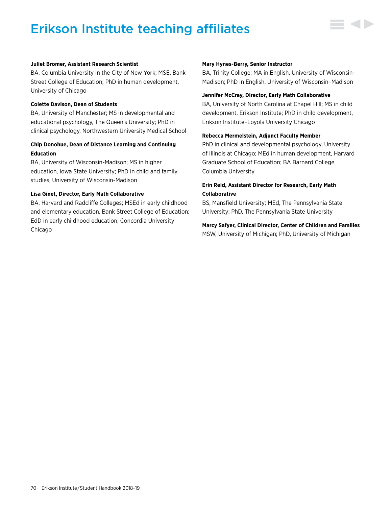# Erikson Institute teaching affiliates



#### **Juliet Bromer, Assistant Research Scientist**

BA, Columbia University in the City of New York; MSE, Bank Street College of Education; PhD in human development, University of Chicago

#### **Colette Davison, Dean of Students**

BA, University of Manchester; MS in developmental and educational psychology, The Queen's University; PhD in clinical psychology, Northwestern University Medical School

# **Chip Donohue, Dean of Distance Learning and Continuing Education**

BA, University of Wisconsin-Madison; MS in higher education, Iowa State University; PhD in child and family studies, University of Wisconsin-Madison

#### **Lisa Ginet, Director, Early Math Collaborative**

BA, Harvard and Radcliffe Colleges; MSEd in early childhood and elementary education, Bank Street College of Education; EdD in early childhood education, Concordia University Chicago

#### **Mary Hynes-Berry, Senior Instructor**

BA, Trinity College; MA in English, University of Wisconsin– Madison; PhD in English, University of Wisconsin–Madison

#### **Jennifer McCray, Director, Early Math Collaborative**

BA, University of North Carolina at Chapel Hill; MS in child development, Erikson Institute; PhD in child development, Erikson Institute–Loyola University Chicago

#### **Rebecca Mermelstein, Adjunct Faculty Member**

PhD in clinical and developmental psychology, University of Illinois at Chicago; MEd in human development, Harvard Graduate School of Education; BA Barnard College, Columbia University

# **Erin Reid, Assistant Director for Research, Early Math Collaborative**

BS, Mansfield University; MEd, The Pennsylvania State University; PhD, The Pennsylvania State University

# **Marcy Safyer, Clinical Director, Center of Children and Families** MSW, University of Michigan; PhD, University of Michigan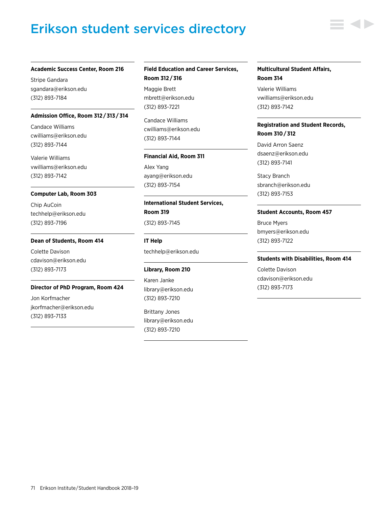# Erikson student services directory



Stripe Gandara [sgandara@erikson.edu](mailto:sgandara%40erikson.edu?subject=) (312) 893-7184

#### **Admission Office, Room 312 / 313 / 314**

Candace Williams [cwilliams@erikson.edu](mailto:cwilliams%40erikson.edu?subject=) (312) 893-7144

Valerie Williams [vwilliams@erikson.edu](mailto:vwilliams%40erikson.edu?subject=) (312) 893-7142

#### **Computer Lab, Room 303**

Chip AuCoin [techhelp@erikson.edu](mailto:techhelp%40erikson.edu?subject=) (312) 893-7196

#### **Dean of Students, Room 414**

Colette Davison [cdavison@erikson.edu](mailto:cdavison%40erikson.edu?subject=) (312) 893-7173

#### **Director of PhD Program, Room 424**

Jon Korfmacher [jkorfmacher@erikson.edu](mailto:jkorfmacher%40erikson.edu?subject=) (312) 893-7133

### **Field Education and Career Services, Room 312 / 316**

Maggie Brett [mbrett@erikson.edu](mailto:mbrett%40erikson.edu?subject=) (312) 893-7221

Candace Williams [cwilliams@erikson.edu](mailto:cwilliams%40erikson.edu?subject=) (312) 893-7144

#### **Financial Aid, Room 311**

Alex Yang [ayang@erikson.edu](mailto:ayang%40erikson.edu?subject=) (312) 893-7154

# **International Student Services, Room 319** (312) 893-7145

[techhelp@erikson.edu](mailto:techhelp%40erikson.edu?subject=)

#### **Library, Room 210**

**IT Help**

Karen Janke [library@erikson.edu](mailto:library%40erikson.edu?subject=) (312) 893-7210

Brittany Jones [library@erikson.edu](mailto:library%40erikson.edu?subject=) (312) 893-7210

#### **Multicultural Student Affairs, Room 314**

Valerie Williams [vwilliams@erikson.edu](mailto:vwilliams%40erikson.edu?subject=) (312) 893-7142

# **Registration and Student Records, Room 310 / 312**

David Arron Saenz [dsaenz@erikson.edu](mailto:dsaenz%40erikson.edu?subject=) (312) 893-7141

Stacy Branch [sbranch@erikson.edu](mailto:sbranch%40erikson.edu?subject=) (312) 893-7153

#### **Student Accounts, Room 457**

Bruce Myers [bmyers@erikson.edu](mailto:bmyers%40erikson.edu?subject=)  (312) 893-7122

#### **Students with Disabilities, Room 414**

Colette Davison [cdavison@erikson.edu](mailto:cdavison%40erikson.edu?subject=) (312) 893-7173

71 Erikson Institute/Student Handbook 2018-19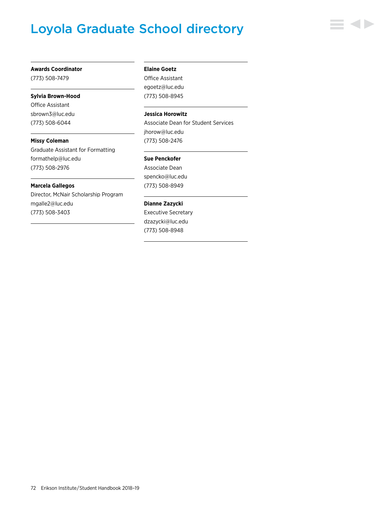# Loyola Graduate School directory



#### **Awards Coordinator**

(773) 508-7479

## **Sylvia Brown-Hood**

Office Assistant [sbrown3@luc.edu](mailto:sbrown3%40luc.edu?subject=) (773) 508-6044

**Missy Coleman** Graduate Assistant for Formatting [formathelp@luc.edu](mailto:formathelp%40luc.edu?subject=)

(773) 508-2976

## **Marcela Gallegos**

Director, McNair Scholarship Program [mgalle2@luc.edu](mailto:mgalle2%40luc.edu?subject=) (773) 508-3403

### **Elaine Goetz**

Office Assistant [egoetz@luc.edu](mailto:egoetz%40luc.edu?subject=) (773) 508-8945

## **Jessica Horowitz**

Associate Dean for Student Services [jhorow@luc.edu](mailto:jhorow%40luc.edu?subject=) (773) 508-2476

#### **Sue Penckofer**

Associate Dean [spencko@luc.edu](mailto:spencko%40luc.edu?subject=) (773) 508-8949

## **Dianne Zazycki**

Executive Secretary [dzazycki@luc.edu](mailto:dzazycki%40luc.edu?subject=) (773) 508-8948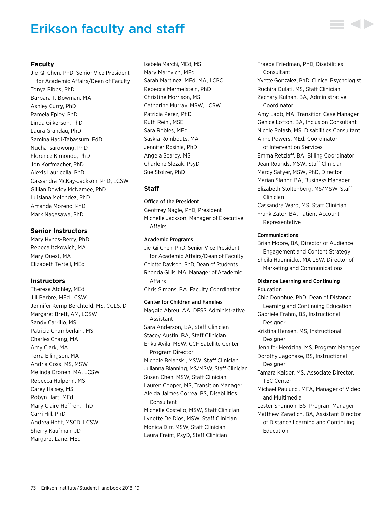## Erikson faculty and staff

## **Faculty**

Jie-Qi Chen, PhD, Senior Vice President for Academic Affairs/Dean of Faculty Tonya Bibbs, PhD Barbara T. Bowman, MA Ashley Curry, PhD Pamela Epley, PhD Linda Gilkerson, PhD Laura Grandau, PhD Samina Hadi-Tabassum, EdD Nucha Isarowong, PhD Florence Kimondo, PhD Jon Korfmacher, PhD Alexis Lauricella, PhD Cassandra McKay-Jackson, PhD, LCSW Gillian Dowley McNamee, PhD Luisiana Melendez, PhD Amanda Moreno, PhD Mark Nagasawa, PhD

## **Senior Instructors**

Mary Hynes-Berry, PhD Rebeca Itzkowich, MA Mary Quest, MA Elizabeth Tertell, MEd

## **Instructors**

Theresa Atchley, MEd Jill Barbre, MEd LCSW Jennifer Kemp Berchtold, MS, CCLS, DT Margaret Brett, AM, LCSW Sandy Carrillo, MS Patricia Chamberlain, MS Charles Chang, MA Amy Clark, MA Terra Ellingson, MA Andria Goss, MS, MSW Melinda Gronen, MA, LCSW Rebecca Halperin, MS Carey Halsey, MS Robyn Hart, MEd Mary Claire Heffron, PhD Carri Hill, PhD Andrea Hohf, MSCD, LCSW Sherry Kaufman, JD Margaret Lane, MEd

Isabela Marchi, MEd, MS Mary Marovich, MEd Sarah Martinez, MEd, MA, LCPC Rebecca Mermelstein, PhD Christine Morrison, MS Catherine Murray, MSW, LCSW Patricia Perez, PhD Ruth Reinl, MSE Sara Robles, MEd Saskia Rombouts, MA Jennifer Rosinia, PhD Angela Searcy, MS Charlene Slezak, PsyD Sue Stolzer, PhD

## **Staff**

## Office of the President

Geoffrey Nagle, PhD, President Michelle Jackson, Manager of Executive Affairs

#### Academic Programs

Jie-Qi Chen, PhD, Senior Vice President for Academic Affairs/Dean of Faculty Colette Davison, PhD, Dean of Students Rhonda Gillis, MA, Manager of Academic Affairs Chris Simons, BA, Faculty Coordinator

Center for Children and Families Maggie Abreu, AA, DFSS Administrative Assistant Sara Anderson, BA, Staff Clinician Stacey Austin, BA, Staff Clinician Erika Avila, MSW, CCF Satellite Center Program Director Michele Belanski, MSW, Staff Clinician Julianna Blanning, MS/MSW, Staff Clinician Susan Chen, MSW, Staff Clinician Lauren Cooper, MS, Transition Manager Aleida Jaimes Correa, BS, Disabilities Consultant Michelle Costello, MSW, Staff Clinician Lynette De Dios, MSW, Staff Clinician Monica Dirr, MSW, Staff Clinician Laura Fraint, PsyD, Staff Clinician

Fraeda Friedman, PhD, Disabilities Consultant Yvette Gonzalez, PhD, Clinical Psychologist Ruchira Gulati, MS, Staff Clinician Zachary Kulhan, BA, Administrative

Coordinator Amy Labb, MA, Transition Case Manager Genice Lofton, BA, Inclusion Consultant Nicole Polash, MS, Disabilities Consultant Anne Powers, MEd, Coordinator

of Intervention Services Emma Retzlaff, BA, Billing Coordinator Jean Rounds, MSW, Staff Clinician Marcy Safyer, MSW, PhD, Director Marian Slahor, BA, Business Manager Elizabeth Stoltenberg, MS/MSW, Staff Clinician Cassandra Ward, MS, Staff Clinician

Frank Zator, BA, Patient Account Representative

## Communications

Brian Moore, BA, Director of Audience Engagement and Content Strategy Sheila Haennicke, MA LSW, Director of Marketing and Communications

## Distance Learning and Continuing Education

Chip Donohue, PhD, Dean of Distance Learning and Continuing Education Gabriele Frahm, BS, Instructional Designer Kristina Hansen, MS, Instructional **Designer** Jennifer Herdzina, MS, Program Manager Dorothy Jagonase, BS, Instructional Designer Tamara Kaldor, MS, Associate Director, TEC Center Michael Paulucci, MFA, Manager of Video and Multimedia Lester Shannon, BS, Program Manager Matthew Zaradich, BA, Assistant Director of Distance Learning and Continuing Education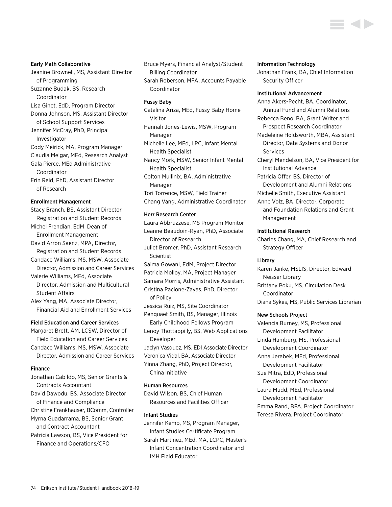#### Early Math Collaborative

- Jeanine Brownell, MS, Assistant Director of Programming Suzanne Budak, BS, Research Coordinator
- Lisa Ginet, EdD, Program Director Donna Johnson, MS, Assistant Director of School Support Services

Jennifer McCray, PhD, Principal Investigator Cody Meirick, MA, Program Manager Claudia Melgar, MEd, Research Analyst

Gala Pierce, MEd Administrative Coordinator

Erin Reid, PhD, Assistant Director of Research

## Enrollment Management

Stacy Branch, BS, Assistant Director, Registration and Student Records Michel Frendian, EdM, Dean of Enrollment Management David Arron Saenz, MPA, Director, Registration and Student Records Candace Williams, MS, MSW, Associate Director, Admission and Career Services Valerie Williams, MEd, Associate Director, Admission and Multicultural Student Affairs

Alex Yang, MA, Associate Director, Financial Aid and Enrollment Services

#### Field Education and Career Services

Margaret Brett, AM, LCSW, Director of Field Education and Career Services Candace Williams, MS, MSW, Associate Director, Admission and Career Services

## Finance

Jonathan Cabildo, MS, Senior Grants & Contracts Accountant David Dawodu, BS, Associate Director of Finance and Compliance Christine Frankhauser, BComm, Controller Myrna Guadarrama, BS, Senior Grant and Contract Accountant Patricia Lawson, BS, Vice President for Finance and Operations/CFO

Bruce Myers, Financial Analyst/Student Billing Coordinator

Sarah Roberson, MFA, Accounts Payable Coordinator

#### Fussy Baby

Catalina Ariza, MEd, Fussy Baby Home Visitor Hannah Jones-Lewis, MSW, Program Manager Michelle Lee, MEd, LPC, Infant Mental Health Specialist

Nancy Mork, MSW, Senior Infant Mental Health Specialist

Colton Mullinix, BA, Administrative Manager Tori Torrence, MSW, Field Trainer

Chang Vang, Administrative Coordinator

#### Herr Research Center

Laura Abbruzzese, MS Program Monitor Leanne Beaudoin-Ryan, PhD, Associate Director of Research Juliet Bromer, PhD, Assistant Research **Scientist** Saima Gowani, EdM, Project Director Patricia Molloy, MA, Project Manager Samara Morris, Administrative Assistant Cristina Pacione-Zayas, PhD, Director of Policy Jessica Ruiz, MS, Site Coordinator Penquaet Smith, BS, Manager, Illinois Early Childhood Fellows Program Lenoy Thottappilly, BS, Web Applications Developer Jaclyn Vasquez, MS, EDI Associate Director Veronica Vidal, BA, Associate Director Yinna Zhang, PhD, Project Director, China Initiative

#### Human Resources

David Wilson, BS, Chief Human Resources and Facilities Officer

## Infant Studies

Jennifer Kemp, MS, Program Manager, Infant Studies Certificate Program Sarah Martinez, MEd, MA, LCPC, Master's Infant Concentration Coordinator and IMH Field Educator

#### Information Technology

Jonathan Frank, BA, Chief Information Security Officer

#### Institutional Advancement

Anna Akers-Pecht, BA, Coordinator, Annual Fund and Alumni Relations

Rebecca Beno, BA, Grant Writer and Prospect Research Coordinator

- Madeleine Holdsworth, MBA, Assistant Director, Data Systems and Donor Services
- Cheryl Mendelson, BA, Vice President for Institutional Advance
- Patricia Offer, BS, Director of Development and Alumni Relations
- Michelle Smith, Executive Assistant
- Anne Volz, BA, Director, Corporate and Foundation Relations and Grant Management

## Institutional Research

Charles Chang, MA, Chief Research and Strategy Officer

## Library

Karen Janke, MSLIS, Director, Edward Neisser Library Brittany Poku, MS, Circulation Desk Coordinator Diana Sykes, MS, Public Services Librarian

#### New Schools Project

Valencia Burney, MS, Professional Development Facilitator Linda Hamburg, MS, Professional Development Coordinator Anna Jerabek, MEd, Professional Development Facilitator Sue Mitra, EdD, Professional Development Coordinator Laura Mudd, MEd, Professional Development Facilitator Emma Rand, BFA, Project Coordinator Teresa Rivera, Project Coordinator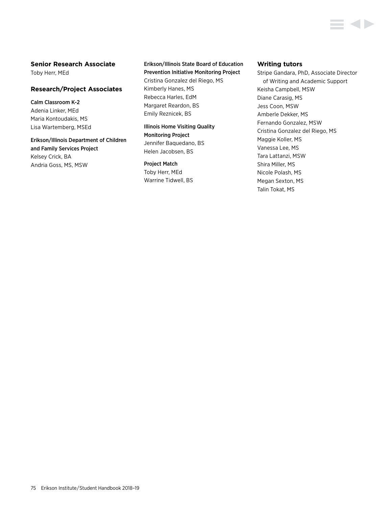## **Senior Research Associate**

Toby Herr, MEd

## **Research/Project Associates**

Calm Classroom K-2 Adenia Linker, MEd Maria Kontoudakis, MS Lisa Wartemberg, MSEd

Erikson/Illinois Department of Children and Family Services Project Kelsey Crick, BA Andria Goss, MS, MSW

## Erikson/Illinois State Board of Education Prevention Initiative Monitoring Project

Cristina Gonzalez del Riego, MS Kimberly Hanes, MS Rebecca Harles, EdM Margaret Reardon, BS Emily Reznicek, BS

Illinois Home Visiting Quality Monitoring Project Jennifer Baquedano, BS Helen Jacobsen, BS

## Project Match

Toby Herr, MEd Warrine Tidwell, BS

## **Writing tutors**

Stripe Gandara, PhD, Associate Director of Writing and Academic Support Keisha Campbell, MSW Diane Carasig, MS Jess Coon, MSW Amberle Dekker, MS Fernando Gonzalez, MSW Cristina Gonzalez del Riego, MS Maggie Koller, MS Vanessa Lee, MS Tara Lattanzi, MSW Shira Miller, MS Nicole Polash, MS Megan Sexton, MS Talin Tokat, MS